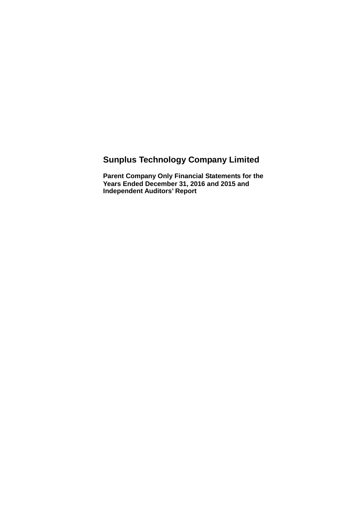# **Sunplus Technology Company Limited**

**Parent Company Only Financial Statements for the Years Ended December 31, 2016 and 2015 and Independent Auditors' Report**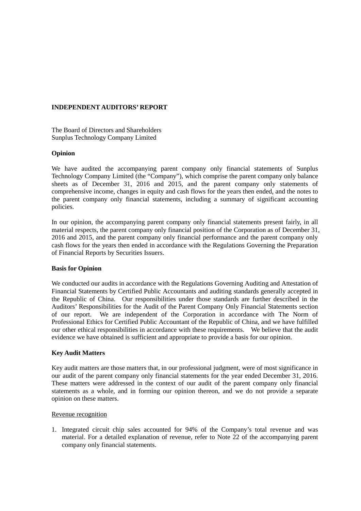## **INDEPENDENT AUDITORS' REPORT**

The Board of Directors and Shareholders Sunplus Technology Company Limited

## **Opinion**

We have audited the accompanying parent company only financial statements of Sunplus Technology Company Limited (the "Company"), which comprise the parent company only balance sheets as of December 31, 2016 and 2015, and the parent company only statements of comprehensive income, changes in equity and cash flows for the years then ended, and the notes to the parent company only financial statements, including a summary of significant accounting policies.

In our opinion, the accompanying parent company only financial statements present fairly, in all material respects, the parent company only financial position of the Corporation as of December 31, 2016 and 2015, and the parent company only financial performance and the parent company only cash flows for the years then ended in accordance with the Regulations Governing the Preparation of Financial Reports by Securities Issuers.

## **Basis for Opinion**

We conducted our audits in accordance with the Regulations Governing Auditing and Attestation of Financial Statements by Certified Public Accountants and auditing standards generally accepted in the Republic of China. Our responsibilities under those standards are further described in the Auditors' Responsibilities for the Audit of the Parent Company Only Financial Statements section of our report. We are independent of the Corporation in accordance with The Norm of Professional Ethics for Certified Public Accountant of the Republic of China, and we have fulfilled our other ethical responsibilities in accordance with these requirements. We believe that the audit evidence we have obtained is sufficient and appropriate to provide a basis for our opinion.

## **Key Audit Matters**

Key audit matters are those matters that, in our professional judgment, were of most significance in our audit of the parent company only financial statements for the year ended December 31, 2016. These matters were addressed in the context of our audit of the parent company only financial statements as a whole, and in forming our opinion thereon, and we do not provide a separate opinion on these matters.

## Revenue recognition

1. Integrated circuit chip sales accounted for 94% of the Company's total revenue and was material. For a detailed explanation of revenue, refer to Note 22 of the accompanying parent company only financial statements.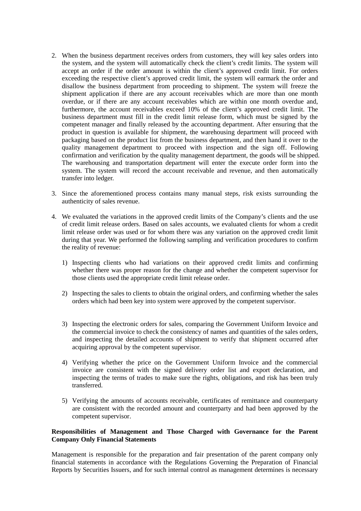- 2. When the business department receives orders from customers, they will key sales orders into the system, and the system will automatically check the client's credit limits. The system will accept an order if the order amount is within the client's approved credit limit. For orders exceeding the respective client's approved credit limit, the system will earmark the order and disallow the business department from proceeding to shipment. The system will freeze the shipment application if there are any account receivables which are more than one month overdue, or if there are any account receivables which are within one month overdue and, furthermore, the account receivables exceed 10% of the client's approved credit limit. The business department must fill in the credit limit release form, which must be signed by the competent manager and finally released by the accounting department. After ensuring that the product in question is available for shipment, the warehousing department will proceed with packaging based on the product list from the business department, and then hand it over to the quality management department to proceed with inspection and the sign off. Following confirmation and verification by the quality management department, the goods will be shipped. The warehousing and transportation department will enter the execute order form into the system. The system will record the account receivable and revenue, and then automatically transfer into ledger.
- 3. Since the aforementioned process contains many manual steps, risk exists surrounding the authenticity of sales revenue.
- 4. We evaluated the variations in the approved credit limits of the Company's clients and the use of credit limit release orders. Based on sales accounts, we evaluated clients for whom a credit limit release order was used or for whom there was any variation on the approved credit limit during that year. We performed the following sampling and verification procedures to confirm the reality of revenue:
	- 1) Inspecting clients who had variations on their approved credit limits and confirming whether there was proper reason for the change and whether the competent supervisor for those clients used the appropriate credit limit release order.
	- 2) Inspecting the sales to clients to obtain the original orders, and confirming whether the sales orders which had been key into system were approved by the competent supervisor.
	- 3) Inspecting the electronic orders for sales, comparing the Government Uniform Invoice and the commercial invoice to check the consistency of names and quantities of the sales orders, and inspecting the detailed accounts of shipment to verify that shipment occurred after acquiring approval by the competent supervisor.
	- 4) Verifying whether the price on the Government Uniform Invoice and the commercial invoice are consistent with the signed delivery order list and export declaration, and inspecting the terms of trades to make sure the rights, obligations, and risk has been truly transferred.
	- 5) Verifying the amounts of accounts receivable, certificates of remittance and counterparty are consistent with the recorded amount and counterparty and had been approved by the competent supervisor.

## **Responsibilities of Management and Those Charged with Governance for the Parent Company Only Financial Statements**

Management is responsible for the preparation and fair presentation of the parent company only financial statements in accordance with the Regulations Governing the Preparation of Financial Reports by Securities Issuers, and for such internal control as management determines is necessary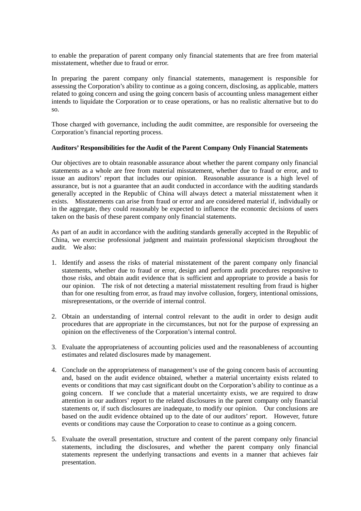to enable the preparation of parent company only financial statements that are free from material misstatement, whether due to fraud or error.

In preparing the parent company only financial statements, management is responsible for assessing the Corporation's ability to continue as a going concern, disclosing, as applicable, matters related to going concern and using the going concern basis of accounting unless management either intends to liquidate the Corporation or to cease operations, or has no realistic alternative but to do so.

Those charged with governance, including the audit committee, are responsible for overseeing the Corporation's financial reporting process.

## **Auditors' Responsibilities for the Audit of the Parent Company Only Financial Statements**

Our objectives are to obtain reasonable assurance about whether the parent company only financial statements as a whole are free from material misstatement, whether due to fraud or error, and to issue an auditors' report that includes our opinion. Reasonable assurance is a high level of assurance, but is not a guarantee that an audit conducted in accordance with the auditing standards generally accepted in the Republic of China will always detect a material misstatement when it exists. Misstatements can arise from fraud or error and are considered material if, individually or in the aggregate, they could reasonably be expected to influence the economic decisions of users taken on the basis of these parent company only financial statements.

As part of an audit in accordance with the auditing standards generally accepted in the Republic of China, we exercise professional judgment and maintain professional skepticism throughout the audit. We also:

- 1. Identify and assess the risks of material misstatement of the parent company only financial statements, whether due to fraud or error, design and perform audit procedures responsive to those risks, and obtain audit evidence that is sufficient and appropriate to provide a basis for our opinion. The risk of not detecting a material misstatement resulting from fraud is higher than for one resulting from error, as fraud may involve collusion, forgery, intentional omissions, misrepresentations, or the override of internal control.
- 2. Obtain an understanding of internal control relevant to the audit in order to design audit procedures that are appropriate in the circumstances, but not for the purpose of expressing an opinion on the effectiveness of the Corporation's internal control.
- 3. Evaluate the appropriateness of accounting policies used and the reasonableness of accounting estimates and related disclosures made by management.
- 4. Conclude on the appropriateness of management's use of the going concern basis of accounting and, based on the audit evidence obtained, whether a material uncertainty exists related to events or conditions that may cast significant doubt on the Corporation's ability to continue as a going concern. If we conclude that a material uncertainty exists, we are required to draw attention in our auditors' report to the related disclosures in the parent company only financial statements or, if such disclosures are inadequate, to modify our opinion. Our conclusions are based on the audit evidence obtained up to the date of our auditors' report. However, future events or conditions may cause the Corporation to cease to continue as a going concern.
- 5. Evaluate the overall presentation, structure and content of the parent company only financial statements, including the disclosures, and whether the parent company only financial statements represent the underlying transactions and events in a manner that achieves fair presentation.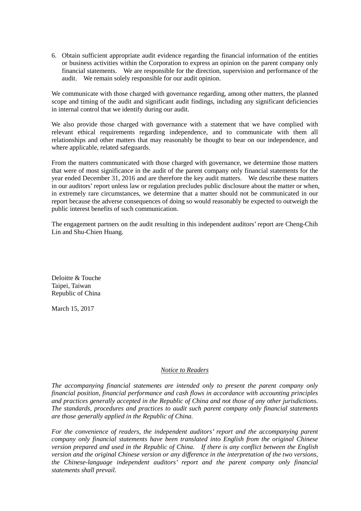6. Obtain sufficient appropriate audit evidence regarding the financial information of the entities or business activities within the Corporation to express an opinion on the parent company only financial statements. We are responsible for the direction, supervision and performance of the audit. We remain solely responsible for our audit opinion.

We communicate with those charged with governance regarding, among other matters, the planned scope and timing of the audit and significant audit findings, including any significant deficiencies in internal control that we identify during our audit.

We also provide those charged with governance with a statement that we have complied with relevant ethical requirements regarding independence, and to communicate with them all relationships and other matters that may reasonably be thought to bear on our independence, and where applicable, related safeguards.

From the matters communicated with those charged with governance, we determine those matters that were of most significance in the audit of the parent company only financial statements for the year ended December 31, 2016 and are therefore the key audit matters. We describe these matters in our auditors' report unless law or regulation precludes public disclosure about the matter or when, in extremely rare circumstances, we determine that a matter should not be communicated in our report because the adverse consequences of doing so would reasonably be expected to outweigh the public interest benefits of such communication.

The engagement partners on the audit resulting in this independent auditors' report are Cheng-Chih Lin and Shu-Chien Huang.

Deloitte & Touche Taipei, Taiwan Republic of China

March 15, 2017

#### *Notice to Readers*

*The accompanying financial statements are intended only to present the parent company only financial position, financial performance and cash flows in accordance with accounting principles and practices generally accepted in the Republic of China and not those of any other jurisdictions. The standards, procedures and practices to audit such parent company only financial statements are those generally applied in the Republic of China.* 

For the convenience of readers, the independent auditors' report and the accompanying parent *company only financial statements have been translated into English from the original Chinese version prepared and used in the Republic of China. If there is any conflict between the English version and the original Chinese version or any difference in the interpretation of the two versions, the Chinese-language independent auditors' report and the parent company only financial statements shall prevail.*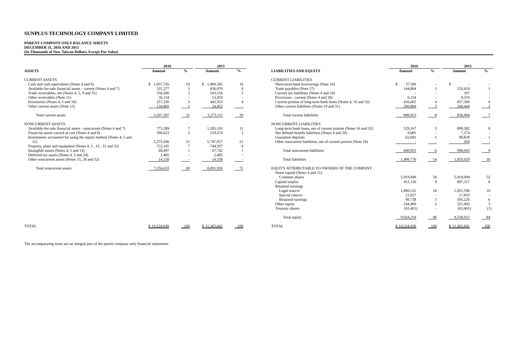#### **PARENT COMPANY ONLY BALANCE SHEETS DECEMBER 31, 2016 AND 2015**

#### **(In Thousands of New Taiwan Dollars, Except Par Value)**

|                                                                   | 2016          |                            | 2015         |                |                                                                | 2016                    |                          | 2015          |                |
|-------------------------------------------------------------------|---------------|----------------------------|--------------|----------------|----------------------------------------------------------------|-------------------------|--------------------------|---------------|----------------|
| <b>ASSETS</b>                                                     | <b>Amount</b> | $\frac{0}{0}$              | Amount       | $\frac{0}{0}$  | <b>LIABILITIES AND EQUITY</b>                                  | Amount                  | $\frac{0}{0}$            | <b>Amount</b> | $\frac{0}{0}$  |
| <b>CURRENT ASSETS</b>                                             |               |                            |              |                | <b>CURRENT LIABILITIES</b>                                     |                         |                          |               |                |
| Cash and cash equivalents (Notes 4 and 6)                         | \$1,957,745   | 19                         | \$1,809,365  | 16             | Short-term bank borrowings (Note 16)                           | 37,500<br>$\mathcal{S}$ | $\overline{\phantom{a}}$ |               |                |
| Available-for-sale financial assets - current (Notes 4 and 7)     | 531,277       | 5                          | 436,970      | $\overline{4}$ | Trade payables (Note 17)                                       | 144,804                 |                          | 120,424       |                |
| Trade receivables, net (Notes 4, 5, 9 and 31)                     | 350,206       | $\mathfrak{Z}$             | 543,156      | 5              | Current tax liabilities (Notes 4 and 24)                       |                         | $\overline{\phantom{a}}$ | 297           |                |
| Other receivables (Note 31)                                       | 36,134        | $\overline{\phantom{a}}$   | 13,419       |                | Provisions - current (Notes 4 and 18)                          | 9,154                   | $\overline{\phantom{a}}$ | 9,319         |                |
| Inventories (Notes 4, 5 and 10)                                   | 257,230       | $\mathfrak{Z}$             | 445,353      | $\overline{4}$ | Current portion of long-term bank loans (Notes 4, 16 and 32)   | 416,665                 | $\overline{4}$           | 457,500       |                |
| Other current assets (Note 15)                                    | 134,805       | $\overline{\phantom{0}}$ 1 | 24,852       |                | Other current liabilities (Notes 19 and 31)                    | 290,800                 | $\overline{\mathbf{3}}$  | 249,444       |                |
| Total current assets                                              | 3,267,397     | $-31$                      | 3,273,115    | $-29$          | Total current liabilities                                      | 898,923                 | 8                        | 836,984       |                |
| NONCURRENT ASSETS                                                 |               |                            |              |                | NONCURRENT LIABILITIES                                         |                         |                          |               |                |
| Available-for-sale financial assets - noncurrent (Notes 4 and 7)  | 773,289       | $\overline{7}$             | 1,295,103    | 11             | Long-term bank loans, net of current portion (Notes 16 and 32) | 529,167                 | 5                        | 899,582       |                |
| Financial assets carried at cost (Notes 4 and 8)                  | 300,623       | $\mathfrak{Z}$             | 219,574      | 2              | Net defined benefit liabilities (Notes 4 and 20)               | 9,005                   | $\overline{\phantom{a}}$ | 7,174         |                |
| Investments accounted for using the equity method (Notes 4, 5 and |               |                            |              |                | Guarantee deposits                                             | 62,681                  |                          | 90,839        |                |
| 12)                                                               | 5,375,436     | 51                         | 5,747,927    | 51             | Other noncurrent liabilities, net of current portion (Note 19) |                         |                          | 450           |                |
| Property, plant and equipment (Notes 4, 5, 13, 31 and 32)         | 722,145       | $7\phantom{.0}$            | 744,937      | 6              |                                                                |                         |                          |               |                |
| Intangible assets (Notes 4, 5 and 14)                             | 68,497        |                            | 67,742       |                | Total noncurrent liabilities                                   | 600,853                 | 6                        | 998,045       |                |
| Deferred tax assets (Notes 4, 5 and 24)                           | 2,485         | $\overline{\phantom{a}}$   | 2,485        |                |                                                                |                         |                          |               |                |
| Other noncurrent assets (Notes 15, 28 and 32)                     | 14,158        | $\sim$ $-$                 | 14,158       | $\sim$ $-$     | Total liabilities                                              | 1,499,776               | 14                       | 1,835,029     | <sup>16</sup>  |
| Total noncurrent assets                                           | 7,256,633     | 69                         | 8,091,926    | $-71$          | EQUITY ATTRIBUTABLE TO OWNERS OF THE COMPANY                   |                         |                          |               |                |
|                                                                   |               |                            |              |                | Share capital (Notes 4 and 21)                                 |                         |                          |               |                |
|                                                                   |               |                            |              |                | Common shares                                                  | 5,919,949               | 56                       | 5,919,949     | 52             |
|                                                                   |               |                            |              |                | Capital surplus                                                | 911,110                 | 9                        | 897,317       | 8              |
|                                                                   |               |                            |              |                | Retained earnings                                              |                         |                          |               |                |
|                                                                   |               |                            |              |                | Legal reserve                                                  | 1,890,531               | 18                       | 1,831,596     | 16             |
|                                                                   |               |                            |              |                | Special reserve                                                | 21,927                  | $\sim$                   | 17,833        |                |
|                                                                   |               |                            |              |                | Retained earnings                                              | 99,738                  |                          | 595,226       | 6              |
|                                                                   |               |                            |              |                | Other equity                                                   | 244,400                 | 2                        | 331,492       | $\overline{3}$ |
|                                                                   |               |                            |              |                | Treasury shares                                                | (63, 401)               | $\overline{\phantom{a}}$ | (63, 401)     | (1)            |
|                                                                   |               |                            |              |                | Total equity                                                   | 9,024,254               | 86                       | 9,530,012     |                |
| <b>TOTAL</b>                                                      | \$10,524,030  | $-100$                     | \$11,365,041 | $-100$         | <b>TOTAL</b>                                                   | \$10,524,030            | 100                      | \$11,365,041  | 100            |

|                                                                | 2016          |                | 2015          |                |  |
|----------------------------------------------------------------|---------------|----------------|---------------|----------------|--|
| <b>ABILITIES AND EQUITY</b>                                    | <b>Amount</b> | $\frac{0}{0}$  | <b>Amount</b> | $\frac{0}{0}$  |  |
| <b>JRRENT LIABILITIES</b>                                      |               |                |               |                |  |
| Short-term bank borrowings (Note 16)                           | \$<br>37,500  |                | \$            |                |  |
| Trade payables (Note 17)                                       | 144,804       | 1              | 120,424       | 1              |  |
| Current tax liabilities (Notes 4 and 24)                       |               |                | 297           |                |  |
| Provisions - current (Notes 4 and 18)                          | 9,154         |                | 9,319         |                |  |
| Current portion of long-term bank loans (Notes 4, 16 and 32)   | 416,665       | $\overline{4}$ | 457,500       | 4              |  |
| Other current liabilities (Notes 19 and 31)                    | 290,800       | 3              | 249,444       | $\overline{2}$ |  |
| Total current liabilities                                      | 898,923       | 8              | 836,984       | $\overline{7}$ |  |
| <b><i>ONCURRENT LIABILITIES</i></b>                            |               |                |               |                |  |
| Long-term bank loans, net of current portion (Notes 16 and 32) | 529,167       | 5              | 899,582       | 8              |  |
| Net defined benefit liabilities (Notes 4 and 20)               | 9,005         |                | 7,174         |                |  |
| Guarantee deposits                                             | 62,681        | 1              | 90,839        | 1              |  |
| Other noncurrent liabilities, net of current portion (Note 19) |               |                | 450           |                |  |
| Total noncurrent liabilities                                   | 600,853       | 6              | 998,045       | $\overline{9}$ |  |
| <b>Total liabilities</b>                                       | 1,499,776     | 14             | 1,835,029     | 16             |  |
| QUITY ATTRIBUTABLE TO OWNERS OF THE COMPANY                    |               |                |               |                |  |
| Share capital (Notes 4 and 21)                                 |               |                |               |                |  |
| Common shares                                                  | 5,919,949     | 56             | 5,919,949     | 52             |  |
| Capital surplus                                                | 911,110       | 9              | 897,317       | 8              |  |
| Retained earnings                                              |               |                |               |                |  |
| Legal reserve                                                  | 1,890,531     | 18             | 1,831,596     | 16             |  |
| Special reserve                                                | 21,927        |                | 17,833        |                |  |
| Retained earnings                                              | 99,738        | 1              | 595,226       | 6              |  |
| Other equity                                                   | 244,400       | 2              | 331,492       | 3              |  |
| Treasury shares                                                | (63, 401)     |                | (63, 401)     | (1)            |  |
| Total equity                                                   | 9,024,254     | 86             | 9,530,012     | 84             |  |
| <b>)TAL</b>                                                    | \$10,524,030  | 100            | \$11,365,041  | 100            |  |
|                                                                |               |                |               |                |  |

The accompanying notes are an integral part of the parent company only financial statements.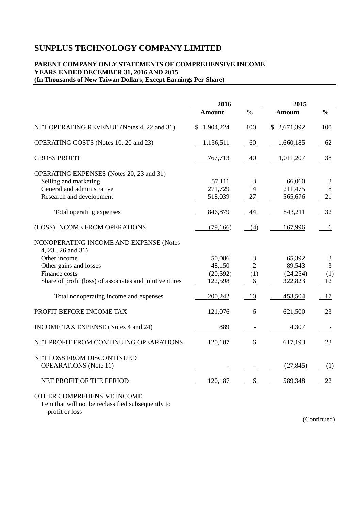## **PARENT COMPANY ONLY STATEMENTS OF COMPREHENSIVE INCOME YEARS ENDED DECEMBER 31, 2016 AND 2015 (In Thousands of New Taiwan Dollars, Except Earnings Per Share)**

|                                                                                                                                                         | 2016                                    |                            | 2015                                    |                             |  |
|---------------------------------------------------------------------------------------------------------------------------------------------------------|-----------------------------------------|----------------------------|-----------------------------------------|-----------------------------|--|
|                                                                                                                                                         | <b>Amount</b>                           | $\frac{0}{0}$              | Amount                                  | $\frac{0}{0}$               |  |
| NET OPERATING REVENUE (Notes 4, 22 and 31)                                                                                                              | \$1,904,224                             | 100                        | \$2,671,392                             | 100                         |  |
| OPERATING COSTS (Notes 10, 20 and 23)                                                                                                                   | 1,136,511                               | 60                         | 1,660,185                               | 62                          |  |
| <b>GROSS PROFIT</b>                                                                                                                                     | 767,713                                 | 40                         | 1,011,207                               | 38                          |  |
| OPERATING EXPENSES (Notes 20, 23 and 31)<br>Selling and marketing<br>General and administrative<br>Research and development<br>Total operating expenses | 57,111<br>271,729<br>518,039<br>846,879 | 3<br>14<br>27<br>44        | 66,060<br>211,475<br>565,676<br>843,211 | 3<br>8<br>21<br>32          |  |
| (LOSS) INCOME FROM OPERATIONS                                                                                                                           | (79, 166)                               | (4)                        | 167,996                                 | 6                           |  |
| NONOPERATING INCOME AND EXPENSE (Notes<br>4, 23, 26 and 31)<br>Other income                                                                             | 50,086                                  | 3                          | 65,392                                  | 3                           |  |
| Other gains and losses<br>Finance costs<br>Share of profit (loss) of associates and joint ventures                                                      | 48,150<br>(20, 592)<br>122,598          | $\overline{2}$<br>(1)<br>6 | 89,543<br>(24, 254)<br>322,823          | $\overline{3}$<br>(1)<br>12 |  |
| Total nonoperating income and expenses                                                                                                                  | 200,242                                 | 10                         | 453,504                                 | 17                          |  |
| PROFIT BEFORE INCOME TAX                                                                                                                                | 121,076                                 | 6                          | 621,500                                 | 23                          |  |
| <b>INCOME TAX EXPENSE</b> (Notes 4 and 24)                                                                                                              | 889                                     |                            | 4,307                                   |                             |  |
| NET PROFIT FROM CONTINUING OPEARATIONS                                                                                                                  | 120,187                                 | 6                          | 617,193                                 | 23                          |  |
| NET LOSS FROM DISCONTINUED<br><b>OPEARATIONS</b> (Note 11)                                                                                              |                                         |                            | (27, 845)                               | (1)                         |  |
| NET PROFIT OF THE PERIOD                                                                                                                                | 120,187                                 | 6                          | 589,348                                 | 22                          |  |
| OTHER COMPREHENSIVE INCOME                                                                                                                              |                                         |                            |                                         |                             |  |

Item that will not be reclassified subsequently to profit or loss

(Continued)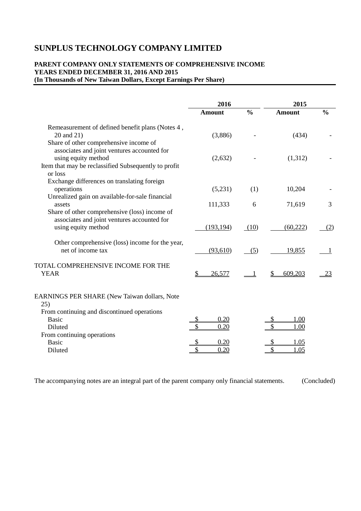## **PARENT COMPANY ONLY STATEMENTS OF COMPREHENSIVE INCOME YEARS ENDED DECEMBER 31, 2016 AND 2015 (In Thousands of New Taiwan Dollars, Except Earnings Per Share)**

|                                                                                                                                                                      | 2016                    |               | 2015          |               |  |  |
|----------------------------------------------------------------------------------------------------------------------------------------------------------------------|-------------------------|---------------|---------------|---------------|--|--|
|                                                                                                                                                                      | <b>Amount</b>           | $\frac{0}{0}$ | <b>Amount</b> | $\frac{0}{0}$ |  |  |
| Remeasurement of defined benefit plans (Notes 4,<br>20 and 21)                                                                                                       | (3,886)                 |               | (434)         |               |  |  |
| Share of other comprehensive income of<br>associates and joint ventures accounted for<br>using equity method<br>Item that may be reclassified Subsequently to profit | (2,632)                 |               | (1,312)       |               |  |  |
| or loss                                                                                                                                                              |                         |               |               |               |  |  |
| Exchange differences on translating foreign<br>operations<br>Unrealized gain on available-for-sale financial                                                         | (5,231)                 | (1)           | 10,204        |               |  |  |
| assets<br>Share of other comprehensive (loss) income of                                                                                                              | 111,333                 | 6             | 71,619        | 3             |  |  |
| associates and joint ventures accounted for<br>using equity method                                                                                                   | (193, 194)              | (10)          | (60, 222)     | (2)           |  |  |
| Other comprehensive (loss) income for the year,<br>net of income tax                                                                                                 | (93,610)                | (5)           | 19,855        |               |  |  |
| TOTAL COMPREHENSIVE INCOME FOR THE<br><b>YEAR</b>                                                                                                                    | $\frac{1}{2}$<br>26,577 |               | 609,203       | 23            |  |  |
| EARNINGS PER SHARE (New Taiwan dollars, Note<br>25)                                                                                                                  |                         |               |               |               |  |  |
| From continuing and discontinued operations                                                                                                                          |                         |               |               |               |  |  |
| <b>Basic</b>                                                                                                                                                         | $\mathcal{S}$<br>0.20   |               | 1.00          |               |  |  |
| Diluted                                                                                                                                                              | 0.20                    |               | 1.00          |               |  |  |
| From continuing operations                                                                                                                                           |                         |               | 1.05          |               |  |  |
| <b>Basic</b><br>Diluted                                                                                                                                              | 0.20<br>0.20            |               | 1.05          |               |  |  |

The accompanying notes are an integral part of the parent company only financial statements. (Concluded)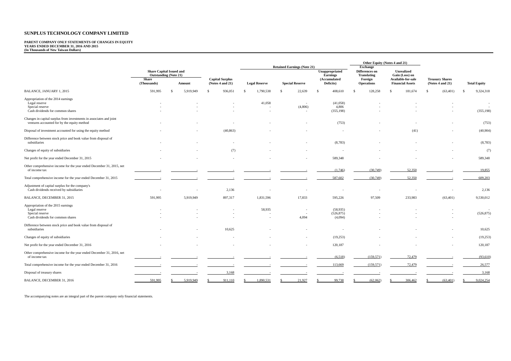#### **PARENT COMPANY ONLY STATEMENTS OF CHANGES IN EQUITY YEARS ENDED DECEMBER 31, 2016 AND 2015 (In Thousands of New Taiwan Dollars)**

|                                                                                |                                                                                                |                   |                                            |                      |                                                              |                                                                |                                                                                         | Other Equity (Notes 4 and 21)                                                        |                                            |                     |
|--------------------------------------------------------------------------------|------------------------------------------------------------------------------------------------|-------------------|--------------------------------------------|----------------------|--------------------------------------------------------------|----------------------------------------------------------------|-----------------------------------------------------------------------------------------|--------------------------------------------------------------------------------------|--------------------------------------------|---------------------|
|                                                                                | <b>Share Capital Issued and</b><br><b>Outstanding (Note 21)</b><br><b>Share</b><br>(Thousands) | Amount            | <b>Capital Surplus</b><br>(Notes 4 and 21) | <b>Legal Reserve</b> | <b>Retained Earnings (Note 21)</b><br><b>Special Reserve</b> | Unappropriated<br><b>Earnings</b><br>(Accumulated<br>Deficits) | <b>Exchange</b><br>Differences on<br><b>Translating</b><br>Foreign<br><b>Operations</b> | <b>Unrealized</b><br>Gain (Loss) on<br>Available-for-sale<br><b>Financial Assets</b> | <b>Treasury Shares</b><br>(Notes 4 and 21) | <b>Total Equity</b> |
| BALANCE, JANUARY 1, 2015                                                       | 591,995                                                                                        | 5,919,949<br>- \$ | 936,051<br>$\mathcal{S}$                   | 1,790,538<br>- S     | 22,639<br>$\mathcal{S}$                                      | 408,610<br>\$                                                  | 128,258<br>- \$                                                                         | 181,674<br>- \$                                                                      | (63, 401)<br>$\mathbb{S}$                  | 9,324,318<br>-\$    |
| Appropriation of the 2014 earnings                                             |                                                                                                |                   |                                            |                      |                                                              |                                                                |                                                                                         |                                                                                      |                                            |                     |
| Legal reserve                                                                  |                                                                                                |                   |                                            | 41,058               | $\overline{\phantom{a}}$                                     | (41,058)                                                       |                                                                                         |                                                                                      |                                            | $\sim$              |
| Special reserve<br>Cash dividends for common shares                            |                                                                                                |                   |                                            |                      | (4,806)                                                      | 4,806<br>(355, 198)                                            |                                                                                         |                                                                                      |                                            | (355, 198)          |
|                                                                                |                                                                                                |                   |                                            |                      |                                                              |                                                                |                                                                                         |                                                                                      |                                            |                     |
| Changes in capital surplus from investments in associates and joint            |                                                                                                |                   |                                            |                      |                                                              |                                                                |                                                                                         |                                                                                      |                                            |                     |
| ventures accounted for by the equity method                                    |                                                                                                |                   |                                            |                      |                                                              | (753)                                                          |                                                                                         |                                                                                      |                                            | (753)               |
| Disposal of investment accounted for using the equity method                   |                                                                                                |                   | (40, 863)                                  |                      |                                                              |                                                                |                                                                                         | (41)                                                                                 |                                            | (40, 904)           |
| Difference between stock price and book value from disposal of                 |                                                                                                |                   |                                            |                      |                                                              |                                                                |                                                                                         |                                                                                      |                                            |                     |
| subsidiaries                                                                   |                                                                                                |                   |                                            |                      |                                                              | (8,783)                                                        |                                                                                         |                                                                                      |                                            | (8,783)             |
| Changes of equity of subsidiaries                                              |                                                                                                |                   | (7)                                        |                      |                                                              |                                                                |                                                                                         |                                                                                      |                                            | (7)                 |
| Net profit for the year ended December 31, 2015                                |                                                                                                |                   |                                            |                      |                                                              | 589,348                                                        |                                                                                         |                                                                                      |                                            | 589,348             |
| Other comprehensive income for the year ended December 31, 2015, net           |                                                                                                |                   |                                            |                      |                                                              |                                                                |                                                                                         |                                                                                      |                                            |                     |
| of income tax                                                                  |                                                                                                |                   |                                            |                      |                                                              | (1,746)                                                        | (30,749)                                                                                | 52,350                                                                               |                                            | 19,855              |
| Total comprehensive income for the year ended December 31, 2015                |                                                                                                |                   |                                            |                      |                                                              | 587,602                                                        | (30,749)                                                                                | 52,350                                                                               |                                            | 609,203             |
| Adjustment of capital surplus for the company's                                |                                                                                                |                   |                                            |                      |                                                              |                                                                |                                                                                         |                                                                                      |                                            |                     |
| Cash dividends received by subsidiaries                                        |                                                                                                |                   | 2,136                                      |                      |                                                              |                                                                |                                                                                         |                                                                                      |                                            | 2,136               |
| BALANCE, DECEMBER 31, 2015                                                     | 591,995                                                                                        | 5,919,949         | 897,317                                    | 1,831,596            | 17,833                                                       | 595,226                                                        | 97,509                                                                                  | 233,983                                                                              | (63, 401)                                  | 9,530,012           |
| Appropriation of the 2015 earnings                                             |                                                                                                |                   |                                            |                      |                                                              |                                                                |                                                                                         |                                                                                      |                                            |                     |
| Legal reserve                                                                  |                                                                                                |                   |                                            | 58,935               | $\sim$                                                       | (58, 935)                                                      |                                                                                         |                                                                                      |                                            |                     |
| Special reserve<br>Cash dividends for common shares                            |                                                                                                |                   |                                            |                      | $\overline{\phantom{a}}$<br>4,094                            | (526, 875)<br>(4,094)                                          |                                                                                         |                                                                                      |                                            | (526, 875)          |
|                                                                                |                                                                                                |                   |                                            |                      |                                                              |                                                                |                                                                                         |                                                                                      |                                            |                     |
| Difference between stock price and book value from disposal of<br>subsidiaries |                                                                                                |                   | 10,625                                     |                      |                                                              |                                                                |                                                                                         |                                                                                      |                                            | 10,625              |
|                                                                                |                                                                                                |                   |                                            |                      |                                                              |                                                                |                                                                                         |                                                                                      |                                            |                     |
| Changes of equity of subsidiaries                                              |                                                                                                |                   |                                            |                      |                                                              | (19,253)                                                       |                                                                                         |                                                                                      |                                            | (19,253)            |
| Net profit for the year ended December 31, 2016                                |                                                                                                |                   |                                            |                      |                                                              | 120,187                                                        |                                                                                         |                                                                                      |                                            | 120,187             |
| Other comprehensive income for the year ended December 31, 2016, net           |                                                                                                |                   |                                            |                      |                                                              |                                                                |                                                                                         |                                                                                      |                                            |                     |
| of income tax                                                                  |                                                                                                |                   |                                            |                      |                                                              | (6,518)                                                        | (159, 571)                                                                              | 72,479                                                                               |                                            | (93,610)            |
| Total comprehensive income for the year ended December 31, 2016                |                                                                                                |                   |                                            |                      |                                                              | 113,669                                                        | (159, 571)                                                                              | 72,479                                                                               |                                            | 26,577              |
| Disposal of treasury shares                                                    |                                                                                                |                   | 3,168                                      |                      |                                                              |                                                                |                                                                                         |                                                                                      |                                            | 3,168               |
| BALANCE, DECEMBER 31, 2016                                                     | 591,995                                                                                        | 5,919,949         | 911,110                                    | 1.890.531            | 21,927                                                       | 99,738                                                         | (62,062)                                                                                | 306,462                                                                              | (63, 401)                                  | 9,024,254           |

The accompanying notes are an integral part of the parent company only financial statements.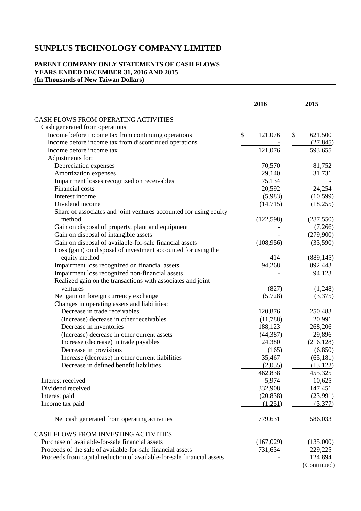## **PARENT COMPANY ONLY STATEMENTS OF CASH FLOWS YEARS ENDED DECEMBER 31, 2016 AND 2015 (In Thousands of New Taiwan Dollars)**

|                                                                        | 2016          | 2015          |
|------------------------------------------------------------------------|---------------|---------------|
| CASH FLOWS FROM OPERATING ACTIVITIES                                   |               |               |
| Cash generated from operations                                         |               |               |
| Income before income tax from continuing operations                    | \$<br>121,076 | \$<br>621,500 |
| Income before income tax from discontinued operations                  |               | (27, 845)     |
| Income before income tax                                               | 121,076       | 593,655       |
| Adjustments for:                                                       |               |               |
| Depreciation expenses                                                  | 70,570        | 81,752        |
| Amortization expenses                                                  | 29,140        | 31,731        |
| Impairment losses recognized on receivables                            | 75,134        |               |
| Financial costs                                                        | 20,592        | 24,254        |
| Interest income                                                        | (5,983)       | (10, 599)     |
| Dividend income                                                        | (14,715)      | (18,255)      |
| Share of associates and joint ventures accounted for using equity      |               |               |
| method                                                                 | (122, 598)    | (287, 550)    |
| Gain on disposal of property, plant and equipment                      |               | (7,266)       |
| Gain on disposal of intangible assets                                  |               | (279,900)     |
| Gain on disposal of available-for-sale financial assets                | (108,956)     | (33,590)      |
| Loss (gain) on disposal of investment accounted for using the          |               |               |
| equity method                                                          | 414           | (889, 145)    |
| Impairment loss recognized on financial assets                         | 94,268        | 892,443       |
| Impairment loss recognized non-financial assets                        |               | 94,123        |
| Realized gain on the transactions with associates and joint            |               |               |
| ventures                                                               | (827)         | (1,248)       |
| Net gain on foreign currency exchange                                  | (5,728)       | (3,375)       |
| Changes in operating assets and liabilities:                           |               |               |
| Decrease in trade receivables                                          | 120,876       | 250,483       |
| (Increase) decrease in other receivables                               | (11,788)      | 20,991        |
| Decrease in inventories                                                | 188,123       | 268,206       |
| (Increase) decrease in other current assets                            | (44, 387)     | 29,896        |
| Increase (decrease) in trade payables                                  | 24,380        | (216, 128)    |
| Decrease in provisions                                                 | (165)         | (6,850)       |
| Increase (decrease) in other current liabilities                       | 35,467        | (65,181)      |
| Decrease in defined benefit liabilities                                | (2,055)       | (13, 122)     |
|                                                                        | 462,838       | 455,325       |
| Interest received                                                      | 5,974         | 10,625        |
| Dividend received                                                      | 332,908       | 147,451       |
| Interest paid                                                          | (20, 838)     | (23,991)      |
| Income tax paid                                                        | (1,251)       | (3,377)       |
| Net cash generated from operating activities                           | 779,631       | 586,033       |
| CASH FLOWS FROM INVESTING ACTIVITIES                                   |               |               |
| Purchase of available-for-sale financial assets                        | (167,029)     | (135,000)     |
| Proceeds of the sale of available-for-sale financial assets            | 731,634       | 229,225       |
| Proceeds from capital reduction of available-for-sale financial assets |               | 124,894       |
|                                                                        |               | (Continued)   |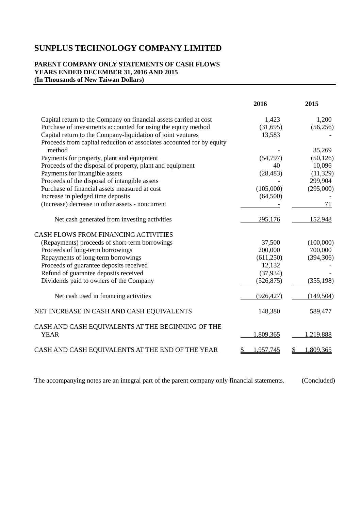## **PARENT COMPANY ONLY STATEMENTS OF CASH FLOWS YEARS ENDED DECEMBER 31, 2016 AND 2015 (In Thousands of New Taiwan Dollars)**

|                                                                       | 2016       | 2015       |
|-----------------------------------------------------------------------|------------|------------|
| Capital return to the Company on financial assets carried at cost     | 1,423      | 1,200      |
| Purchase of investments accounted for using the equity method         | (31,695)   | (56, 256)  |
| Capital return to the Company-liquidation of joint ventures           | 13,583     |            |
| Proceeds from capital reduction of associates accounted for by equity |            |            |
| method                                                                |            | 35,269     |
| Payments for property, plant and equipment                            | (54, 797)  | (50, 126)  |
| Proceeds of the disposal of property, plant and equipment             | 40         | 10,096     |
| Payments for intangible assets                                        | (28, 483)  | (11, 329)  |
| Proceeds of the disposal of intangible assets                         |            | 299,904    |
| Purchase of financial assets measured at cost                         | (105,000)  | (295,000)  |
| Increase in pledged time deposits                                     | (64,500)   |            |
| (Increase) decrease in other assets - noncurrent                      |            | 71         |
| Net cash generated from investing activities                          | 295,176    | 152,948    |
| CASH FLOWS FROM FINANCING ACTIVITIES                                  |            |            |
| (Repayments) proceeds of short-term borrowings                        | 37,500     | (100,000)  |
| Proceeds of long-term borrowings                                      | 200,000    | 700,000    |
| Repayments of long-term borrowings                                    | (611, 250) | (394, 306) |
| Proceeds of guarantee deposits received                               | 12,132     |            |
| Refund of guarantee deposits received                                 | (37, 934)  |            |
| Dividends paid to owners of the Company                               | (526, 875) | (355, 198) |
| Net cash used in financing activities                                 | (926, 427) | (149, 504) |
| NET INCREASE IN CASH AND CASH EQUIVALENTS                             | 148,380    | 589,477    |
| CASH AND CASH EQUIVALENTS AT THE BEGINNING OF THE<br><b>YEAR</b>      | 1,809,365  | 1,219,888  |
| CASH AND CASH EQUIVALENTS AT THE END OF THE YEAR                      | 1,957,745  | 1,809,365  |
|                                                                       |            |            |

The accompanying notes are an integral part of the parent company only financial statements. (Concluded)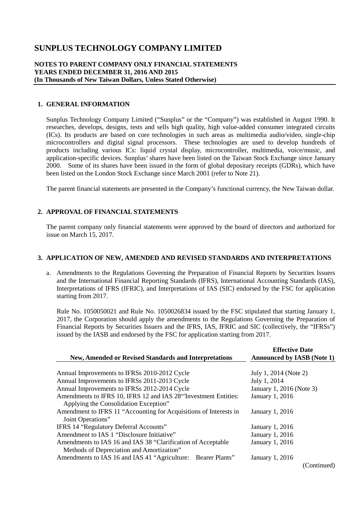## **NOTES TO PARENT COMPANY ONLY FINANCIAL STATEMENTS YEARS ENDED DECEMBER 31, 2016 AND 2015 (In Thousands of New Taiwan Dollars, Unless Stated Otherwise)**

### **1. GENERAL INFORMATION**

Sunplus Technology Company Limited ("Sunplus" or the "Company") was established in August 1990. It researches, develops, designs, tests and sells high quality, high value-added consumer integrated circuits (ICs). Its products are based on core technologies in such areas as multimedia audio/video, single-chip microcontrollers and digital signal processors. These technologies are used to develop hundreds of products including various ICs: liquid crystal display, microcontroller, multimedia, voice/music, and application-specific devices. Sunplus' shares have been listed on the Taiwan Stock Exchange since January 2000. Some of its shares have been issued in the form of global depositary receipts (GDRs), which have been listed on the London Stock Exchange since March 2001 (refer to Note 21).

The parent financial statements are presented in the Company's functional currency, the New Taiwan dollar.

## **2. APPROVAL OF FINANCIAL STATEMENTS**

The parent company only financial statements were approved by the board of directors and authorized for issue on March 15, 2017.

#### **3. APPLICATION OF NEW, AMENDED AND REVISED STANDARDS AND INTERPRETATIONS**

a. Amendments to the Regulations Governing the Preparation of Financial Reports by Securities Issuers and the International Financial Reporting Standards (IFRS), International Accounting Standards (IAS), Interpretations of IFRS (IFRIC), and Interpretations of IAS (SIC) endorsed by the FSC for application starting from 2017.

Rule No. 1050050021 and Rule No. 1050026834 issued by the FSC stipulated that starting January 1, 2017, the Corporation should apply the amendments to the Regulations Governing the Preparation of Financial Reports by Securities Issuers and the IFRS, IAS, IFRIC and SIC (collectively, the "IFRSs") issued by the IASB and endorsed by the FSC for application starting from 2017.

|                                                                   | <b>Effective Date</b>             |
|-------------------------------------------------------------------|-----------------------------------|
| <b>New, Amended or Revised Standards and Interpretations</b>      | <b>Announced by IASB (Note 1)</b> |
|                                                                   |                                   |
| Annual Improvements to IFRSs 2010-2012 Cycle                      | July 1, 2014 (Note 2)             |
| Annual Improvements to IFRSs 2011-2013 Cycle                      | July 1, 2014                      |
| Annual Improvements to IFRSs 2012-2014 Cycle                      | January 1, 2016 (Note 3)          |
| Amendments to IFRS 10, IFRS 12 and IAS 28" Investment Entities:   | January 1, 2016                   |
| Applying the Consolidation Exception"                             |                                   |
| Amendment to IFRS 11 "Accounting for Acquisitions of Interests in | January 1, 2016                   |
| Joint Operations"                                                 |                                   |
| <b>IFRS 14 "Regulatory Deferral Accounts"</b>                     | January 1, 2016                   |
| Amendment to IAS 1 "Disclosure Initiative"                        | January 1, 2016                   |
| Amendments to IAS 16 and IAS 38 "Clarification of Acceptable      | January 1, 2016                   |
| Methods of Depreciation and Amortization"                         |                                   |
| Amendments to IAS 16 and IAS 41 "Agriculture: Bearer Plants"      | January 1, 2016                   |
|                                                                   | $(\bigcap_{i=1}^n A_i)$           |

(Continued)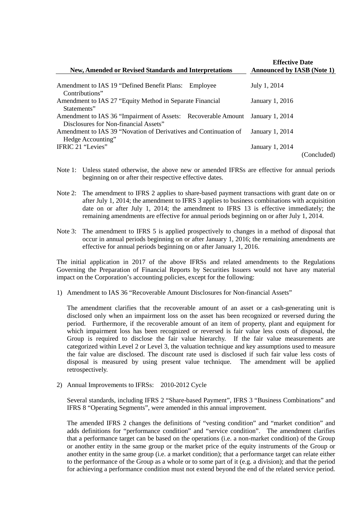| <b>New, Amended or Revised Standards and Interpretations</b>                                                           | <b>Effective Date</b><br><b>Announced by IASB (Note 1)</b> |
|------------------------------------------------------------------------------------------------------------------------|------------------------------------------------------------|
| Amendment to IAS 19 "Defined Benefit Plans:<br>Employee<br>Contributions"                                              | July 1, 2014                                               |
| Amendment to IAS 27 "Equity Method in Separate Financial<br>Statements"                                                | January 1, 2016                                            |
| Amendment to IAS 36 "Impairment of Assets: Recoverable Amount January 1, 2014<br>Disclosures for Non-financial Assets" |                                                            |
| Amendment to IAS 39 "Novation of Derivatives and Continuation of<br>Hedge Accounting"                                  | January 1, 2014                                            |
| IFRIC 21 "Levies"                                                                                                      | January 1, 2014<br>(Concluded)                             |

- Note 1: Unless stated otherwise, the above new or amended IFRSs are effective for annual periods beginning on or after their respective effective dates.
- Note 2: The amendment to IFRS 2 applies to share-based payment transactions with grant date on or after July 1, 2014; the amendment to IFRS 3 applies to business combinations with acquisition date on or after July 1, 2014; the amendment to IFRS 13 is effective immediately; the remaining amendments are effective for annual periods beginning on or after July 1, 2014.
- Note 3: The amendment to IFRS 5 is applied prospectively to changes in a method of disposal that occur in annual periods beginning on or after January 1, 2016; the remaining amendments are effective for annual periods beginning on or after January 1, 2016.

The initial application in 2017 of the above IFRSs and related amendments to the Regulations Governing the Preparation of Financial Reports by Securities Issuers would not have any material impact on the Corporation's accounting policies, except for the following:

1) Amendment to IAS 36 "Recoverable Amount Disclosures for Non-financial Assets"

The amendment clarifies that the recoverable amount of an asset or a cash-generating unit is disclosed only when an impairment loss on the asset has been recognized or reversed during the period. Furthermore, if the recoverable amount of an item of property, plant and equipment for which impairment loss has been recognized or reversed is fair value less costs of disposal, the Group is required to disclose the fair value hierarchy. If the fair value measurements are categorized within Level 2 or Level 3, the valuation technique and key assumptions used to measure the fair value are disclosed. The discount rate used is disclosed if such fair value less costs of disposal is measured by using present value technique. The amendment will be applied retrospectively.

2) Annual Improvements to IFRSs: 2010-2012 Cycle

Several standards, including IFRS 2 "Share-based Payment", IFRS 3 "Business Combinations" and IFRS 8 "Operating Segments", were amended in this annual improvement.

The amended IFRS 2 changes the definitions of "vesting condition" and "market condition" and adds definitions for "performance condition" and "service condition". The amendment clarifies that a performance target can be based on the operations (i.e. a non-market condition) of the Group or another entity in the same group or the market price of the equity instruments of the Group or another entity in the same group (i.e. a market condition); that a performance target can relate either to the performance of the Group as a whole or to some part of it (e.g. a division); and that the period for achieving a performance condition must not extend beyond the end of the related service period.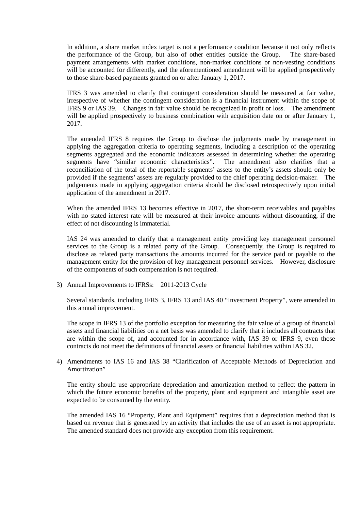In addition, a share market index target is not a performance condition because it not only reflects the performance of the Group, but also of other entities outside the Group. The share-based payment arrangements with market conditions, non-market conditions or non-vesting conditions will be accounted for differently, and the aforementioned amendment will be applied prospectively to those share-based payments granted on or after January 1, 2017.

IFRS 3 was amended to clarify that contingent consideration should be measured at fair value, irrespective of whether the contingent consideration is a financial instrument within the scope of IFRS 9 or IAS 39. Changes in fair value should be recognized in profit or loss. The amendment will be applied prospectively to business combination with acquisition date on or after January 1, 2017.

The amended IFRS 8 requires the Group to disclose the judgments made by management in applying the aggregation criteria to operating segments, including a description of the operating segments aggregated and the economic indicators assessed in determining whether the operating segments have "similar economic characteristics". The amendment also clarifies that a reconciliation of the total of the reportable segments' assets to the entity's assets should only be provided if the segments' assets are regularly provided to the chief operating decision-maker. The judgements made in applying aggregation criteria should be disclosed retrospectively upon initial application of the amendment in 2017.

When the amended IFRS 13 becomes effective in 2017, the short-term receivables and payables with no stated interest rate will be measured at their invoice amounts without discounting, if the effect of not discounting is immaterial.

IAS 24 was amended to clarify that a management entity providing key management personnel services to the Group is a related party of the Group. Consequently, the Group is required to disclose as related party transactions the amounts incurred for the service paid or payable to the management entity for the provision of key management personnel services. However, disclosure of the components of such compensation is not required.

3) Annual Improvements to IFRSs: 2011-2013 Cycle

Several standards, including IFRS 3, IFRS 13 and IAS 40 "Investment Property", were amended in this annual improvement.

The scope in IFRS 13 of the portfolio exception for measuring the fair value of a group of financial assets and financial liabilities on a net basis was amended to clarify that it includes all contracts that are within the scope of, and accounted for in accordance with, IAS 39 or IFRS 9, even those contracts do not meet the definitions of financial assets or financial liabilities within IAS 32.

4) Amendments to IAS 16 and IAS 38 "Clarification of Acceptable Methods of Depreciation and Amortization"

The entity should use appropriate depreciation and amortization method to reflect the pattern in which the future economic benefits of the property, plant and equipment and intangible asset are expected to be consumed by the entity.

The amended IAS 16 "Property, Plant and Equipment" requires that a depreciation method that is based on revenue that is generated by an activity that includes the use of an asset is not appropriate. The amended standard does not provide any exception from this requirement.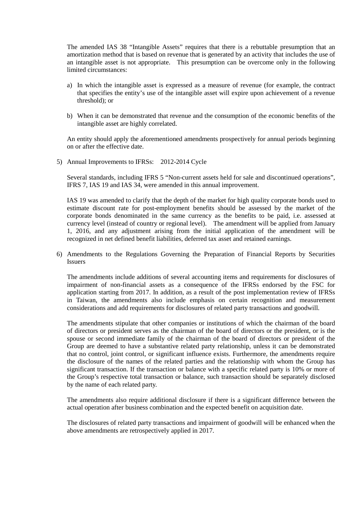The amended IAS 38 "Intangible Assets" requires that there is a rebuttable presumption that an amortization method that is based on revenue that is generated by an activity that includes the use of an intangible asset is not appropriate. This presumption can be overcome only in the following limited circumstances:

- a) In which the intangible asset is expressed as a measure of revenue (for example, the contract that specifies the entity's use of the intangible asset will expire upon achievement of a revenue threshold); or
- b) When it can be demonstrated that revenue and the consumption of the economic benefits of the intangible asset are highly correlated.

An entity should apply the aforementioned amendments prospectively for annual periods beginning on or after the effective date.

5) Annual Improvements to IFRSs: 2012-2014 Cycle

Several standards, including IFRS 5 "Non-current assets held for sale and discontinued operations", IFRS 7, IAS 19 and IAS 34, were amended in this annual improvement.

IAS 19 was amended to clarify that the depth of the market for high quality corporate bonds used to estimate discount rate for post-employment benefits should be assessed by the market of the corporate bonds denominated in the same currency as the benefits to be paid, i.e. assessed at currency level (instead of country or regional level). The amendment will be applied from January 1, 2016, and any adjustment arising from the initial application of the amendment will be recognized in net defined benefit liabilities, deferred tax asset and retained earnings.

6) Amendments to the Regulations Governing the Preparation of Financial Reports by Securities Issuers

The amendments include additions of several accounting items and requirements for disclosures of impairment of non-financial assets as a consequence of the IFRSs endorsed by the FSC for application starting from 2017. In addition, as a result of the post implementation review of IFRSs in Taiwan, the amendments also include emphasis on certain recognition and measurement considerations and add requirements for disclosures of related party transactions and goodwill.

The amendments stipulate that other companies or institutions of which the chairman of the board of directors or president serves as the chairman of the board of directors or the president, or is the spouse or second immediate family of the chairman of the board of directors or president of the Group are deemed to have a substantive related party relationship, unless it can be demonstrated that no control, joint control, or significant influence exists. Furthermore, the amendments require the disclosure of the names of the related parties and the relationship with whom the Group has significant transaction. If the transaction or balance with a specific related party is 10% or more of the Group's respective total transaction or balance, such transaction should be separately disclosed by the name of each related party.

The amendments also require additional disclosure if there is a significant difference between the actual operation after business combination and the expected benefit on acquisition date.

The disclosures of related party transactions and impairment of goodwill will be enhanced when the above amendments are retrospectively applied in 2017.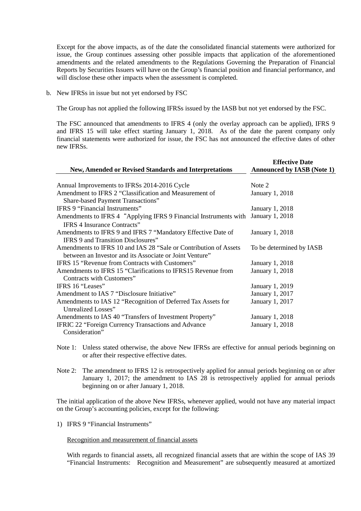Except for the above impacts, as of the date the consolidated financial statements were authorized for issue, the Group continues assessing other possible impacts that application of the aforementioned amendments and the related amendments to the Regulations Governing the Preparation of Financial Reports by Securities Issuers will have on the Group's financial position and financial performance, and will disclose these other impacts when the assessment is completed.

b. New IFRSs in issue but not yet endorsed by FSC

The Group has not applied the following IFRSs issued by the IASB but not yet endorsed by the FSC.

The FSC announced that amendments to IFRS 4 (only the overlay approach can be applied), IFRS 9 and IFRS 15 will take effect starting January 1, 2018. As of the date the parent company only financial statements were authorized for issue, the FSC has not announced the effective dates of other new IFRSs.

|                                                                  | <b>Effective Date</b>             |
|------------------------------------------------------------------|-----------------------------------|
| <b>New, Amended or Revised Standards and Interpretations</b>     | <b>Announced by IASB (Note 1)</b> |
|                                                                  |                                   |
| Annual Improvements to IFRSs 2014-2016 Cycle                     | Note 2                            |
| Amendment to IFRS 2 "Classification and Measurement of           | January 1, 2018                   |
| <b>Share-based Payment Transactions"</b>                         |                                   |
| <b>IFRS 9 "Financial Instruments"</b>                            | January 1, 2018                   |
| Amendments to IFRS 4 "Applying IFRS 9 Financial Instruments with | January 1, 2018                   |
| <b>IFRS 4 Insurance Contracts</b> "                              |                                   |
| Amendments to IFRS 9 and IFRS 7 "Mandatory Effective Date of     | <b>January 1, 2018</b>            |
| <b>IFRS 9 and Transition Disclosures"</b>                        |                                   |
| Amendments to IFRS 10 and IAS 28 "Sale or Contribution of Assets | To be determined by IASB          |
| between an Investor and its Associate or Joint Venture"          |                                   |
| <b>IFRS 15 "Revenue from Contracts with Customers"</b>           | <b>January 1, 2018</b>            |
| Amendments to IFRS 15 "Clarifications to IFRS15 Revenue from     | January 1, 2018                   |
| Contracts with Customers"                                        |                                   |
| IFRS 16 "Leases"                                                 | <b>January 1, 2019</b>            |
| Amendment to IAS 7 "Disclosure Initiative"                       | January 1, 2017                   |
| Amendments to IAS 12 "Recognition of Deferred Tax Assets for     | January 1, 2017                   |
| Unrealized Losses"                                               |                                   |
| Amendments to IAS 40 "Transfers of Investment Property"          | <b>January 1, 2018</b>            |
| <b>IFRIC 22 "Foreign Currency Transactions and Advance</b>       | January 1, 2018                   |
| Consideration"                                                   |                                   |

Note 1: Unless stated otherwise, the above New IFRSs are effective for annual periods beginning on or after their respective effective dates.

Note 2: The amendment to IFRS 12 is retrospectively applied for annual periods beginning on or after January 1, 2017; the amendment to IAS 28 is retrospectively applied for annual periods beginning on or after January 1, 2018.

The initial application of the above New IFRSs, whenever applied, would not have any material impact on the Group's accounting policies, except for the following:

1) IFRS 9 "Financial Instruments"

#### Recognition and measurement of financial assets

With regards to financial assets, all recognized financial assets that are within the scope of IAS 39 "Financial Instruments: Recognition and Measurement" are subsequently measured at amortized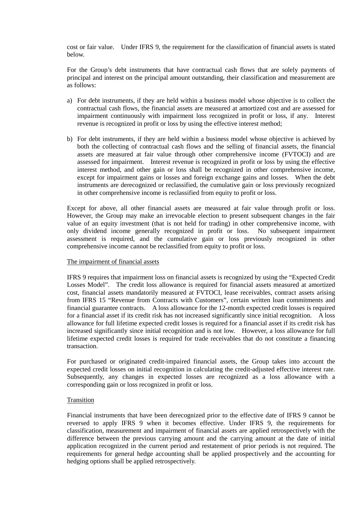cost or fair value. Under IFRS 9, the requirement for the classification of financial assets is stated below.

For the Group's debt instruments that have contractual cash flows that are solely payments of principal and interest on the principal amount outstanding, their classification and measurement are as follows:

- a) For debt instruments, if they are held within a business model whose objective is to collect the contractual cash flows, the financial assets are measured at amortized cost and are assessed for impairment continuously with impairment loss recognized in profit or loss, if any. Interest revenue is recognized in profit or loss by using the effective interest method;
- b) For debt instruments, if they are held within a business model whose objective is achieved by both the collecting of contractual cash flows and the selling of financial assets, the financial assets are measured at fair value through other comprehensive income (FVTOCI) and are assessed for impairment. Interest revenue is recognized in profit or loss by using the effective interest method, and other gain or loss shall be recognized in other comprehensive income, except for impairment gains or losses and foreign exchange gains and losses. When the debt instruments are derecognized or reclassified, the cumulative gain or loss previously recognized in other comprehensive income is reclassified from equity to profit or loss.

Except for above, all other financial assets are measured at fair value through profit or loss. However, the Group may make an irrevocable election to present subsequent changes in the fair value of an equity investment (that is not held for trading) in other comprehensive income, with only dividend income generally recognized in profit or loss. No subsequent impairment assessment is required, and the cumulative gain or loss previously recognized in other comprehensive income cannot be reclassified from equity to profit or loss.

## The impairment of financial assets

IFRS 9 requires that impairment loss on financial assets is recognized by using the "Expected Credit Losses Model". The credit loss allowance is required for financial assets measured at amortized cost, financial assets mandatorily measured at FVTOCI, lease receivables, contract assets arising from IFRS 15 "Revenue from Contracts with Customers", certain written loan commitments and financial guarantee contracts. A loss allowance for the 12-month expected credit losses is required for a financial asset if its credit risk has not increased significantly since initial recognition. A loss allowance for full lifetime expected credit losses is required for a financial asset if its credit risk has increased significantly since initial recognition and is not low. However, a loss allowance for full lifetime expected credit losses is required for trade receivables that do not constitute a financing transaction.

For purchased or originated credit-impaired financial assets, the Group takes into account the expected credit losses on initial recognition in calculating the credit-adjusted effective interest rate. Subsequently, any changes in expected losses are recognized as a loss allowance with a corresponding gain or loss recognized in profit or loss.

## Transition

Financial instruments that have been derecognized prior to the effective date of IFRS 9 cannot be reversed to apply IFRS 9 when it becomes effective. Under IFRS 9, the requirements for classification, measurement and impairment of financial assets are applied retrospectively with the difference between the previous carrying amount and the carrying amount at the date of initial application recognized in the current period and restatement of prior periods is not required. The requirements for general hedge accounting shall be applied prospectively and the accounting for hedging options shall be applied retrospectively.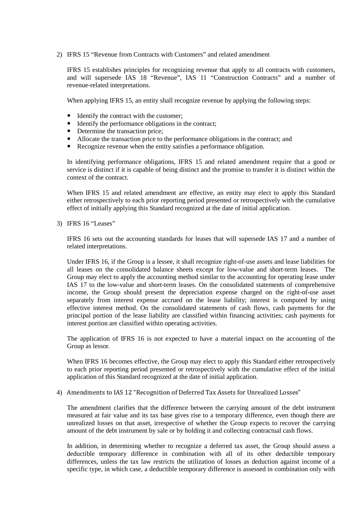2) IFRS 15 "Revenue from Contracts with Customers" and related amendment

IFRS 15 establishes principles for recognizing revenue that apply to all contracts with customers, and will supersede IAS 18 "Revenue", IAS 11 "Construction Contracts" and a number of revenue-related interpretations.

When applying IFRS 15, an entity shall recognize revenue by applying the following steps:

- Identify the contract with the customer;
- Identify the performance obligations in the contract;
- Determine the transaction price;
- Allocate the transaction price to the performance obligations in the contract; and
- Recognize revenue when the entity satisfies a performance obligation.

In identifying performance obligations, IFRS 15 and related amendment require that a good or service is distinct if it is capable of being distinct and the promise to transfer it is distinct within the context of the contract.

When IFRS 15 and related amendment are effective, an entity may elect to apply this Standard either retrospectively to each prior reporting period presented or retrospectively with the cumulative effect of initially applying this Standard recognized at the date of initial application.

3) IFRS 16 "Leases"

IFRS 16 sets out the accounting standards for leases that will supersede IAS 17 and a number of related interpretations.

Under IFRS 16, if the Group is a lessee, it shall recognize right-of-use assets and lease liabilities for all leases on the consolidated balance sheets except for low-value and short-term leases. The Group may elect to apply the accounting method similar to the accounting for operating lease under IAS 17 to the low-value and short-term leases. On the consolidated statements of comprehensive income, the Group should present the depreciation expense charged on the right-of-use asset separately from interest expense accrued on the lease liability; interest is computed by using effective interest method. On the consolidated statements of cash flows, cash payments for the principal portion of the lease liability are classified within financing activities; cash payments for interest portion are classified within operating activities.

The application of IFRS 16 is not expected to have a material impact on the accounting of the Group as lessor.

When IFRS 16 becomes effective, the Group may elect to apply this Standard either retrospectively to each prior reporting period presented or retrospectively with the cumulative effect of the initial application of this Standard recognized at the date of initial application.

## 4) Amendments to IAS 12 "Recognition of Deferred Tax Assets for Unrealized Losses"

The amendment clarifies that the difference between the carrying amount of the debt instrument measured at fair value and its tax base gives rise to a temporary difference, even though there are unrealized losses on that asset, irrespective of whether the Group expects to recover the carrying amount of the debt instrument by sale or by holding it and collecting contractual cash flows.

In addition, in determining whether to recognize a deferred tax asset, the Group should assess a deductible temporary difference in combination with all of its other deductible temporary differences, unless the tax law restricts the utilization of losses as deduction against income of a specific type, in which case, a deductible temporary difference is assessed in combination only with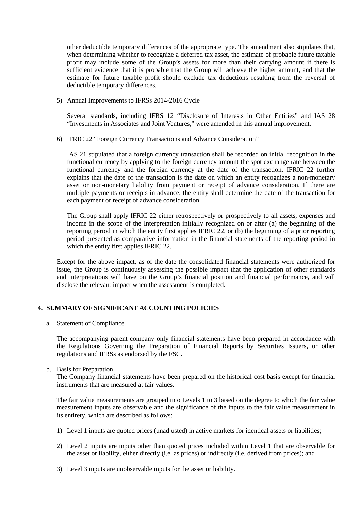other deductible temporary differences of the appropriate type. The amendment also stipulates that, when determining whether to recognize a deferred tax asset, the estimate of probable future taxable profit may include some of the Group's assets for more than their carrying amount if there is sufficient evidence that it is probable that the Group will achieve the higher amount, and that the estimate for future taxable profit should exclude tax deductions resulting from the reversal of deductible temporary differences.

5) Annual Improvements to IFRSs 2014-2016 Cycle

Several standards, including IFRS 12 "Disclosure of Interests in Other Entities" and IAS 28 "Investments in Associates and Joint Ventures," were amended in this annual improvement.

6) IFRIC 22 "Foreign Currency Transactions and Advance Consideration"

IAS 21 stipulated that a foreign currency transaction shall be recorded on initial recognition in the functional currency by applying to the foreign currency amount the spot exchange rate between the functional currency and the foreign currency at the date of the transaction. IFRIC 22 further explains that the date of the transaction is the date on which an entity recognizes a non-monetary asset or non-monetary liability from payment or receipt of advance consideration. If there are multiple payments or receipts in advance, the entity shall determine the date of the transaction for each payment or receipt of advance consideration.

The Group shall apply IFRIC 22 either retrospectively or prospectively to all assets, expenses and income in the scope of the Interpretation initially recognized on or after (a) the beginning of the reporting period in which the entity first applies IFRIC 22, or (b) the beginning of a prior reporting period presented as comparative information in the financial statements of the reporting period in which the entity first applies IFRIC 22.

Except for the above impact, as of the date the consolidated financial statements were authorized for issue, the Group is continuously assessing the possible impact that the application of other standards and interpretations will have on the Group's financial position and financial performance, and will disclose the relevant impact when the assessment is completed.

## **4. SUMMARY OF SIGNIFICANT ACCOUNTING POLICIES**

a. Statement of Compliance

The accompanying parent company only financial statements have been prepared in accordance with the Regulations Governing the Preparation of Financial Reports by Securities Issuers, or other regulations and IFRSs as endorsed by the FSC.

b. Basis for Preparation

The Company financial statements have been prepared on the historical cost basis except for financial instruments that are measured at fair values.

The fair value measurements are grouped into Levels 1 to 3 based on the degree to which the fair value measurement inputs are observable and the significance of the inputs to the fair value measurement in its entirety, which are described as follows:

- 1) Level 1 inputs are quoted prices (unadjusted) in active markets for identical assets or liabilities;
- 2) Level 2 inputs are inputs other than quoted prices included within Level 1 that are observable for the asset or liability, either directly (i.e. as prices) or indirectly (i.e. derived from prices); and
- 3) Level 3 inputs are unobservable inputs for the asset or liability.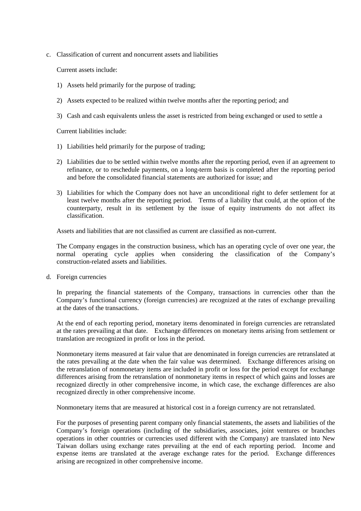c. Classification of current and noncurrent assets and liabilities

Current assets include:

- 1) Assets held primarily for the purpose of trading;
- 2) Assets expected to be realized within twelve months after the reporting period; and
- 3) Cash and cash equivalents unless the asset is restricted from being exchanged or used to settle a

Current liabilities include:

- 1) Liabilities held primarily for the purpose of trading;
- 2) Liabilities due to be settled within twelve months after the reporting period, even if an agreement to refinance, or to reschedule payments, on a long-term basis is completed after the reporting period and before the consolidated financial statements are authorized for issue; and
- 3) Liabilities for which the Company does not have an unconditional right to defer settlement for at least twelve months after the reporting period. Terms of a liability that could, at the option of the counterparty, result in its settlement by the issue of equity instruments do not affect its classification.

Assets and liabilities that are not classified as current are classified as non-current.

The Company engages in the construction business, which has an operating cycle of over one year, the normal operating cycle applies when considering the classification of the Company's construction-related assets and liabilities.

d. Foreign currencies

In preparing the financial statements of the Company, transactions in currencies other than the Company's functional currency (foreign currencies) are recognized at the rates of exchange prevailing at the dates of the transactions.

At the end of each reporting period, monetary items denominated in foreign currencies are retranslated at the rates prevailing at that date. Exchange differences on monetary items arising from settlement or translation are recognized in profit or loss in the period.

Nonmonetary items measured at fair value that are denominated in foreign currencies are retranslated at the rates prevailing at the date when the fair value was determined. Exchange differences arising on the retranslation of nonmonetary items are included in profit or loss for the period except for exchange differences arising from the retranslation of nonmonetary items in respect of which gains and losses are recognized directly in other comprehensive income, in which case, the exchange differences are also recognized directly in other comprehensive income.

Nonmonetary items that are measured at historical cost in a foreign currency are not retranslated.

For the purposes of presenting parent company only financial statements, the assets and liabilities of the Company's foreign operations (including of the subsidiaries, associates, joint ventures or branches operations in other countries or currencies used different with the Company) are translated into New Taiwan dollars using exchange rates prevailing at the end of each reporting period. Income and expense items are translated at the average exchange rates for the period. Exchange differences arising are recognized in other comprehensive income.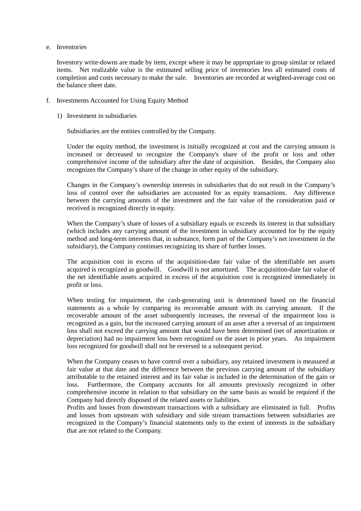#### e. Inventories

Inventory write-downs are made by item, except where it may be appropriate to group similar or related items. Net realizable value is the estimated selling price of inventories less all estimated costs of completion and costs necessary to make the sale. Inventories are recorded at weighted-average cost on the balance sheet date.

### f. Investments Accounted for Using Equity Method

#### 1) Investment in subsidiaries

Subsidiaries are the entities controlled by the Company.

Under the equity method, the investment is initially recognized at cost and the carrying amount is increased or decreased to recognize the Company's share of the profit or loss and other comprehensive income of the subsidiary after the date of acquisition. Besides, the Company also recognizes the Company's share of the change in other equity of the subsidiary.

Changes in the Company's ownership interests in subsidiaries that do not result in the Company's loss of control over the subsidiaries are accounted for as equity transactions. Any difference between the carrying amounts of the investment and the fair value of the consideration paid or received is recognized directly in equity.

When the Company's share of losses of a subsidiary equals or exceeds its interest in that subsidiary (which includes any carrying amount of the investment in subsidiary accounted for by the equity method and long-term interests that, in substance, form part of the Company's net investment in the subsidiary), the Company continues recognizing its share of further losses.

The acquisition cost in excess of the acquisition-date fair value of the identifiable net assets acquired is recognized as goodwill. Goodwill is not amortized. The acquisition-date fair value of the net identifiable assets acquired in excess of the acquisition cost is recognized immediately in profit or loss.

When testing for impairment, the cash-generating unit is determined based on the financial statements as a whole by comparing its recoverable amount with its carrying amount. If the recoverable amount of the asset subsequently increases, the reversal of the impairment loss is recognized as a gain, but the increased carrying amount of an asset after a reversal of an impairment loss shall not exceed the carrying amount that would have been determined (net of amortization or depreciation) had no impairment loss been recognized on the asset in prior years. An impairment loss recognized for goodwill shall not be reversed in a subsequent period.

When the Company ceases to have control over a subsidiary, any retained investment is measured at fair value at that date and the difference between the previous carrying amount of the subsidiary attributable to the retained interest and its fair value is included in the determination of the gain or loss. Furthermore, the Company accounts for all amounts previously recognized in other comprehensive income in relation to that subsidiary on the same basis as would be required if the Company had directly disposed of the related assets or liabilities.

Profits and losses from downstream transactions with a subsidiary are eliminated in full. Profits and losses from upstream with subsidiary and side stream transactions between subsidiaries are recognized in the Company's financial statements only to the extent of interests in the subsidiary that are not related to the Company.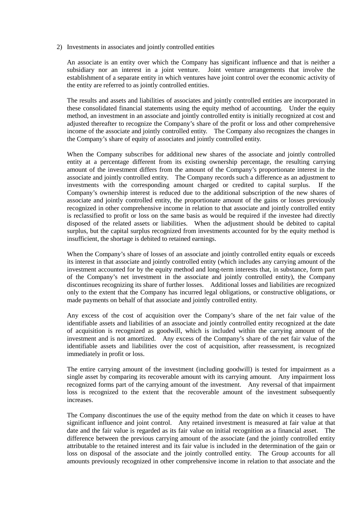2) Investments in associates and jointly controlled entities

An associate is an entity over which the Company has significant influence and that is neither a subsidiary nor an interest in a joint venture. Joint venture arrangements that involve the establishment of a separate entity in which ventures have joint control over the economic activity of the entity are referred to as jointly controlled entities.

The results and assets and liabilities of associates and jointly controlled entities are incorporated in these consolidated financial statements using the equity method of accounting. Under the equity method, an investment in an associate and jointly controlled entity is initially recognized at cost and adjusted thereafter to recognize the Company's share of the profit or loss and other comprehensive income of the associate and jointly controlled entity. The Company also recognizes the changes in the Company's share of equity of associates and jointly controlled entity.

When the Company subscribes for additional new shares of the associate and jointly controlled entity at a percentage different from its existing ownership percentage, the resulting carrying amount of the investment differs from the amount of the Company's proportionate interest in the associate and jointly controlled entity. The Company records such a difference as an adjustment to investments with the corresponding amount charged or credited to capital surplus. If the Company's ownership interest is reduced due to the additional subscription of the new shares of associate and jointly controlled entity, the proportionate amount of the gains or losses previously recognized in other comprehensive income in relation to that associate and jointly controlled entity is reclassified to profit or loss on the same basis as would be required if the investee had directly disposed of the related assets or liabilities. When the adjustment should be debited to capital surplus, but the capital surplus recognized from investments accounted for by the equity method is insufficient, the shortage is debited to retained earnings.

When the Company's share of losses of an associate and jointly controlled entity equals or exceeds its interest in that associate and jointly controlled entity (which includes any carrying amount of the investment accounted for by the equity method and long-term interests that, in substance, form part of the Company's net investment in the associate and jointly controlled entity), the Company discontinues recognizing its share of further losses. Additional losses and liabilities are recognized only to the extent that the Company has incurred legal obligations, or constructive obligations, or made payments on behalf of that associate and jointly controlled entity.

Any excess of the cost of acquisition over the Company's share of the net fair value of the identifiable assets and liabilities of an associate and jointly controlled entity recognized at the date of acquisition is recognized as goodwill, which is included within the carrying amount of the investment and is not amortized. Any excess of the Company's share of the net fair value of the identifiable assets and liabilities over the cost of acquisition, after reassessment, is recognized immediately in profit or loss.

The entire carrying amount of the investment (including goodwill) is tested for impairment as a single asset by comparing its recoverable amount with its carrying amount. Any impairment loss recognized forms part of the carrying amount of the investment. Any reversal of that impairment loss is recognized to the extent that the recoverable amount of the investment subsequently increases.

The Company discontinues the use of the equity method from the date on which it ceases to have significant influence and joint control. Any retained investment is measured at fair value at that date and the fair value is regarded as its fair value on initial recognition as a financial asset. The difference between the previous carrying amount of the associate (and the jointly controlled entity attributable to the retained interest and its fair value is included in the determination of the gain or loss on disposal of the associate and the jointly controlled entity. The Group accounts for all amounts previously recognized in other comprehensive income in relation to that associate and the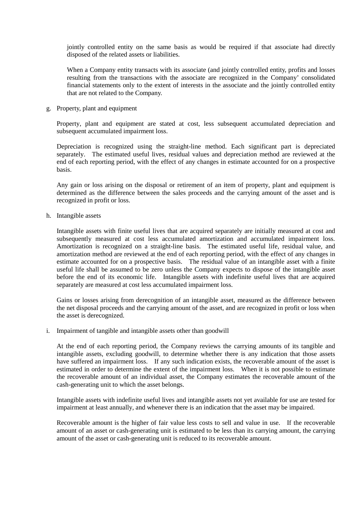jointly controlled entity on the same basis as would be required if that associate had directly disposed of the related assets or liabilities.

When a Company entity transacts with its associate (and jointly controlled entity, profits and losses resulting from the transactions with the associate are recognized in the Company' consolidated financial statements only to the extent of interests in the associate and the jointly controlled entity that are not related to the Company.

g. Property, plant and equipment

Property, plant and equipment are stated at cost, less subsequent accumulated depreciation and subsequent accumulated impairment loss.

Depreciation is recognized using the straight-line method. Each significant part is depreciated separately. The estimated useful lives, residual values and depreciation method are reviewed at the end of each reporting period, with the effect of any changes in estimate accounted for on a prospective basis.

Any gain or loss arising on the disposal or retirement of an item of property, plant and equipment is determined as the difference between the sales proceeds and the carrying amount of the asset and is recognized in profit or loss.

h. Intangible assets

Intangible assets with finite useful lives that are acquired separately are initially measured at cost and subsequently measured at cost less accumulated amortization and accumulated impairment loss. Amortization is recognized on a straight-line basis. The estimated useful life, residual value, and amortization method are reviewed at the end of each reporting period, with the effect of any changes in estimate accounted for on a prospective basis. The residual value of an intangible asset with a finite useful life shall be assumed to be zero unless the Company expects to dispose of the intangible asset before the end of its economic life. Intangible assets with indefinite useful lives that are acquired separately are measured at cost less accumulated impairment loss.

Gains or losses arising from derecognition of an intangible asset, measured as the difference between the net disposal proceeds and the carrying amount of the asset, and are recognized in profit or loss when the asset is derecognized.

i. Impairment of tangible and intangible assets other than goodwill

At the end of each reporting period, the Company reviews the carrying amounts of its tangible and intangible assets, excluding goodwill, to determine whether there is any indication that those assets have suffered an impairment loss. If any such indication exists, the recoverable amount of the asset is estimated in order to determine the extent of the impairment loss. When it is not possible to estimate the recoverable amount of an individual asset, the Company estimates the recoverable amount of the cash-generating unit to which the asset belongs.

Intangible assets with indefinite useful lives and intangible assets not yet available for use are tested for impairment at least annually, and whenever there is an indication that the asset may be impaired.

Recoverable amount is the higher of fair value less costs to sell and value in use. If the recoverable amount of an asset or cash-generating unit is estimated to be less than its carrying amount, the carrying amount of the asset or cash-generating unit is reduced to its recoverable amount.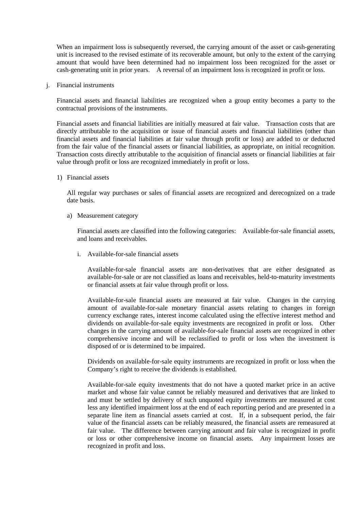When an impairment loss is subsequently reversed, the carrying amount of the asset or cash-generating unit is increased to the revised estimate of its recoverable amount, but only to the extent of the carrying amount that would have been determined had no impairment loss been recognized for the asset or cash-generating unit in prior years. A reversal of an impairment loss is recognized in profit or loss.

j. Financial instruments

Financial assets and financial liabilities are recognized when a group entity becomes a party to the contractual provisions of the instruments.

Financial assets and financial liabilities are initially measured at fair value. Transaction costs that are directly attributable to the acquisition or issue of financial assets and financial liabilities (other than financial assets and financial liabilities at fair value through profit or loss) are added to or deducted from the fair value of the financial assets or financial liabilities, as appropriate, on initial recognition. Transaction costs directly attributable to the acquisition of financial assets or financial liabilities at fair value through profit or loss are recognized immediately in profit or loss.

1) Financial assets

All regular way purchases or sales of financial assets are recognized and derecognized on a trade date basis.

a) Measurement category

Financial assets are classified into the following categories: Available-for-sale financial assets, and loans and receivables.

i. Available-for-sale financial assets

Available-for-sale financial assets are non-derivatives that are either designated as available-for-sale or are not classified as loans and receivables, held-to-maturity investments or financial assets at fair value through profit or loss.

Available-for-sale financial assets are measured at fair value. Changes in the carrying amount of available-for-sale monetary financial assets relating to changes in foreign currency exchange rates, interest income calculated using the effective interest method and dividends on available-for-sale equity investments are recognized in profit or loss. Other changes in the carrying amount of available-for-sale financial assets are recognized in other comprehensive income and will be reclassified to profit or loss when the investment is disposed of or is determined to be impaired.

Dividends on available-for-sale equity instruments are recognized in profit or loss when the Company's right to receive the dividends is established.

Available-for-sale equity investments that do not have a quoted market price in an active market and whose fair value cannot be reliably measured and derivatives that are linked to and must be settled by delivery of such unquoted equity investments are measured at cost less any identified impairment loss at the end of each reporting period and are presented in a separate line item as financial assets carried at cost. If, in a subsequent period, the fair value of the financial assets can be reliably measured, the financial assets are remeasured at fair value. The difference between carrying amount and fair value is recognized in profit or loss or other comprehensive income on financial assets. Any impairment losses are recognized in profit and loss.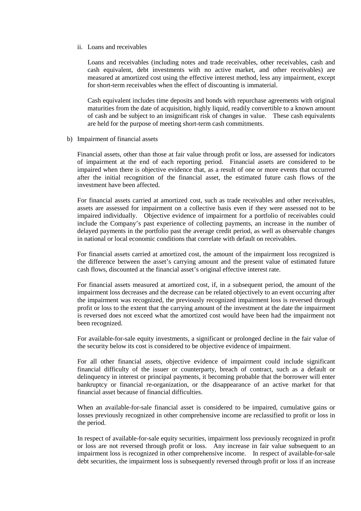#### ii. Loans and receivables

Loans and receivables (including notes and trade receivables, other receivables, cash and cash equivalent, debt investments with no active market, and other receivables) are measured at amortized cost using the effective interest method, less any impairment, except for short-term receivables when the effect of discounting is immaterial.

Cash equivalent includes time deposits and bonds with repurchase agreements with original maturities from the date of acquisition, highly liquid, readily convertible to a known amount of cash and be subject to an insignificant risk of changes in value. These cash equivalents are held for the purpose of meeting short-term cash commitments.

b) Impairment of financial assets

Financial assets, other than those at fair value through profit or loss, are assessed for indicators of impairment at the end of each reporting period. Financial assets are considered to be impaired when there is objective evidence that, as a result of one or more events that occurred after the initial recognition of the financial asset, the estimated future cash flows of the investment have been affected.

For financial assets carried at amortized cost, such as trade receivables and other receivables, assets are assessed for impairment on a collective basis even if they were assessed not to be impaired individually. Objective evidence of impairment for a portfolio of receivables could include the Company's past experience of collecting payments, an increase in the number of delayed payments in the portfolio past the average credit period, as well as observable changes in national or local economic conditions that correlate with default on receivables.

For financial assets carried at amortized cost, the amount of the impairment loss recognized is the difference between the asset's carrying amount and the present value of estimated future cash flows, discounted at the financial asset's original effective interest rate.

For financial assets measured at amortized cost, if, in a subsequent period, the amount of the impairment loss decreases and the decrease can be related objectively to an event occurring after the impairment was recognized, the previously recognized impairment loss is reversed through profit or loss to the extent that the carrying amount of the investment at the date the impairment is reversed does not exceed what the amortized cost would have been had the impairment not been recognized.

For available-for-sale equity investments, a significant or prolonged decline in the fair value of the security below its cost is considered to be objective evidence of impairment.

For all other financial assets, objective evidence of impairment could include significant financial difficulty of the issuer or counterparty, breach of contract, such as a default or delinquency in interest or principal payments, it becoming probable that the borrower will enter bankruptcy or financial re-organization, or the disappearance of an active market for that financial asset because of financial difficulties.

When an available-for-sale financial asset is considered to be impaired, cumulative gains or losses previously recognized in other comprehensive income are reclassified to profit or loss in the period.

In respect of available-for-sale equity securities, impairment loss previously recognized in profit or loss are not reversed through profit or loss. Any increase in fair value subsequent to an impairment loss is recognized in other comprehensive income. In respect of available-for-sale debt securities, the impairment loss is subsequently reversed through profit or loss if an increase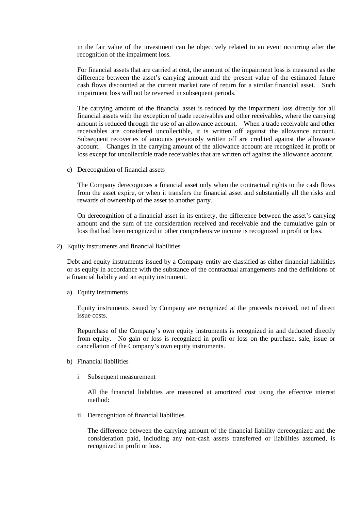in the fair value of the investment can be objectively related to an event occurring after the recognition of the impairment loss.

For financial assets that are carried at cost, the amount of the impairment loss is measured as the difference between the asset's carrying amount and the present value of the estimated future cash flows discounted at the current market rate of return for a similar financial asset. Such impairment loss will not be reversed in subsequent periods.

The carrying amount of the financial asset is reduced by the impairment loss directly for all financial assets with the exception of trade receivables and other receivables, where the carrying amount is reduced through the use of an allowance account. When a trade receivable and other receivables are considered uncollectible, it is written off against the allowance account. Subsequent recoveries of amounts previously written off are credited against the allowance account. Changes in the carrying amount of the allowance account are recognized in profit or loss except for uncollectible trade receivables that are written off against the allowance account.

c) Derecognition of financial assets

The Company derecognizes a financial asset only when the contractual rights to the cash flows from the asset expire, or when it transfers the financial asset and substantially all the risks and rewards of ownership of the asset to another party.

On derecognition of a financial asset in its entirety, the difference between the asset's carrying amount and the sum of the consideration received and receivable and the cumulative gain or loss that had been recognized in other comprehensive income is recognized in profit or loss.

2) Equity instruments and financial liabilities

Debt and equity instruments issued by a Company entity are classified as either financial liabilities or as equity in accordance with the substance of the contractual arrangements and the definitions of a financial liability and an equity instrument.

a) Equity instruments

Equity instruments issued by Company are recognized at the proceeds received, net of direct issue costs.

Repurchase of the Company's own equity instruments is recognized in and deducted directly from equity. No gain or loss is recognized in profit or loss on the purchase, sale, issue or cancellation of the Company's own equity instruments.

- b) Financial liabilities
	- i Subsequent measurement

All the financial liabilities are measured at amortized cost using the effective interest method:

ii Derecognition of financial liabilities

The difference between the carrying amount of the financial liability derecognized and the consideration paid, including any non-cash assets transferred or liabilities assumed, is recognized in profit or loss.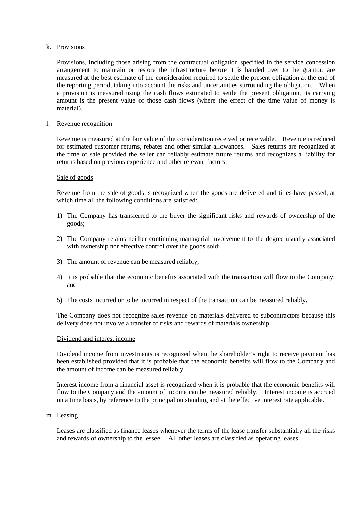### k. Provisions

Provisions, including those arising from the contractual obligation specified in the service concession arrangement to maintain or restore the infrastructure before it is handed over to the grantor, are measured at the best estimate of the consideration required to settle the present obligation at the end of the reporting period, taking into account the risks and uncertainties surrounding the obligation. When a provision is measured using the cash flows estimated to settle the present obligation, its carrying amount is the present value of those cash flows (where the effect of the time value of money is material).

l. Revenue recognition

Revenue is measured at the fair value of the consideration received or receivable. Revenue is reduced for estimated customer returns, rebates and other similar allowances. Sales returns are recognized at the time of sale provided the seller can reliably estimate future returns and recognizes a liability for returns based on previous experience and other relevant factors.

#### Sale of goods

Revenue from the sale of goods is recognized when the goods are delivered and titles have passed, at which time all the following conditions are satisfied:

- 1) The Company has transferred to the buyer the significant risks and rewards of ownership of the goods;
- 2) The Company retains neither continuing managerial involvement to the degree usually associated with ownership nor effective control over the goods sold;
- 3) The amount of revenue can be measured reliably;
- 4) It is probable that the economic benefits associated with the transaction will flow to the Company; and
- 5) The costs incurred or to be incurred in respect of the transaction can be measured reliably.

The Company does not recognize sales revenue on materials delivered to subcontractors because this delivery does not involve a transfer of risks and rewards of materials ownership.

#### Dividend and interest income

Dividend income from investments is recognized when the shareholder's right to receive payment has been established provided that it is probable that the economic benefits will flow to the Company and the amount of income can be measured reliably.

Interest income from a financial asset is recognized when it is probable that the economic benefits will flow to the Company and the amount of income can be measured reliably. Interest income is accrued on a time basis, by reference to the principal outstanding and at the effective interest rate applicable.

m. Leasing

Leases are classified as finance leases whenever the terms of the lease transfer substantially all the risks and rewards of ownership to the lessee. All other leases are classified as operating leases.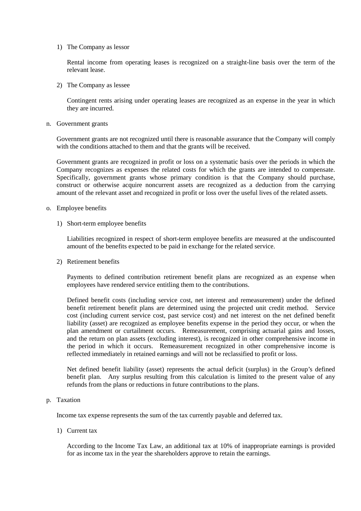1) The Company as lessor

Rental income from operating leases is recognized on a straight-line basis over the term of the relevant lease.

2) The Company as lessee

Contingent rents arising under operating leases are recognized as an expense in the year in which they are incurred.

n. Government grants

Government grants are not recognized until there is reasonable assurance that the Company will comply with the conditions attached to them and that the grants will be received.

Government grants are recognized in profit or loss on a systematic basis over the periods in which the Company recognizes as expenses the related costs for which the grants are intended to compensate. Specifically, government grants whose primary condition is that the Company should purchase, construct or otherwise acquire noncurrent assets are recognized as a deduction from the carrying amount of the relevant asset and recognized in profit or loss over the useful lives of the related assets.

- o. Employee benefits
	- 1) Short-term employee benefits

Liabilities recognized in respect of short-term employee benefits are measured at the undiscounted amount of the benefits expected to be paid in exchange for the related service.

2) Retirement benefits

Payments to defined contribution retirement benefit plans are recognized as an expense when employees have rendered service entitling them to the contributions.

Defined benefit costs (including service cost, net interest and remeasurement) under the defined benefit retirement benefit plans are determined using the projected unit credit method. Service cost (including current service cost, past service cost) and net interest on the net defined benefit liability (asset) are recognized as employee benefits expense in the period they occur, or when the plan amendment or curtailment occurs. Remeasurement, comprising actuarial gains and losses, and the return on plan assets (excluding interest), is recognized in other comprehensive income in the period in which it occurs. Remeasurement recognized in other comprehensive income is reflected immediately in retained earnings and will not be reclassified to profit or loss.

Net defined benefit liability (asset) represents the actual deficit (surplus) in the Group's defined benefit plan. Any surplus resulting from this calculation is limited to the present value of any refunds from the plans or reductions in future contributions to the plans.

p. Taxation

Income tax expense represents the sum of the tax currently payable and deferred tax.

1) Current tax

According to the Income Tax Law, an additional tax at 10% of inappropriate earnings is provided for as income tax in the year the shareholders approve to retain the earnings.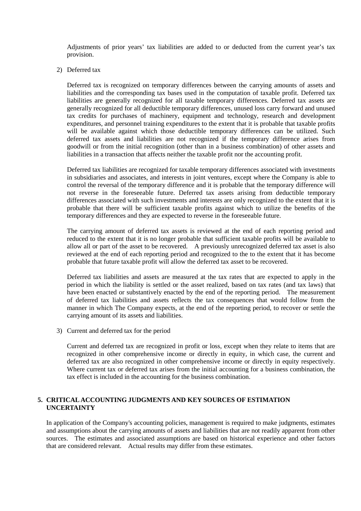Adjustments of prior years' tax liabilities are added to or deducted from the current year's tax provision.

2) Deferred tax

Deferred tax is recognized on temporary differences between the carrying amounts of assets and liabilities and the corresponding tax bases used in the computation of taxable profit. Deferred tax liabilities are generally recognized for all taxable temporary differences. Deferred tax assets are generally recognized for all deductible temporary differences, unused loss carry forward and unused tax credits for purchases of machinery, equipment and technology, research and development expenditures, and personnel training expenditures to the extent that it is probable that taxable profits will be available against which those deductible temporary differences can be utilized. Such deferred tax assets and liabilities are not recognized if the temporary difference arises from goodwill or from the initial recognition (other than in a business combination) of other assets and liabilities in a transaction that affects neither the taxable profit nor the accounting profit.

Deferred tax liabilities are recognized for taxable temporary differences associated with investments in subsidiaries and associates, and interests in joint ventures, except where the Company is able to control the reversal of the temporary difference and it is probable that the temporary difference will not reverse in the foreseeable future. Deferred tax assets arising from deductible temporary differences associated with such investments and interests are only recognized to the extent that it is probable that there will be sufficient taxable profits against which to utilize the benefits of the temporary differences and they are expected to reverse in the foreseeable future.

The carrying amount of deferred tax assets is reviewed at the end of each reporting period and reduced to the extent that it is no longer probable that sufficient taxable profits will be available to allow all or part of the asset to be recovered. A previously unrecognized deferred tax asset is also reviewed at the end of each reporting period and recognized to the to the extent that it has become probable that future taxable profit will allow the deferred tax asset to be recovered.

Deferred tax liabilities and assets are measured at the tax rates that are expected to apply in the period in which the liability is settled or the asset realized, based on tax rates (and tax laws) that have been enacted or substantively enacted by the end of the reporting period. The measurement of deferred tax liabilities and assets reflects the tax consequences that would follow from the manner in which The Company expects, at the end of the reporting period, to recover or settle the carrying amount of its assets and liabilities.

3) Current and deferred tax for the period

Current and deferred tax are recognized in profit or loss, except when they relate to items that are recognized in other comprehensive income or directly in equity, in which case, the current and deferred tax are also recognized in other comprehensive income or directly in equity respectively. Where current tax or deferred tax arises from the initial accounting for a business combination, the tax effect is included in the accounting for the business combination.

## **5. CRITICAL ACCOUNTING JUDGMENTS AND KEY SOURCES OF ESTIMATION UNCERTAINTY**

In application of the Company's accounting policies, management is required to make judgments, estimates and assumptions about the carrying amounts of assets and liabilities that are not readily apparent from other sources. The estimates and associated assumptions are based on historical experience and other factors that are considered relevant. Actual results may differ from these estimates.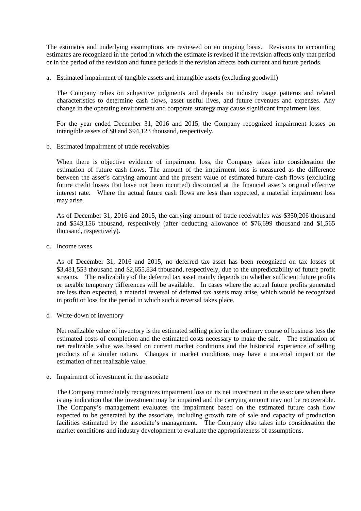The estimates and underlying assumptions are reviewed on an ongoing basis. Revisions to accounting estimates are recognized in the period in which the estimate is revised if the revision affects only that period or in the period of the revision and future periods if the revision affects both current and future periods.

a. Estimated impairment of tangible assets and intangible assets (excluding goodwill)

The Company relies on subjective judgments and depends on industry usage patterns and related characteristics to determine cash flows, asset useful lives, and future revenues and expenses. Any change in the operating environment and corporate strategy may cause significant impairment loss.

For the year ended December 31, 2016 and 2015, the Company recognized impairment losses on intangible assets of \$0 and \$94,123 thousand, respectively.

b. Estimated impairment of trade receivables

When there is objective evidence of impairment loss, the Company takes into consideration the estimation of future cash flows. The amount of the impairment loss is measured as the difference between the asset's carrying amount and the present value of estimated future cash flows (excluding future credit losses that have not been incurred) discounted at the financial asset's original effective interest rate. Where the actual future cash flows are less than expected, a material impairment loss may arise.

As of December 31, 2016 and 2015, the carrying amount of trade receivables was \$350,206 thousand and \$543,156 thousand, respectively (after deducting allowance of \$76,699 thousand and \$1,565 thousand, respectively).

c. Income taxes

As of December 31, 2016 and 2015, no deferred tax asset has been recognized on tax losses of \$3,481,553 thousand and \$2,655,834 thousand, respectively, due to the unpredictability of future profit streams. The realizability of the deferred tax asset mainly depends on whether sufficient future profits or taxable temporary differences will be available. In cases where the actual future profits generated are less than expected, a material reversal of deferred tax assets may arise, which would be recognized in profit or loss for the period in which such a reversal takes place.

d. Write-down of inventory

Net realizable value of inventory is the estimated selling price in the ordinary course of business less the estimated costs of completion and the estimated costs necessary to make the sale. The estimation of net realizable value was based on current market conditions and the historical experience of selling products of a similar nature. Changes in market conditions may have a material impact on the estimation of net realizable value.

e. Impairment of investment in the associate

The Company immediately recognizes impairment loss on its net investment in the associate when there is any indication that the investment may be impaired and the carrying amount may not be recoverable. The Company's management evaluates the impairment based on the estimated future cash flow expected to be generated by the associate, including growth rate of sale and capacity of production facilities estimated by the associate's management. The Company also takes into consideration the market conditions and industry development to evaluate the appropriateness of assumptions.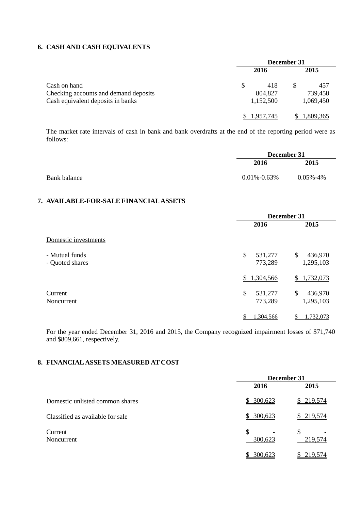## **6. CASH AND CASH EQUIVALENTS**

|                                                                                            | December 31 |                             |   |                             |  |
|--------------------------------------------------------------------------------------------|-------------|-----------------------------|---|-----------------------------|--|
|                                                                                            |             | 2016                        |   | 2015                        |  |
| Cash on hand<br>Checking accounts and demand deposits<br>Cash equivalent deposits in banks | \$          | 418<br>804,827<br>1,152,500 | S | 457<br>739,458<br>1,069,450 |  |
|                                                                                            |             | 1.957.745                   |   | 1,809,365                   |  |

The market rate intervals of cash in bank and bank overdrafts at the end of the reporting period were as follows:

|              | December 31       |              |  |
|--------------|-------------------|--------------|--|
|              | 2016              | 2015         |  |
| Bank balance | $0.01\% - 0.63\%$ | $0.05\%$ -4% |  |

## **7. AVAILABLE-FOR-SALE FINANCIAL ASSETS**

|                                   | December 31              |                            |
|-----------------------------------|--------------------------|----------------------------|
|                                   | 2016                     | 2015                       |
| Domestic investments              |                          |                            |
| - Mutual funds<br>- Quoted shares | \$<br>531,277<br>773,289 | \$<br>436,970<br>1,295,103 |
|                                   | 1,304,566<br>\$.         | 1,732,073<br>\$.           |
| Current<br>Noncurrent             | \$<br>531,277<br>773,289 | \$<br>436,970<br>1,295,103 |
|                                   | 1,304,566                | .732.073                   |

For the year ended December 31, 2016 and 2015, the Company recognized impairment losses of \$71,740 and \$809,661, respectively.

## **8. FINANCIAL ASSETS MEASURED AT COST**

|                                  | December 31                               |               |
|----------------------------------|-------------------------------------------|---------------|
|                                  | 2016                                      | 2015          |
| Domestic unlisted common shares  | \$300,623                                 | \$219,574     |
| Classified as available for sale | \$300,623                                 | 219,574       |
| Current<br>Noncurrent            | \$<br>$\overline{\phantom{a}}$<br>300,623 | \$<br>219,574 |
|                                  | \$300,623                                 | 219,574       |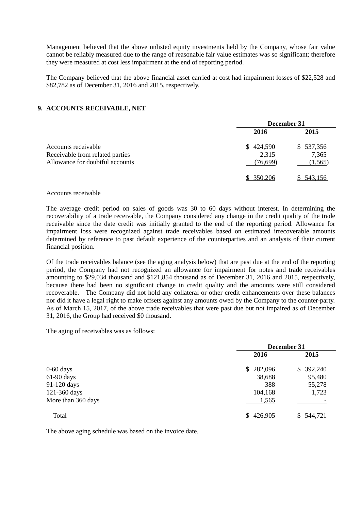Management believed that the above unlisted equity investments held by the Company, whose fair value cannot be reliably measured due to the range of reasonable fair value estimates was so significant; therefore they were measured at cost less impairment at the end of reporting period.

The Company believed that the above financial asset carried at cost had impairment losses of \$22,528 and \$82,782 as of December 31, 2016 and 2015, respectively.

## **9. ACCOUNTS RECEIVABLE, NET**

|                                 | December 31 |           |
|---------------------------------|-------------|-----------|
|                                 | 2016        | 2015      |
| Accounts receivable             | \$424,590   | \$537,356 |
| Receivable from related parties | 2,315       | 7,365     |
| Allowance for doubtful accounts | (76.699)    | (1, 565)  |
|                                 | 350,206     | 543.156   |

#### Accounts receivable

The average credit period on sales of goods was 30 to 60 days without interest. In determining the recoverability of a trade receivable, the Company considered any change in the credit quality of the trade receivable since the date credit was initially granted to the end of the reporting period. Allowance for impairment loss were recognized against trade receivables based on estimated irrecoverable amounts determined by reference to past default experience of the counterparties and an analysis of their current financial position.

Of the trade receivables balance (see the aging analysis below) that are past due at the end of the reporting period, the Company had not recognized an allowance for impairment for notes and trade receivables amounting to \$29,034 thousand and \$121,854 thousand as of December 31, 2016 and 2015, respectively, because there had been no significant change in credit quality and the amounts were still considered recoverable. The Company did not hold any collateral or other credit enhancements over these balances nor did it have a legal right to make offsets against any amounts owed by the Company to the counter-party. As of March 15, 2017, of the above trade receivables that were past due but not impaired as of December 31, 2016, the Group had received \$0 thousand.

The aging of receivables was as follows:

|                    | December 31 |               |
|--------------------|-------------|---------------|
|                    | 2016        | 2015          |
| $0-60$ days        | \$282,096   | 392,240<br>S. |
| 61-90 days         | 38,688      | 95,480        |
| 91-120 days        | 388         | 55,278        |
| 121-360 days       | 104,168     | 1,723         |
| More than 360 days | 1,565       |               |
| Total              | \$426,905   | 544,721       |

The above aging schedule was based on the invoice date.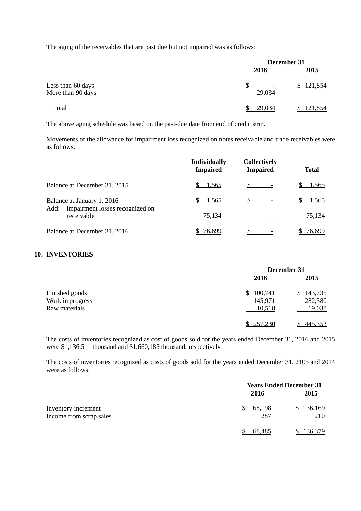The aging of the receivables that are past due but not impaired was as follows:

|                                        |                                         | December 31 |  |
|----------------------------------------|-----------------------------------------|-------------|--|
|                                        | 2016                                    | 2015        |  |
| Less than 60 days<br>More than 90 days | S<br>$\overline{\phantom{a}}$<br>29,034 | \$121,854   |  |
| Total                                  | 29,034                                  | 121,854     |  |

The above aging schedule was based on the past-due date from end of credit term.

Movements of the allowance for impairment loss recognized on notes receivable and trade receivables were as follows:

|                                                                       | <b>Individually</b><br><b>Impaired</b> | <b>Collectively</b><br><b>Impaired</b> | <b>Total</b> |
|-----------------------------------------------------------------------|----------------------------------------|----------------------------------------|--------------|
| Balance at December 31, 2015                                          | 1,565                                  |                                        | <u>1,565</u> |
| Balance at January 1, 2016<br>Impairment losses recognized on<br>Add: | 1,565<br>\$.                           | \$                                     | 1,565        |
| receivable                                                            | 75,134                                 |                                        | 75,134       |
| Balance at December 31, 2016                                          | 76,699                                 |                                        | 76,699       |

## **10. INVENTORIES**

|                  | December 31 |           |
|------------------|-------------|-----------|
|                  | 2016        | 2015      |
| Finished goods   | \$100,741   | \$143,735 |
| Work in progress | 145,971     | 282,580   |
| Raw materials    | 10,518      | 19,038    |
|                  | \$257,230   | 445,353   |

The costs of inventories recognized as cost of goods sold for the years ended December 31, 2016 and 2015 were \$1,136,511 thousand and \$1,660,185 thousand, respectively.

The costs of inventories recognized as costs of goods sold for the years ended December 31, 2105 and 2014 were as follows:

|                                                |               | <b>Years Ended December 31</b> |  |
|------------------------------------------------|---------------|--------------------------------|--|
|                                                | 2016          | 2015                           |  |
| Inventory increment<br>Income from scrap sales | 68,198<br>287 | \$136,169<br>210               |  |
|                                                | 68,485        | 36,379                         |  |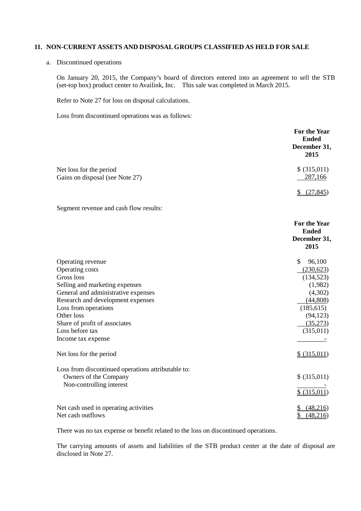## **11. NON-CURRENT ASSETS AND DISPOSAL GROUPS CLASSIFIED AS HELD FOR SALE**

a. Discontinued operations

On January 20, 2015, the Company's board of directors entered into an agreement to sell the STB (set-top box) product center to Availink, Inc. This sale was completed in March 2015.

Refer to Note 27 for loss on disposal calculations.

Loss from discontinued operations was as follows:

|                                                    | <b>For the Year</b><br><b>Ended</b><br>December 31,<br>2015 |
|----------------------------------------------------|-------------------------------------------------------------|
| Net loss for the period                            | \$ (315,011)<br><u>287,166</u>                              |
| Gains on disposal (see Note 27)                    |                                                             |
|                                                    | (27, 845)<br>\$_                                            |
| Segment revenue and cash flow results:             |                                                             |
|                                                    | <b>For the Year</b><br><b>Ended</b><br>December 31,         |
|                                                    | 2015                                                        |
| Operating revenue                                  | \$<br>96,100                                                |
| Operating costs                                    | (230,623)                                                   |
| Gross loss                                         | (134, 523)                                                  |
| Selling and marketing expenses                     | (1,982)                                                     |
| General and administrative expenses                | (4,302)                                                     |
| Research and development expenses                  | (44,808)                                                    |
| Loss from operations                               | (185, 615)                                                  |
| Other loss                                         | (94, 123)                                                   |
| Share of profit of associates                      | (35,273)                                                    |
| Loss before tax                                    | (315,011)                                                   |
| Income tax expense                                 |                                                             |
| Net loss for the period                            | \$ (315,011)                                                |
| Loss from discontinued operations attributable to: |                                                             |
| Owners of the Company                              | \$ (315,011)                                                |
| Non-controlling interest                           |                                                             |
|                                                    | \$ (315,011)                                                |
| Net cash used in operating activities              | (48,216)                                                    |
| Net cash outflows                                  | (48,216)                                                    |

There was no tax expense or benefit related to the loss on discontinued operations.

The carrying amounts of assets and liabilities of the STB product center at the date of disposal are disclosed in Note 27.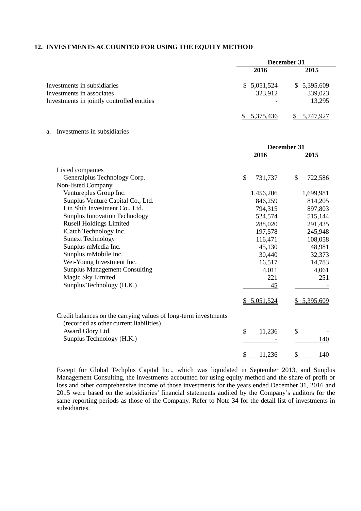## **12. INVESTMENTS ACCOUNTED FOR USING THE EQUITY METHOD**

|                                            | December 31  |             |
|--------------------------------------------|--------------|-------------|
|                                            | 2016         | 2015        |
| Investments in subsidiaries                | \$ 5,051,524 | \$5,395,609 |
| Investments in associates                  | 323,912      | 339,023     |
| Investments in jointly controlled entities |              | 13,295      |
|                                            | 5,375,436    | 5.747.927   |

#### a. Investments in subsidiaries

|                                                                                                            | December 31   |               |
|------------------------------------------------------------------------------------------------------------|---------------|---------------|
|                                                                                                            | 2016          | 2015          |
| Listed companies                                                                                           |               |               |
| Generalplus Technology Corp.                                                                               | \$<br>731,737 | \$<br>722,586 |
| Non-listed Company                                                                                         |               |               |
| Ventureplus Group Inc.                                                                                     | 1,456,206     | 1,699,981     |
| Sunplus Venture Capital Co., Ltd.                                                                          | 846,259       | 814,205       |
| Lin Shih Investment Co., Ltd.                                                                              | 794,315       | 897,803       |
| <b>Sunplus Innovation Technology</b>                                                                       | 524,574       | 515,144       |
| <b>Rusell Holdings Limited</b>                                                                             | 288,020       | 291,435       |
| iCatch Technology Inc.                                                                                     | 197,578       | 245,948       |
| <b>Sunext Technology</b>                                                                                   | 116,471       | 108,058       |
| Sunplus mMedia Inc.                                                                                        | 45,130        | 48,981        |
| Sunplus mMobile Inc.                                                                                       | 30,440        | 32,373        |
| Wei-Young Investment Inc.                                                                                  | 16,517        | 14,783        |
| <b>Sunplus Management Consulting</b>                                                                       | 4,011         | 4,061         |
| Magic Sky Limited                                                                                          | 221           | 251           |
| Sunplus Technology (H.K.)                                                                                  | 45            |               |
|                                                                                                            | 5,051,524     | 5,395,609     |
| Credit balances on the carrying values of long-term investments<br>(recorded as other current liabilities) |               |               |
| Award Glory Ltd.                                                                                           | \$<br>11,236  | \$            |
| Sunplus Technology (H.K.)                                                                                  |               | 140           |
|                                                                                                            | \$<br>11,236  | \$<br>140     |

Except for Global Techplus Capital Inc., which was liquidated in September 2013, and Sunplus Management Consulting, the investments accounted for using equity method and the share of profit or loss and other comprehensive income of those investments for the years ended December 31, 2016 and 2015 were based on the subsidiaries' financial statements audited by the Company's auditors for the same reporting periods as those of the Company. Refer to Note 34 for the detail list of investments in subsidiaries.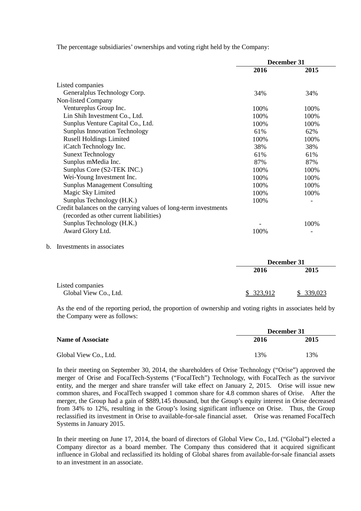The percentage subsidiaries' ownerships and voting right held by the Company:

|                                                                 |      | December 31 |  |
|-----------------------------------------------------------------|------|-------------|--|
|                                                                 | 2016 | 2015        |  |
| Listed companies                                                |      |             |  |
| Generalplus Technology Corp.                                    | 34%  | 34%         |  |
| Non-listed Company                                              |      |             |  |
| Ventureplus Group Inc.                                          | 100% | 100%        |  |
| Lin Shih Investment Co., Ltd.                                   | 100% | 100%        |  |
| Sunplus Venture Capital Co., Ltd.                               | 100% | 100%        |  |
| <b>Sunplus Innovation Technology</b>                            | 61%  | 62%         |  |
| <b>Rusell Holdings Limited</b>                                  | 100% | 100%        |  |
| iCatch Technology Inc.                                          | 38%  | 38%         |  |
| <b>Sunext Technology</b>                                        | 61%  | 61%         |  |
| Sunplus mMedia Inc.                                             | 87%  | 87%         |  |
| Sunplus Core (S2-TEK INC.)                                      | 100% | 100%        |  |
| Wei-Young Investment Inc.                                       | 100% | 100%        |  |
| <b>Sunplus Management Consulting</b>                            | 100% | 100%        |  |
| Magic Sky Limited                                               | 100% | 100%        |  |
| Sunplus Technology (H.K.)                                       | 100% |             |  |
| Credit balances on the carrying values of long-term investments |      |             |  |
| (recorded as other current liabilities)                         |      |             |  |
| Sunplus Technology (H.K.)                                       |      | 100%        |  |
| Award Glory Ltd.                                                | 100% |             |  |
|                                                                 |      |             |  |

#### b. Investments in associates

|                       |         | December 31 |  |
|-----------------------|---------|-------------|--|
|                       | 2016    | 2015        |  |
| Listed companies      |         |             |  |
| Global View Co., Ltd. | 323,912 | 339,023     |  |

As the end of the reporting period, the proportion of ownership and voting rights in associates held by the Company were as follows:

|                          | December 31 |      |
|--------------------------|-------------|------|
| <b>Name of Associate</b> | 2016        | 2015 |
| Global View Co., Ltd.    | 13%         | 13%  |

In their meeting on September 30, 2014, the shareholders of Orise Technology ("Orise") approved the merger of Orise and FocalTech-Systems ("FocalTech") Technology, with FocalTech as the survivor entity, and the merger and share transfer will take effect on January 2, 2015. Orise will issue new common shares, and FocalTech swapped 1 common share for 4.8 common shares of Orise. After the merger, the Group had a gain of \$889,145 thousand, but the Group's equity interest in Orise decreased from 34% to 12%, resulting in the Group's losing significant influence on Orise. Thus, the Group reclassified its investment in Orise to available-for-sale financial asset. Orise was renamed FocalTech Systems in January 2015.

In their meeting on June 17, 2014, the board of directors of Global View Co., Ltd. ("Global") elected a Company director as a board member. The Company thus considered that it acquired significant influence in Global and reclassified its holding of Global shares from available-for-sale financial assets to an investment in an associate.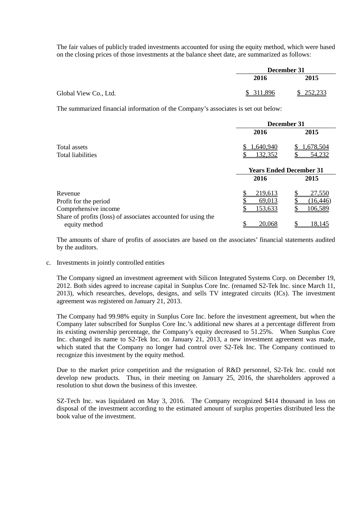The fair values of publicly traded investments accounted for using the equity method, which were based on the closing prices of those investments at the balance sheet date, are summarized as follows:

|                       | December 31 |           |
|-----------------------|-------------|-----------|
|                       | 2016        | 2015      |
| Global View Co., Ltd. | \$311,896   | \$252,233 |

The summarized financial information of the Company's associates is set out below:

|                                                               |          | December 31                    |
|---------------------------------------------------------------|----------|--------------------------------|
|                                                               | 2016     | 2015                           |
| Total assets                                                  | .640,940 | .678.504                       |
| <b>Total liabilities</b>                                      | 132,352  | 54,232                         |
|                                                               |          | <b>Years Ended December 31</b> |
|                                                               | 2016     | 2015                           |
| Revenue                                                       | 219,613  | 27,550                         |
| Profit for the period                                         | 69,013   | (16, 446)                      |
| Comprehensive income                                          | 153,633  | 106,589                        |
| Share of profits (loss) of associates accounted for using the |          |                                |
| equity method                                                 | 20,068   | 18,145                         |

The amounts of share of profits of associates are based on the associates' financial statements audited by the auditors.

c. Investments in jointly controlled entities

The Company signed an investment agreement with Silicon Integrated Systems Corp. on December 19, 2012. Both sides agreed to increase capital in Sunplus Core Inc. (renamed S2-Tek Inc. since March 11, 2013), which researches, develops, designs, and sells TV integrated circuits (ICs). The investment agreement was registered on January 21, 2013.

The Company had 99.98% equity in Sunplus Core Inc. before the investment agreement, but when the Company later subscribed for Sunplus Core Inc.'s additional new shares at a percentage different from its existing ownership percentage, the Company's equity decreased to 51.25%. When Sunplus Core Inc. changed its name to S2-Tek Inc. on January 21, 2013, a new investment agreement was made, which stated that the Company no longer had control over S2-Tek Inc. The Company continued to recognize this investment by the equity method.

Due to the market price competition and the resignation of R&D personnel, S2-Tek Inc. could not develop new products. Thus, in their meeting on January 25, 2016, the shareholders approved a resolution to shut down the business of this investee.

SZ-Tech Inc. was liquidated on May 3, 2016. The Company recognized \$414 thousand in loss on disposal of the investment according to the estimated amount of surplus properties distributed less the book value of the investment.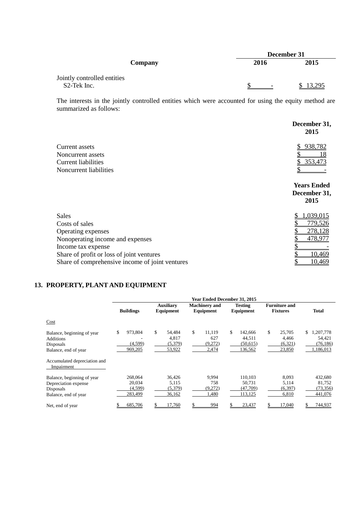|                                            | December 31    |        |  |  |  |  |  |
|--------------------------------------------|----------------|--------|--|--|--|--|--|
| Company                                    | 2016           | 2015   |  |  |  |  |  |
| Jointly controlled entities<br>S2-Tek Inc. | $\overline{a}$ | 13,295 |  |  |  |  |  |
|                                            |                |        |  |  |  |  |  |

The interests in the jointly controlled entities which were accounted for using the equity method are summarized as follows:

|                                                 | December 31,<br>2015                       |
|-------------------------------------------------|--------------------------------------------|
| Current assets<br>Noncurrent assets             | 938,782                                    |
| Current liabilities                             | 353,473                                    |
| Noncurrent liabilities                          |                                            |
|                                                 | <b>Years Ended</b><br>December 31,<br>2015 |
| Sales                                           | 1,039,015                                  |
| Costs of sales                                  | 779,526                                    |
| Operating expenses                              | 278,128                                    |
| Nonoperating income and expenses                | 478,977                                    |
| Income tax expense                              |                                            |
| Share of profit or loss of joint ventures       | 10,469                                     |
| Share of comprehensive income of joint ventures | <u>10,469</u>                              |

# **13. PROPERTY, PLANT AND EQUIPMENT**

|                                                                                         | <b>Year Ended December 31, 2015</b> |                                         |    |                                      |    |                                   |    |                                          |    |                                         |     |                                               |  |
|-----------------------------------------------------------------------------------------|-------------------------------------|-----------------------------------------|----|--------------------------------------|----|-----------------------------------|----|------------------------------------------|----|-----------------------------------------|-----|-----------------------------------------------|--|
|                                                                                         |                                     | <b>Buildings</b>                        |    | <b>Auxiliary</b><br>Equipment        |    | <b>Machinery</b> and<br>Equipment |    | <b>Testing</b><br>Equipment              |    | <b>Furniture and</b><br><b>Fixtures</b> |     | Total                                         |  |
| Cost                                                                                    |                                     |                                         |    |                                      |    |                                   |    |                                          |    |                                         |     |                                               |  |
| Balance, beginning of year<br><b>Additions</b><br>Disposals<br>Balance, end of year     | \$                                  | 973,804<br>(4,599)<br>969,205           | \$ | 54,484<br>4,817<br>(5,379)<br>53,922 | \$ | 11,119<br>627<br>(9,272)<br>2,474 | \$ | 142,666<br>44,511<br>(50,615)<br>136,562 | \$ | 25,705<br>4,466<br>(6,321)<br>23,850    | \$. | 1,207,778<br>54,421<br>(76, 186)<br>1,186,013 |  |
| Accumulated depreciation and<br>Impairment                                              |                                     |                                         |    |                                      |    |                                   |    |                                          |    |                                         |     |                                               |  |
| Balance, beginning of year<br>Depreciation expense<br>Disposals<br>Balance, end of year |                                     | 268,064<br>20,034<br>(4,599)<br>283,499 |    | 36,426<br>5,115<br>(5,379)<br>36,162 |    | 9.994<br>758<br>(9,272)<br>1,480  |    | 110,103<br>50.731<br>(47,709)<br>113,125 |    | 8,093<br>5,114<br>(6, 397)<br>6,810     |     | 432,680<br>81,752<br>(73, 356)<br>441,076     |  |
| Net, end of year                                                                        |                                     | 685,706                                 |    | 17,760                               |    | 994                               |    | 23,437                                   |    | 17,040                                  |     | 744,937                                       |  |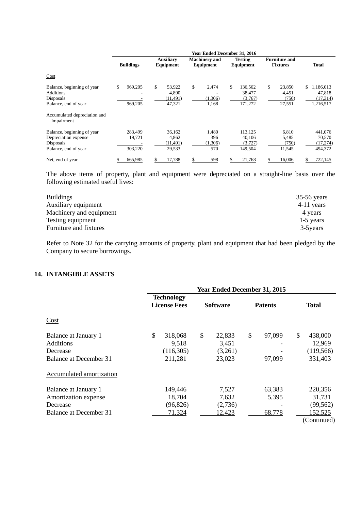|                                                                                                                     | <b>Year Ended December 31, 2016</b> |                              |                               |                                        |                                   |                                |                             |                                         |                                         |                                    |    |                                               |
|---------------------------------------------------------------------------------------------------------------------|-------------------------------------|------------------------------|-------------------------------|----------------------------------------|-----------------------------------|--------------------------------|-----------------------------|-----------------------------------------|-----------------------------------------|------------------------------------|----|-----------------------------------------------|
|                                                                                                                     | <b>Buildings</b>                    |                              | <b>Auxiliarv</b><br>Equipment |                                        | <b>Machinery</b> and<br>Equipment |                                | <b>Testing</b><br>Equipment |                                         | <b>Furniture and</b><br><b>Fixtures</b> |                                    |    | <b>Total</b>                                  |
| Cost                                                                                                                |                                     |                              |                               |                                        |                                   |                                |                             |                                         |                                         |                                    |    |                                               |
| Balance, beginning of year<br><b>Additions</b><br>Disposals<br>Balance, end of year<br>Accumulated depreciation and | \$                                  | 969,205<br>969,205           | \$                            | 53,922<br>4,890<br>(11, 491)<br>47,321 | \$                                | 2,474<br>(1,306)<br>1,168      | \$                          | 136,562<br>38,477<br>(3,767)<br>171,272 | \$                                      | 23,850<br>4,451<br>(750)<br>27,551 | \$ | 1,186,013<br>47,818<br>(17, 314)<br>1,216,517 |
| Impairment<br>Balance, beginning of year<br>Depreciation expense<br>Disposals<br>Balance, end of year               |                                     | 283,499<br>19,721<br>303,220 |                               | 36,162<br>4,862<br>(11, 491)<br>29,533 |                                   | 1.480<br>396<br>(1,306)<br>570 |                             | 113,125<br>40.106<br>(3,727)<br>149,504 |                                         | 6,810<br>5,485<br>(750)<br>11,545  |    | 441,076<br>70,570<br>(17, 274)<br>494,372     |
| Net, end of year                                                                                                    |                                     | 665,985                      |                               | 17,788                                 |                                   | 598                            |                             | 21,768                                  |                                         | 16,006                             |    | 722,145                                       |

The above items of property, plant and equipment were depreciated on a straight-line basis over the following estimated useful lives:

| <b>Buildings</b>        | 35-56 years  |
|-------------------------|--------------|
| Auxiliary equipment     | $4-11$ years |
| Machinery and equipment | 4 years      |
| Testing equipment       | 1-5 years    |
| Furniture and fixtures  | 3-5 years    |

Refer to Note 32 for the carrying amounts of property, plant and equipment that had been pledged by the Company to secure borrowings.

# **14. INTANGIBLE ASSETS**

|                                                                                    | <b>Year Ended December 31, 2015</b>            |                                            |                           |                                                          |  |  |  |  |  |
|------------------------------------------------------------------------------------|------------------------------------------------|--------------------------------------------|---------------------------|----------------------------------------------------------|--|--|--|--|--|
|                                                                                    | <b>Technology</b><br><b>License Fees</b>       | <b>Software</b>                            | <b>Patents</b>            | <b>Total</b>                                             |  |  |  |  |  |
| Cost                                                                               |                                                |                                            |                           |                                                          |  |  |  |  |  |
| Balance at January 1<br><b>Additions</b><br>Decrease<br>Balance at December 31     | \$<br>318,068<br>9,518<br>(116,305)<br>211,281 | \$<br>22,833<br>3,451<br>(3,261)<br>23,023 | \$<br>97,099<br>97,099    | \$<br>438,000<br>12,969<br>(119, 566)<br>331,403         |  |  |  |  |  |
| Accumulated amortization                                                           |                                                |                                            |                           |                                                          |  |  |  |  |  |
| Balance at January 1<br>Amortization expense<br>Decrease<br>Balance at December 31 | 149,446<br>18,704<br>(96, 826)<br>71,324       | 7,527<br>7,632<br>(2,736)<br>12,423        | 63,383<br>5,395<br>68,778 | 220,356<br>31,731<br>(99, 562)<br>152,525<br>(Continued) |  |  |  |  |  |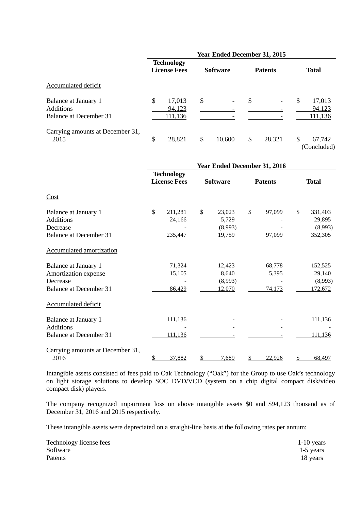|                                                                    | <b>Year Ended December 31, 2015</b> |                                          |                 |                          |                |        |              |                             |
|--------------------------------------------------------------------|-------------------------------------|------------------------------------------|-----------------|--------------------------|----------------|--------|--------------|-----------------------------|
|                                                                    |                                     | <b>Technology</b><br><b>License Fees</b> | <b>Software</b> |                          | <b>Patents</b> |        | <b>Total</b> |                             |
| Accumulated deficit                                                |                                     |                                          |                 |                          |                |        |              |                             |
| Balance at January 1<br><b>Additions</b><br>Balance at December 31 | \$                                  | 17,013<br>94,123<br>111,136              | \$              | $\overline{\phantom{a}}$ | \$             |        | S            | 17,013<br>94,123<br>111,136 |
| Carrying amounts at December 31,<br>2015                           |                                     | 28,821                                   |                 | 10,600                   |                | 28,321 |              | 67,742<br>(Concluded)       |

|                                          | <b>Year Ended December 31, 2016</b>      |         |    |                 |    |                |              |         |  |
|------------------------------------------|------------------------------------------|---------|----|-----------------|----|----------------|--------------|---------|--|
|                                          | <b>Technology</b><br><b>License Fees</b> |         |    | <b>Software</b> |    | <b>Patents</b> | <b>Total</b> |         |  |
| Cost                                     |                                          |         |    |                 |    |                |              |         |  |
| Balance at January 1                     | \$                                       | 211,281 | \$ | 23,023          | \$ | 97,099         | \$           | 331,403 |  |
| <b>Additions</b>                         |                                          | 24,166  |    | 5,729           |    |                |              | 29,895  |  |
| Decrease                                 |                                          |         |    | (8,993)         |    |                |              | (8,993) |  |
| <b>Balance at December 31</b>            |                                          | 235,447 |    | 19,759          |    | 97,099         |              | 352,305 |  |
| Accumulated amortization                 |                                          |         |    |                 |    |                |              |         |  |
| <b>Balance at January 1</b>              |                                          | 71,324  |    | 12,423          |    | 68,778         |              | 152,525 |  |
| Amortization expense                     |                                          | 15,105  |    | 8,640           |    | 5,395          |              | 29,140  |  |
| Decrease                                 |                                          |         |    | (8,993)         |    |                |              | (8,993) |  |
| <b>Balance at December 31</b>            |                                          | 86,429  |    | 12,070          |    | 74,173         |              | 172,672 |  |
| <b>Accumulated deficit</b>               |                                          |         |    |                 |    |                |              |         |  |
| Balance at January 1                     |                                          | 111,136 |    |                 |    |                |              | 111,136 |  |
| <b>Additions</b>                         |                                          |         |    |                 |    |                |              |         |  |
| <b>Balance at December 31</b>            |                                          | 111,136 |    |                 |    |                |              | 111,136 |  |
| Carrying amounts at December 31,<br>2016 |                                          | 37,882  | \$ | 7,689           |    | 22,926         |              | 68,497  |  |

Intangible assets consisted of fees paid to Oak Technology ("Oak") for the Group to use Oak's technology on light storage solutions to develop SOC DVD/VCD (system on a chip digital compact disk/video compact disk) players.

The company recognized impairment loss on above intangible assets \$0 and \$94,123 thousand as of December 31, 2016 and 2015 respectively.

These intangible assets were depreciated on a straight-line basis at the following rates per annum:

| Technology license fees | $1-10$ years |
|-------------------------|--------------|
| Software                | $1-5$ years  |
| Patents                 | 18 years     |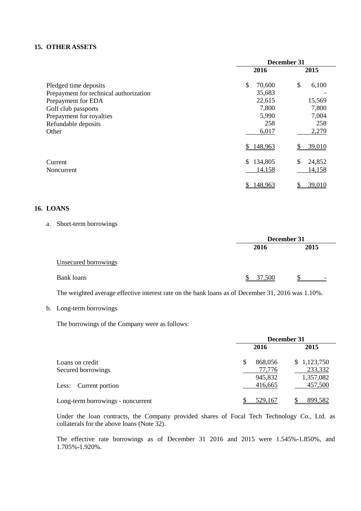# **15. OTHER ASSETS**

|                                        | December 31   |              |  |  |  |
|----------------------------------------|---------------|--------------|--|--|--|
|                                        | 2016          | 2015         |  |  |  |
| Pledged time deposits                  | \$<br>70,600  | \$<br>6,100  |  |  |  |
| Prepayment for technical authorization | 35,683        |              |  |  |  |
| Prepayment for EDA                     | 22,615        | 15,569       |  |  |  |
| Golf club passports                    | 7,800         | 7,800        |  |  |  |
| Prepayment for royalties               | 5,990         | 7,004        |  |  |  |
| Refundable deposits                    | 258           | 258          |  |  |  |
| Other                                  | 6,017         | 2,279        |  |  |  |
|                                        | 148,963<br>S. | 39,010       |  |  |  |
| Current                                | \$<br>134,805 | \$<br>24,852 |  |  |  |
| <b>Noncurrent</b>                      | 14,158        | 14,158       |  |  |  |
|                                        | 148,963<br>\$ | 39,010       |  |  |  |

#### **16. LOANS**

a. Short-term borrowings

|                      |        | December 31 |  |
|----------------------|--------|-------------|--|
|                      | 2016   | 2015        |  |
| Unsecured borrowings |        |             |  |
| Bank loans           | 37,500 |             |  |

The weighted average effective interest rate on the bank loans as of December 31, 2016 was 1.10%.

# b. Long-term borrowings

The borrowings of the Company were as follows:

|                                   | December 31   |             |
|-----------------------------------|---------------|-------------|
|                                   | 2016          | 2015        |
| Loans on credit                   | \$<br>868,056 | \$1,123,750 |
| Secured borrowings                | 77,776        | 233,332     |
|                                   | 945,832       | 1,357,082   |
| Less: Current portion             | 416,665       | 457,500     |
| Long-term borrowings - noncurrent | 529.167       | 899,582     |

Under the loan contracts, the Company provided shares of Focal Tech Technology Co., Ltd. as collaterals for the above loans (Note 32).

The effective rate borrowings as of December 31 2016 and 2015 were 1.545%-1.850%, and 1.705%-1.920%.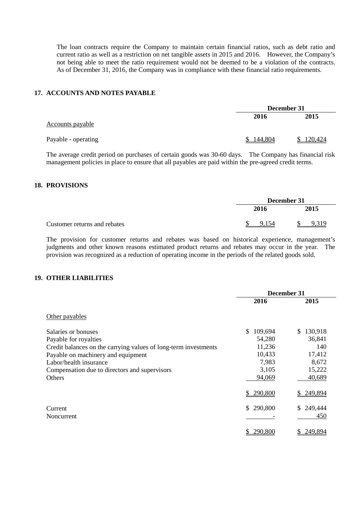The loan contracts require the Company to maintain certain financial ratios, such as debt ratio and current ratio as well as a restriction on net tangible assets in 2015 and 2016. However, the Company's not being able to meet the ratio requirement would not be deemed to be a violation of the contracts. As of December 31, 2016, the Company was in compliance with these financial ratio requirements.

## **17. ACCOUNTS AND NOTES PAYABLE**

|                     |         | December 31 |  |
|---------------------|---------|-------------|--|
|                     | 2016    | 2015        |  |
| Accounts payable    |         |             |  |
| Payable - operating | 144,804 | 120,424     |  |

The average credit period on purchases of certain goods was 30-60 days. The Company has financial risk management policies in place to ensure that all payables are paid within the pre-agreed credit terms.

# **18. PROVISIONS**

|                              | December 31 |       |
|------------------------------|-------------|-------|
|                              | 2016        | 2015  |
| Customer returns and rebates | 9.154       | 9.319 |

The provision for customer returns and rebates was based on historical experience, management's judgments and other known reasons estimated product returns and rebates may occur in the year. The provision was recognized as a reduction of operating income in the periods of the related goods sold.

# **19. OTHER LIABILITIES**

|                                                                 | December 31    |                |
|-----------------------------------------------------------------|----------------|----------------|
|                                                                 | 2016           | 2015           |
| Other payables                                                  |                |                |
| Salaries or bonuses                                             | 109,694<br>\$  | \$.<br>130,918 |
| Payable for royalties                                           | 54,280         | 36,841         |
| Credit balances on the carrying values of long-term investments | 11,236         | 140            |
| Payable on machinery and equipment                              | 10,433         | 17,412         |
| Labor/health insurance                                          | 7,983          | 8,672          |
| Compensation due to directors and supervisors                   | 3,105          | 15,222         |
| Others                                                          | 94,069         | 40,689         |
|                                                                 | \$290,800      | \$249,894      |
| Current                                                         | 290,800<br>\$. | 249,444<br>\$  |
| Noncurrent                                                      |                | 450            |
|                                                                 | 290,800        | 249,894        |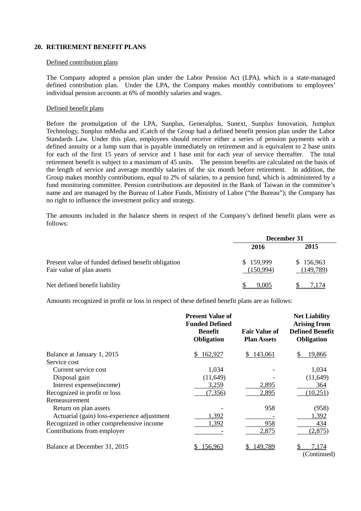#### **20. RETIREMENT BENEFIT PLANS**

#### Defined contribution plans

The Company adopted a pension plan under the Labor Pension Act (LPA), which is a state-managed defined contribution plan. Under the LPA, the Company makes monthly contributions to employees' individual pension accounts at 6% of monthly salaries and wages.

#### Defined benefit plans

Before the promulgation of the LPA, Sunplus, Generalplus, Sunext, Sunplus Innovation, Jumplux Technology, Sunplus mMedia and iCatch of the Group had a defined benefit pension plan under the Labor Standards Law. Under this plan, employees should receive either a series of pension payments with a defined annuity or a lump sum that is payable immediately on retirement and is equivalent to 2 base units for each of the first 15 years of service and 1 base unit for each year of service thereafter. The total retirement benefit is subject to a maximum of 45 units. The pension benefits are calculated on the basis of the length of service and average monthly salaries of the six month before retirement. In addition, the Group makes monthly contributions, equal to 2% of salaries, to a pension fund, which is administered by a fund monitoring committee. Pension contributions are deposited in the Bank of Taiwan in the committee's name and are managed by the Bureau of Labor Funds, Ministry of Labor ("the Bureau"); the Company has no right to influence the investment policy and strategy.

The amounts included in the balance sheets in respect of the Company's defined benefit plans were as follows:

|                                                                                 | December 31             |                        |
|---------------------------------------------------------------------------------|-------------------------|------------------------|
|                                                                                 | 2016                    | 2015                   |
| Present value of funded defined benefit obligation<br>Fair value of plan assets | \$159,999<br>(150, 994) | \$156,963<br>(149,789) |
| Net defined benefit liability                                                   | 9.005                   |                        |

Amounts recognized in profit or loss in respect of these defined benefit plans are as follows:

|                                             | <b>Present Value of</b><br><b>Funded Defined</b><br><b>Benefit</b><br>Obligation | <b>Fair Value of</b><br><b>Plan Assets</b> | <b>Net Liability</b><br><b>Arising from</b><br><b>Defined Benefit</b><br><b>Obligation</b> |
|---------------------------------------------|----------------------------------------------------------------------------------|--------------------------------------------|--------------------------------------------------------------------------------------------|
| Balance at January 1, 2015                  | 162,927<br>\$                                                                    | 143,061<br>\$                              | 19,866<br>S                                                                                |
| Service cost                                |                                                                                  |                                            |                                                                                            |
| Current service cost                        | 1,034                                                                            |                                            | 1,034                                                                                      |
| Disposal gain                               | (11,649)                                                                         |                                            | (11, 649)                                                                                  |
| Interest expense(income)                    | 3,259                                                                            | 2,895                                      | 364                                                                                        |
| Recognized in profit or loss                | (7, 356)                                                                         | 2,895                                      | (10,251)                                                                                   |
| Remeasurement                               |                                                                                  |                                            |                                                                                            |
| Return on plan assets                       |                                                                                  | 958                                        | (958)                                                                                      |
| Actuarial (gain) loss-experience adjustment | 1,392                                                                            |                                            | 1,392                                                                                      |
| Recognized in other comprehensive income    | 1,392                                                                            | 958                                        | 434                                                                                        |
| Contributions from employer                 |                                                                                  | 2,875                                      | (2, 875)                                                                                   |
| Balance at December 31, 2015                | <u>156,963</u>                                                                   | 149,789                                    | 7,174<br>(Continued)                                                                       |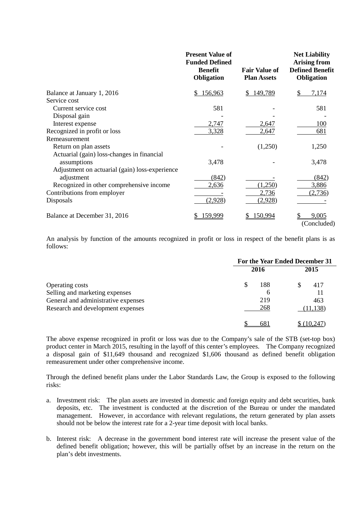|                                                | <b>Present Value of</b><br><b>Funded Defined</b><br><b>Benefit</b><br><b>Obligation</b> | <b>Fair Value of</b><br><b>Plan Assets</b> | <b>Net Liability</b><br><b>Arising from</b><br><b>Defined Benefit</b><br><b>Obligation</b> |
|------------------------------------------------|-----------------------------------------------------------------------------------------|--------------------------------------------|--------------------------------------------------------------------------------------------|
| Balance at January 1, 2016                     | 156,963<br>\$                                                                           | 149,789<br>S.                              | 7,174<br>\$                                                                                |
| Service cost                                   |                                                                                         |                                            |                                                                                            |
| Current service cost                           | 581                                                                                     |                                            | 581                                                                                        |
| Disposal gain                                  |                                                                                         |                                            |                                                                                            |
| Interest expense                               | 2,747                                                                                   | 2,647                                      | 100                                                                                        |
| Recognized in profit or loss                   | 3,328                                                                                   | 2,647                                      | 681                                                                                        |
| Remeasurement                                  |                                                                                         |                                            |                                                                                            |
| Return on plan assets                          |                                                                                         | (1,250)                                    | 1,250                                                                                      |
| Actuarial (gain) loss-changes in financial     |                                                                                         |                                            |                                                                                            |
| assumptions                                    | 3,478                                                                                   |                                            | 3,478                                                                                      |
| Adjustment on actuarial (gain) loss-experience |                                                                                         |                                            |                                                                                            |
| adjustment                                     | (842)                                                                                   |                                            | (842)                                                                                      |
| Recognized in other comprehensive income       | 2,636                                                                                   | (1,250)                                    | 3,886                                                                                      |
| Contributions from employer                    |                                                                                         | 2,736                                      | (2,736)                                                                                    |
| Disposals                                      | (2,928)                                                                                 | (2,928)                                    |                                                                                            |
| Balance at December 31, 2016                   | 159,999                                                                                 | 150,994                                    | 9,005<br>(Concluded)                                                                       |

An analysis by function of the amounts recognized in profit or loss in respect of the benefit plans is as follows:

|                                     | For the Year Ended December 31 |         |
|-------------------------------------|--------------------------------|---------|
|                                     | 2016                           | 2015    |
| Operating costs                     | 188<br>\$.                     | 417     |
| Selling and marketing expenses      | <sub>6</sub>                   | 11      |
| General and administrative expenses | 219                            | 463     |
| Research and development expenses   | 268                            | 11,138) |
|                                     | 681                            | 10.247  |

The above expense recognized in profit or loss was due to the Company's sale of the STB (set-top box) product center in March 2015, resulting in the layoff of this center's employees. The Company recognized a disposal gain of \$11,649 thousand and recognized \$1,606 thousand as defined benefit obligation remeasurement under other comprehensive income.

Through the defined benefit plans under the Labor Standards Law, the Group is exposed to the following risks:

- a. Investment risk: The plan assets are invested in domestic and foreign equity and debt securities, bank deposits, etc. The investment is conducted at the discretion of the Bureau or under the mandated management. However, in accordance with relevant regulations, the return generated by plan assets should not be below the interest rate for a 2-year time deposit with local banks.
- b. Interest risk: A decrease in the government bond interest rate will increase the present value of the defined benefit obligation; however, this will be partially offset by an increase in the return on the plan's debt investments.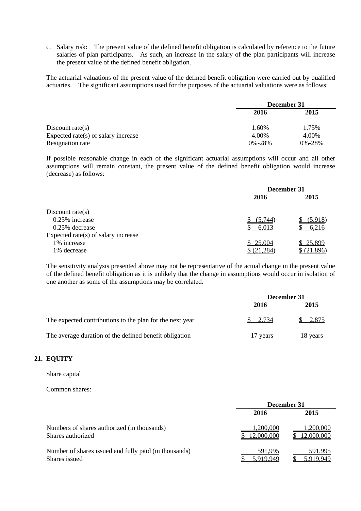c. Salary risk: The present value of the defined benefit obligation is calculated by reference to the future salaries of plan participants. As such, an increase in the salary of the plan participants will increase the present value of the defined benefit obligation.

The actuarial valuations of the present value of the defined benefit obligation were carried out by qualified actuaries. The significant assumptions used for the purposes of the actuarial valuations were as follows:

|                                     | December 31  |              |
|-------------------------------------|--------------|--------------|
|                                     | 2016         | 2015         |
| Discount rate(s)                    | 1.60%        | 1.75%        |
| Expected rate(s) of salary increase | 4.00%        | 4.00%        |
| Resignation rate                    | $0\% - 28\%$ | $0\% - 28\%$ |

If possible reasonable change in each of the significant actuarial assumptions will occur and all other assumptions will remain constant, the present value of the defined benefit obligation would increase (decrease) as follows:

|                                     | December 31 |            |
|-------------------------------------|-------------|------------|
|                                     | 2016        | 2015       |
| Discount rate(s)                    |             |            |
| $0.25\%$ increase                   | (5,744)     | (5.918)    |
| 0.25% decrease                      | 6,013       | 6,216      |
| Expected rate(s) of salary increase |             |            |
| 1% increase                         | 25,004      | \$25,899   |
| 1% decrease                         | (21, 284)   | \$(21,896) |

The sensitivity analysis presented above may not be representative of the actual change in the present value of the defined benefit obligation as it is unlikely that the change in assumptions would occur in isolation of one another as some of the assumptions may be correlated.

|                                                          | December 31 |          |
|----------------------------------------------------------|-------------|----------|
|                                                          | 2016        | 2015     |
| The expected contributions to the plan for the next year | 2,734       | 2,875    |
| The average duration of the defined benefit obligation   | 17 years    | 18 years |

### **21. EQUITY**

Share capital

Common shares:

|                                                       | December 31 |            |  |
|-------------------------------------------------------|-------------|------------|--|
|                                                       | 2016        | 2015       |  |
| Numbers of shares authorized (in thousands)           | ,200,000    | .200,000   |  |
| Shares authorized                                     | 12,000,000  | 12,000,000 |  |
| Number of shares issued and fully paid (in thousands) | 591.995     | 591.995    |  |
| Shares issued                                         | 5 919 949   | 5 919 949  |  |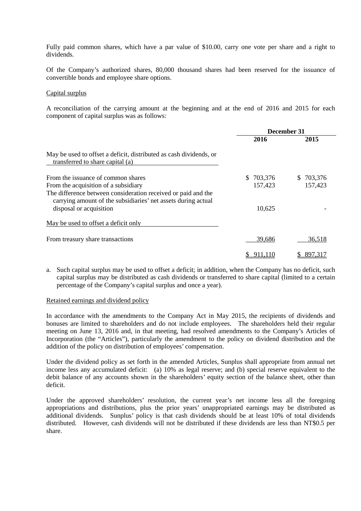Fully paid common shares, which have a par value of \$10.00, carry one vote per share and a right to dividends.

Of the Company's authorized shares, 80,000 thousand shares had been reserved for the issuance of convertible bonds and employee share options.

#### Capital surplus

A reconciliation of the carrying amount at the beginning and at the end of 2016 and 2015 for each component of capital surplus was as follows:

|                                                                                                                                | December 31 |           |
|--------------------------------------------------------------------------------------------------------------------------------|-------------|-----------|
|                                                                                                                                | 2016        | 2015      |
| May be used to offset a deficit, distributed as cash dividends, or<br>transferred to share capital (a)                         |             |           |
| From the issuance of common shares                                                                                             | \$703,376   | \$703,376 |
| From the acquisition of a subsidiary                                                                                           | 157,423     | 157,423   |
| The difference between consideration received or paid and the<br>carrying amount of the subsidiaries' net assets during actual |             |           |
| disposal or acquisition                                                                                                        | 10,625      |           |
| May be used to offset a deficit only                                                                                           |             |           |
| From treasury share transactions                                                                                               | 39,686      | 36,518    |
|                                                                                                                                | 911.110     | 897,317   |

a. Such capital surplus may be used to offset a deficit; in addition, when the Company has no deficit, such capital surplus may be distributed as cash dividends or transferred to share capital (limited to a certain percentage of the Company's capital surplus and once a year).

#### Retained earnings and dividend policy

In accordance with the amendments to the Company Act in May 2015, the recipients of dividends and bonuses are limited to shareholders and do not include employees. The shareholders held their regular meeting on June 13, 2016 and, in that meeting, had resolved amendments to the Company's Articles of Incorporation (the "Articles"), particularly the amendment to the policy on dividend distribution and the addition of the policy on distribution of employees' compensation.

Under the dividend policy as set forth in the amended Articles, Sunplus shall appropriate from annual net income less any accumulated deficit: (a) 10% as legal reserve; and (b) special reserve equivalent to the debit balance of any accounts shown in the shareholders' equity section of the balance sheet, other than deficit.

Under the approved shareholders' resolution, the current year's net income less all the foregoing appropriations and distributions, plus the prior years' unappropriated earnings may be distributed as additional dividends. Sunplus' policy is that cash dividends should be at least 10% of total dividends distributed. However, cash dividends will not be distributed if these dividends are less than NT\$0.5 per share.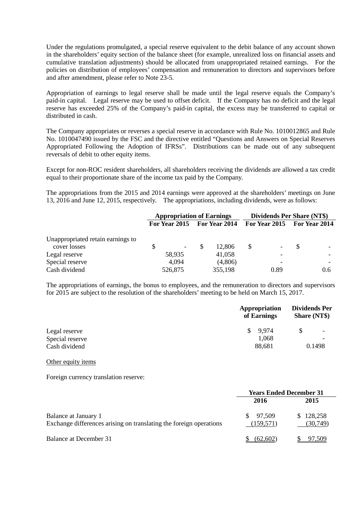Under the regulations promulgated, a special reserve equivalent to the debit balance of any account shown in the shareholders' equity section of the balance sheet (for example, unrealized loss on financial assets and cumulative translation adjustments) should be allocated from unappropriated retained earnings. For the policies on distribution of employees' compensation and remuneration to directors and supervisors before and after amendment, please refer to Note 23-5.

Appropriation of earnings to legal reserve shall be made until the legal reserve equals the Company's paid-in capital. Legal reserve may be used to offset deficit. If the Company has no deficit and the legal reserve has exceeded 25% of the Company's paid-in capital, the excess may be transferred to capital or distributed in cash.

The Company appropriates or reverses a special reserve in accordance with Rule No. 1010012865 and Rule No. 1010047490 issued by the FSC and the directive entitled "Questions and Answers on Special Reserves Appropriated Following the Adoption of IFRSs". Distributions can be made out of any subsequent reversals of debit to other equity items.

Except for non-ROC resident shareholders, all shareholders receiving the dividends are allowed a tax credit equal to their proportionate share of the income tax paid by the Company.

The appropriations from the 2015 and 2014 earnings were approved at the shareholders' meetings on June 13, 2016 and June 12, 2015, respectively. The appropriations, including dividends, were as follows:

|                                                   | <b>Appropriation of Earnings</b> |   | <b>Dividends Per Share (NT\$)</b> |              |                          |  |                      |
|---------------------------------------------------|----------------------------------|---|-----------------------------------|--------------|--------------------------|--|----------------------|
|                                                   | For Year 2015 For Year 2014      |   |                                   |              | <b>For Year 2015</b>     |  | <b>For Year 2014</b> |
| Unappropriated retain earnings to<br>cover losses |                                  | - | \$<br>12,806                      | <sup>S</sup> | $\overline{\phantom{a}}$ |  |                      |
| Legal reserve                                     | 58,935                           |   | 41,058                            |              |                          |  |                      |
| Special reserve<br>Cash dividend                  | 4,094<br>526,875                 |   | (4,806)<br>355,198                |              | 0.89                     |  | 0.6                  |

The appropriations of earnings, the bonus to employees, and the remuneration to directors and supervisors for 2015 are subject to the resolution of the shareholders' meeting to be held on March 15, 2017.

|                 | Appropriation<br>of Earnings | <b>Dividends Per</b><br><b>Share (NT\$)</b> |
|-----------------|------------------------------|---------------------------------------------|
| Legal reserve   | \$9,974                      | S<br>$\overline{\phantom{0}}$               |
| Special reserve | 1,068                        |                                             |
| Cash dividend   | 88,681                       | 0.1498                                      |

Other equity items

Foreign currency translation reserve:

|                                                                                            | <b>Years Ended December 31</b> |                       |
|--------------------------------------------------------------------------------------------|--------------------------------|-----------------------|
|                                                                                            | 2016                           | 2015                  |
| Balance at January 1<br>Exchange differences arising on translating the foreign operations | 97,509<br>S.<br>(159, 571)     | \$128,258<br>(30,749) |
| Balance at December 31                                                                     | (62,602)                       | 97.509                |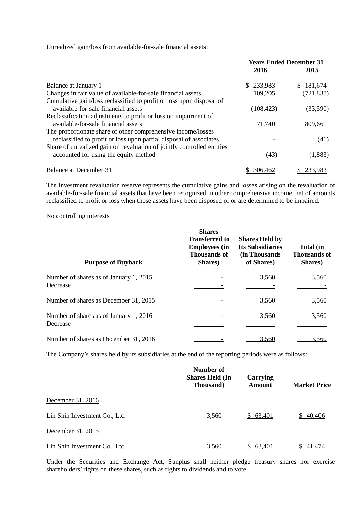Unrealized gain/loss from available-for-sale financial assets:

|                                                                        | <b>Years Ended December 31</b> |               |
|------------------------------------------------------------------------|--------------------------------|---------------|
|                                                                        | 2016                           | 2015          |
| Balance at January 1                                                   | \$233,983                      | S.<br>181,674 |
| Changes in fair value of available-for-sale financial assets           | 109,205                        | (721, 838)    |
| Cumulative gain/loss reclassified to profit or loss upon disposal of   |                                |               |
| available-for-sale financial assets                                    | (108, 423)                     | (33,590)      |
| Reclassification adjustments to profit or loss on impairment of        |                                |               |
| available-for-sale financial assets                                    | 71,740                         | 809,661       |
| The proportionate share of other comprehensive income/losses           |                                |               |
| reclassified to profit or loss upon partial disposal of associates     |                                | (41)          |
| Share of unrealized gain on revaluation of jointly controlled entities |                                |               |
| accounted for using the equity method                                  | (43)                           | (1,883)       |
| <b>Balance at December 31</b>                                          |                                | 233.98        |

The investment revaluation reserve represents the cumulative gains and losses arising on the revaluation of available-for-sale financial assets that have been recognized in other comprehensive income, net of amounts reclassified to profit or loss when those assets have been disposed of or are determined to be impaired.

#### No controlling interests

| <b>Purpose of Buyback</b>                          | <b>Shares</b><br><b>Transferred to</b><br><b>Employees (in</b><br><b>Thousands of</b><br>Shares) | <b>Shares Held by</b><br><b>Its Subsidiaries</b><br>(in Thousands)<br>of Shares) | <b>Total</b> (in<br><b>Thousands of</b><br>Shares) |
|----------------------------------------------------|--------------------------------------------------------------------------------------------------|----------------------------------------------------------------------------------|----------------------------------------------------|
| Number of shares as of January 1, 2015<br>Decrease |                                                                                                  | 3,560                                                                            | 3,560                                              |
| Number of shares as December 31, 2015              |                                                                                                  | 3,560                                                                            | 3,560                                              |
| Number of shares as of January 1, 2016<br>Decrease |                                                                                                  | 3,560                                                                            | 3,560                                              |
| Number of shares as December 31, 2016              |                                                                                                  | 3.560                                                                            | 3.560                                              |

The Company's shares held by its subsidiaries at the end of the reporting periods were as follows:

|                              | Number of<br><b>Shares Held (In</b><br><b>Thousand</b> ) | Carrying<br>Amount | <b>Market Price</b> |
|------------------------------|----------------------------------------------------------|--------------------|---------------------|
| December 31, 2016            |                                                          |                    |                     |
| Lin Shin Investment Co., Ltd | 3,560                                                    | 63,401             | <u>\$40,406</u>     |
| December 31, 2015            |                                                          |                    |                     |
| Lin Shin Investment Co., Ltd | 3,560                                                    | 63,401             | 41.474              |

Under the Securities and Exchange Act, Sunplus shall neither pledge treasury shares nor exercise shareholders' rights on these shares, such as rights to dividends and to vote.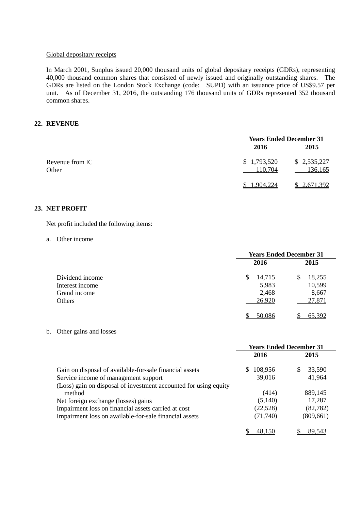#### Global depositary receipts

In March 2001, Sunplus issued 20,000 thousand units of global depositary receipts (GDRs), representing 40,000 thousand common shares that consisted of newly issued and originally outstanding shares. The GDRs are listed on the London Stock Exchange (code: SUPD) with an issuance price of US\$9.57 per unit. As of December 31, 2016, the outstanding 176 thousand units of GDRs represented 352 thousand common shares.

# **22. REVENUE**

|                          | <b>Years Ended December 31</b> |                        |  |
|--------------------------|--------------------------------|------------------------|--|
|                          | 2016                           | 2015                   |  |
| Revenue from IC<br>Other | \$1,793,520<br>110,704         | \$2,535,227<br>136,165 |  |
|                          | 1 904 224                      | 2,671,392              |  |

### **23. NET PROFIT**

Net profit included the following items:

a. Other income

|                 | <b>Years Ended December 31</b> |             |  |
|-----------------|--------------------------------|-------------|--|
|                 | 2016                           | 2015        |  |
| Dividend income | 14,715<br>\$                   | 18,255<br>S |  |
| Interest income | 5,983                          | 10,599      |  |
| Grand income    | 2,468                          | 8,667       |  |
| Others          | 26,920                         | 27,871      |  |
|                 | 50,086                         | 65,392      |  |

#### b. Other gains and losses

|                                                                  | <b>Years Ended December 31</b> |            |  |
|------------------------------------------------------------------|--------------------------------|------------|--|
|                                                                  | 2016                           | 2015       |  |
| Gain on disposal of available-for-sale financial assets          | 108,956                        | 33,590     |  |
| Service income of management support                             | 39,016                         | 41,964     |  |
| (Loss) gain on disposal of investment accounted for using equity |                                |            |  |
| method                                                           | (414)                          | 889,145    |  |
| Net foreign exchange (losses) gains                              | (5,140)                        | 17,287     |  |
| Impairment loss on financial assets carried at cost              | (22, 528)                      | (82, 782)  |  |
| Impairment loss on available-for-sale financial assets           | (71, 740)                      | (809, 661) |  |
|                                                                  | 48.15                          | 89.543     |  |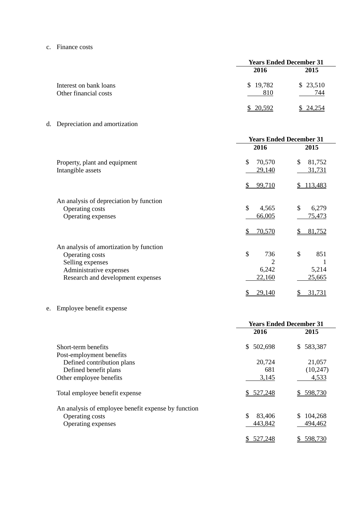c. Finance costs

|                                                 | <b>Years Ended December 31</b> |                 |  |
|-------------------------------------------------|--------------------------------|-----------------|--|
|                                                 | 2016                           | 2015            |  |
| Interest on bank loans<br>Other financial costs | \$19,782<br>810                | \$23,510<br>744 |  |
|                                                 | \$ 20.592                      | 24.254          |  |

d. Depreciation and amortization

|                                                                                                                                                | <b>Years Ended December 31</b>                    |                                        |  |  |  |
|------------------------------------------------------------------------------------------------------------------------------------------------|---------------------------------------------------|----------------------------------------|--|--|--|
|                                                                                                                                                | 2016                                              | 2015                                   |  |  |  |
| Property, plant and equipment<br>Intangible assets                                                                                             | \$<br>70,570<br>29,140                            | \$<br>81,752<br>31,731                 |  |  |  |
|                                                                                                                                                | 99,710                                            | 113,483                                |  |  |  |
| An analysis of depreciation by function<br>Operating costs<br>Operating expenses                                                               | \$<br>4,565<br>66,005<br>70,570                   | \$<br>6,279<br>75,473<br>81,752<br>S   |  |  |  |
| An analysis of amortization by function<br>Operating costs<br>Selling expenses<br>Administrative expenses<br>Research and development expenses | $\mathcal{S}$<br>736<br>6,242<br>22,160<br>29,140 | \$<br>851<br>5,214<br>25,665<br>31,731 |  |  |  |

e. Employee benefit expense

|                                                     | <b>Years Ended December 31</b> |               |  |  |
|-----------------------------------------------------|--------------------------------|---------------|--|--|
|                                                     | 2016                           | 2015          |  |  |
| Short-term benefits                                 | 502,698<br>S.                  | 583,387<br>S. |  |  |
| Post-employment benefits                            |                                |               |  |  |
| Defined contribution plans                          | 20,724                         | 21,057        |  |  |
| Defined benefit plans                               | 681                            | (10, 247)     |  |  |
| Other employee benefits                             | 3,145                          | 4,533         |  |  |
| Total employee benefit expense                      | \$527,248                      | 598,730<br>S. |  |  |
| An analysis of employee benefit expense by function |                                |               |  |  |
| Operating costs                                     | \$<br>83,406                   | S<br>104,268  |  |  |
| Operating expenses                                  | 443,842                        | 494,462       |  |  |
|                                                     | 527,248                        | 598,730       |  |  |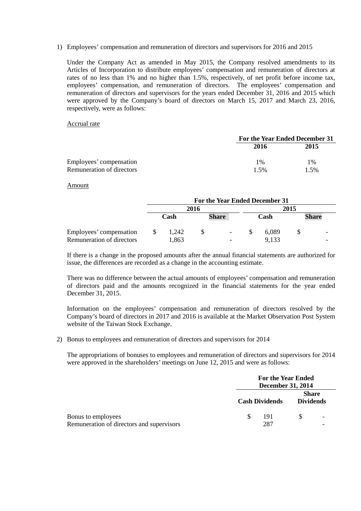1) Employees' compensation and remuneration of directors and supervisors for 2016 and 2015

Under the Company Act as amended in May 2015, the Company resolved amendments to its Articles of Incorporation to distribute employees' compensation and remuneration of directors at rates of no less than 1% and no higher than 1.5%, respectively, of net profit before income tax, employees' compensation, and remuneration of directors. The employees' compensation and remuneration of directors and supervisors for the years ended December 31, 2016 and 2015 which were approved by the Company's board of directors on March 15, 2017 and March 23, 2016, respectively, were as follows:

#### Accrual rate

|                           |         | For the Year Ended December 31 |  |  |
|---------------------------|---------|--------------------------------|--|--|
|                           | 2016    | 2015                           |  |  |
| Employees' compensation   | $1\%$   | $1\%$                          |  |  |
| Remuneration of directors | $1.5\%$ | $1.5\%$                        |  |  |

Amount

|                           | For the Year Ended December 31 |  |                          |  |       |      |       |
|---------------------------|--------------------------------|--|--------------------------|--|-------|------|-------|
|                           | 2016                           |  |                          |  |       | 2015 |       |
|                           | Cash                           |  | Share                    |  | Cash  |      | Share |
| Employees' compensation   | 1.242                          |  | $\overline{\phantom{a}}$ |  | 6.089 |      |       |
| Remuneration of directors | 1,863                          |  |                          |  | 9,133 |      |       |

If there is a change in the proposed amounts after the annual financial statements are authorized for issue, the differences are recorded as a change in the accounting estimate.

There was no difference between the actual amounts of employees' compensation and remuneration of directors paid and the amounts recognized in the financial statements for the year ended December 31, 2015.

Information on the employees' compensation and remuneration of directors resolved by the Company's board of directors in 2017 and 2016 is available at the Market Observation Post System website of the Taiwan Stock Exchange.

2) Bonus to employees and remuneration of directors and supervisors for 2014

The appropriations of bonuses to employees and remuneration of directors and supervisors for 2014 were approved in the shareholders' meetings on June 12, 2015 and were as follows:

|                                           | <b>For the Year Ended</b><br>December 31, 2014 |                                  |                          |
|-------------------------------------------|------------------------------------------------|----------------------------------|--------------------------|
|                                           | <b>Cash Dividends</b>                          | <b>Share</b><br><b>Dividends</b> |                          |
| Bonus to employees                        | 191                                            |                                  | $\overline{\phantom{0}}$ |
| Remuneration of directors and supervisors | 287                                            |                                  |                          |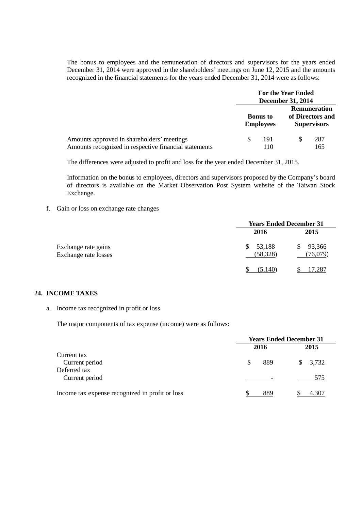The bonus to employees and the remuneration of directors and supervisors for the years ended December 31, 2014 were approved in the shareholders' meetings on June 12, 2015 and the amounts recognized in the financial statements for the years ended December 31, 2014 were as follows:

|                                                       |                                     | <b>For the Year Ended</b><br><b>December 31, 2014</b>         |     |
|-------------------------------------------------------|-------------------------------------|---------------------------------------------------------------|-----|
|                                                       | <b>Bonus</b> to<br><b>Employees</b> | <b>Remuneration</b><br>of Directors and<br><b>Supervisors</b> |     |
| Amounts approved in shareholders' meetings            | 191                                 |                                                               | 287 |
| Amounts recognized in respective financial statements | 110                                 |                                                               | 165 |

The differences were adjusted to profit and loss for the year ended December 31, 2015.

Information on the bonus to employees, directors and supervisors proposed by the Company's board of directors is available on the Market Observation Post System website of the Taiwan Stock Exchange.

f. Gain or loss on exchange rate changes

|                                             | <b>Years Ended December 31</b> |                    |  |  |
|---------------------------------------------|--------------------------------|--------------------|--|--|
|                                             | 2016                           | 2015               |  |  |
| Exchange rate gains<br>Exchange rate losses | 53,188<br>(58, 328)            | 93,366<br>(76,079) |  |  |
|                                             | (5.140)                        | .287               |  |  |

## **24. INCOME TAXES**

a. Income tax recognized in profit or loss

The major components of tax expense (income) were as follows:

|                                                 | <b>Years Ended December 31</b> |         |  |  |  |
|-------------------------------------------------|--------------------------------|---------|--|--|--|
|                                                 | 2016                           | 2015    |  |  |  |
| Current tax                                     |                                |         |  |  |  |
| Current period                                  | 889                            | \$3,732 |  |  |  |
| Deferred tax                                    |                                |         |  |  |  |
| Current period                                  |                                | 575     |  |  |  |
| Income tax expense recognized in profit or loss | 889                            | 4.307   |  |  |  |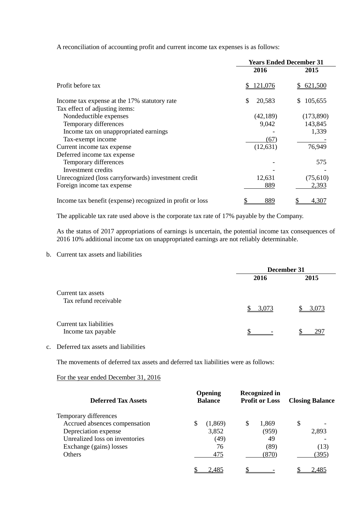A reconciliation of accounting profit and current income tax expenses is as follows:

|                                                           | <b>Years Ended December 31</b> |                |  |  |
|-----------------------------------------------------------|--------------------------------|----------------|--|--|
|                                                           | 2016                           | 2015           |  |  |
| Profit before tax                                         | 121,076                        | 621,500<br>SS. |  |  |
| Income tax expense at the 17% statutory rate              | \$<br>20,583                   | 105,655<br>S.  |  |  |
| Tax effect of adjusting items:                            |                                |                |  |  |
| Nondeductible expenses                                    | (42, 189)                      | (173,890)      |  |  |
| Temporary differences                                     | 9,042                          | 143,845        |  |  |
| Income tax on unappropriated earnings                     |                                | 1,339          |  |  |
| Tax-exempt income                                         | (67)                           |                |  |  |
| Current income tax expense                                | (12, 631)                      | 76,949         |  |  |
| Deferred income tax expense                               |                                |                |  |  |
| Temporary differences                                     |                                | 575            |  |  |
| Investment credits                                        |                                |                |  |  |
| Unrecognized (loss carryforwards) investment credit       | 12,631                         | (75,610)       |  |  |
| Foreign income tax expense                                | 889                            | 2,393          |  |  |
| Income tax benefit (expense) recognized in profit or loss | 889                            | 4,307          |  |  |

The applicable tax rate used above is the corporate tax rate of 17% payable by the Company.

As the status of 2017 appropriations of earnings is uncertain, the potential income tax consequences of 2016 10% additional income tax on unappropriated earnings are not reliably determinable.

b. Current tax assets and liabilities

|                                                    | December 31 |       |  |  |
|----------------------------------------------------|-------------|-------|--|--|
|                                                    | 2016        | 2015  |  |  |
| Current tax assets                                 |             |       |  |  |
| Tax refund receivable                              | 3,073       | 3,073 |  |  |
| Current tax liabilities<br>Income tax payable      |             | 297   |  |  |
| Deferred tax assets and liabilities<br>$c_{\cdot}$ |             |       |  |  |

The movements of deferred tax assets and deferred tax liabilities were as follows:

For the year ended December 31, 2016

| <b>Deferred Tax Assets</b>     |   | <b>Opening</b><br><b>Balance</b> |   | <b>Recognized in</b><br><b>Profit or Loss</b> |    | <b>Closing Balance</b> |  |
|--------------------------------|---|----------------------------------|---|-----------------------------------------------|----|------------------------|--|
| Temporary differences          |   |                                  |   |                                               |    |                        |  |
| Accrued absences compensation  | S | (1, 869)                         | S | 1,869                                         | \$ |                        |  |
| Depreciation expense           |   | 3,852                            |   | (959)                                         |    | 2,893                  |  |
| Unrealized loss on inventories |   | (49)                             |   | 49                                            |    |                        |  |
| Exchange (gains) losses        |   | 76                               |   | (89)                                          |    | (13)                   |  |
| <b>Others</b>                  |   | 475                              |   | (870)                                         |    | (395)                  |  |
|                                |   | 2,485                            |   |                                               |    | 2,485                  |  |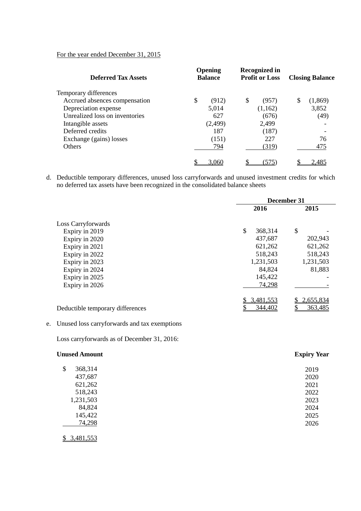# For the year ended December 31, 2015

| <b>Deferred Tax Assets</b>     | <b>Opening</b><br><b>Balance</b> |               | <b>Recognized in</b><br><b>Profit or Loss</b> |   | <b>Closing Balance</b> |  |
|--------------------------------|----------------------------------|---------------|-----------------------------------------------|---|------------------------|--|
| Temporary differences          |                                  |               |                                               |   |                        |  |
| Accrued absences compensation  | \$<br>(912)                      | <sup>\$</sup> | (957)                                         | S | (1, 869)               |  |
| Depreciation expense           | 5,014                            |               | (1,162)                                       |   | 3,852                  |  |
| Unrealized loss on inventories | 627                              |               | (676)                                         |   | (49)                   |  |
| Intangible assets              | (2,499)                          |               | 2,499                                         |   |                        |  |
| Deferred credits               | 187                              |               | (187)                                         |   |                        |  |
| Exchange (gains) losses        | (151)                            |               | 227                                           |   | 76                     |  |
| <b>Others</b>                  | 794                              |               | (319)                                         |   | 475                    |  |
|                                | 3.060                            |               | 575                                           |   | 2.48:                  |  |

d. Deductible temporary differences, unused loss carryforwards and unused investment credits for which no deferred tax assets have been recognized in the consolidated balance sheets

|                                      | December 31 |                      |    |                      |  |  |
|--------------------------------------|-------------|----------------------|----|----------------------|--|--|
|                                      | 2016        |                      |    | 2015                 |  |  |
| Loss Carryforwards<br>Expiry in 2019 | \$          | 368,314              | \$ |                      |  |  |
| Expiry in 2020                       |             | 437,687              |    | 202,943              |  |  |
| Expiry in 2021                       |             | 621,262              |    | 621,262              |  |  |
| Expiry in 2022                       |             | 518,243              |    | 518,243              |  |  |
| Expiry in 2023                       |             | 1,231,503            |    | 1,231,503            |  |  |
| Expiry in 2024                       |             | 84,824               |    | 81,883               |  |  |
| Expiry in 2025                       |             | 145,422              |    |                      |  |  |
| Expiry in 2026                       |             | 74,298               |    |                      |  |  |
| Deductible temporary differences     |             | 3,481,553<br>344,402 |    | 2,655,834<br>363,485 |  |  |

# e. Unused loss carryforwards and tax exemptions

Loss carryforwards as of December 31, 2016:

| <b>Unused Amount</b> | <b>Expiry Year</b> |
|----------------------|--------------------|
| \$<br>368,314        | 2019               |
| 437,687              | 2020               |
| 621,262              | 2021               |
| 518,243              | 2022               |
| 1,231,503            | 2023               |
| 84,824               | 2024               |
| 145,422              | 2025               |
| 74,298               | 2026               |
| 3,481,553            |                    |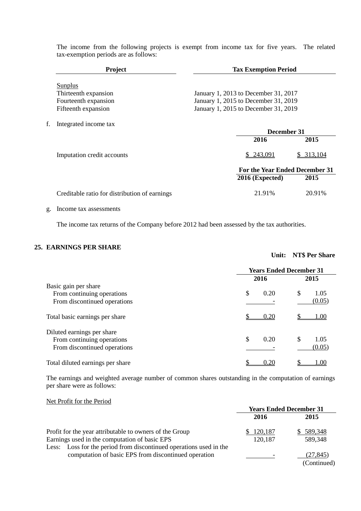|  |  | The income from the following projects is exempt from income tax for five years. The related |  |  |  |  |  |  |
|--|--|----------------------------------------------------------------------------------------------|--|--|--|--|--|--|
|  |  | tax-exemption periods are as follows:                                                        |  |  |  |  |  |  |

|    | Project                                                 |                                                                              | <b>Tax Exemption Period</b> |                                |  |  |  |  |
|----|---------------------------------------------------------|------------------------------------------------------------------------------|-----------------------------|--------------------------------|--|--|--|--|
|    | Sunplus<br>Thirteenth expansion<br>Fourteenth expansion | January 1, 2013 to December 31, 2017<br>January 1, 2015 to December 31, 2019 |                             |                                |  |  |  |  |
|    | Fifteenth expansion                                     | January 1, 2015 to December 31, 2019                                         |                             |                                |  |  |  |  |
| f. | Integrated income tax                                   |                                                                              | December 31                 |                                |  |  |  |  |
|    |                                                         |                                                                              | 2016                        | 2015                           |  |  |  |  |
|    | Imputation credit accounts                              |                                                                              | \$243,091                   | \$313,104                      |  |  |  |  |
|    |                                                         |                                                                              |                             | For the Year Ended December 31 |  |  |  |  |
|    |                                                         |                                                                              | $2016$ (Expected)           | 2015                           |  |  |  |  |
|    | Creditable ratio for distribution of earnings           |                                                                              | 21.91%                      | 20.91%                         |  |  |  |  |

#### g. Income tax assessments

The income tax returns of the Company before 2012 had been assessed by the tax authorities.

# **25. EARNINGS PER SHARE**

|                                  |            | <b>Years Ended December 31</b> |
|----------------------------------|------------|--------------------------------|
|                                  | 2016       | 2015                           |
| Basic gain per share             |            |                                |
| From continuing operations       | \$<br>0.20 | \$<br>1.05                     |
| From discontinued operations     |            | (0.05)                         |
| Total basic earnings per share   | 0.20       | 1.00                           |
| Diluted earnings per share       |            |                                |
| From continuing operations       | \$<br>0.20 | \$<br>1.05                     |
| From discontinued operations     |            | (0.05)                         |
| Total diluted earnings per share | 0.20       | 1.00                           |

**Unit: NT\$ Per Share**

The earnings and weighted average number of common shares outstanding in the computation of earnings per share were as follows:

#### Net Profit for the Period

|                                                                    | <b>Years Ended December 31</b> |             |  |  |
|--------------------------------------------------------------------|--------------------------------|-------------|--|--|
|                                                                    | 2016                           | 2015        |  |  |
| Profit for the year attributable to owners of the Group            | \$120,187                      | \$589,348   |  |  |
| Earnings used in the computation of basic EPS                      | 120,187                        | 589,348     |  |  |
| Less: Loss for the period from discontinued operations used in the |                                |             |  |  |
| computation of basic EPS from discontinued operation               |                                | (27, 845)   |  |  |
|                                                                    |                                | (Continued) |  |  |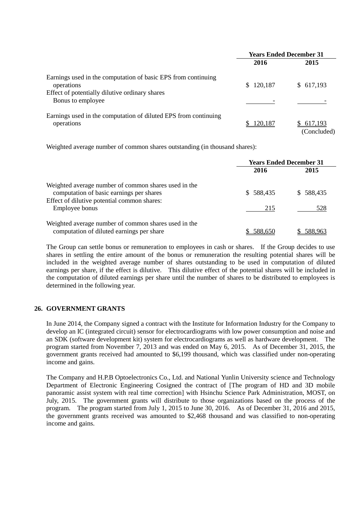|                                                                               | <b>Years Ended December 31</b> |                        |  |  |
|-------------------------------------------------------------------------------|--------------------------------|------------------------|--|--|
|                                                                               | 2016                           | 2015                   |  |  |
| Earnings used in the computation of basic EPS from continuing<br>operations   | \$120,187                      | \$617,193              |  |  |
| Effect of potentially dilutive ordinary shares<br>Bonus to employee           |                                |                        |  |  |
| Earnings used in the computation of diluted EPS from continuing<br>operations | \$120,187                      | 617,193<br>(Concluded) |  |  |

Weighted average number of common shares outstanding (in thousand shares):

|                                                      | <b>Years Ended December 31</b> |           |  |  |
|------------------------------------------------------|--------------------------------|-----------|--|--|
|                                                      | 2016                           | 2015      |  |  |
| Weighted average number of common shares used in the |                                |           |  |  |
| computation of basic earnings per shares             | \$588,435                      | \$588,435 |  |  |
| Effect of dilutive potential common shares:          |                                |           |  |  |
| Employee bonus                                       | 215                            | 528       |  |  |
| Weighted average number of common shares used in the |                                |           |  |  |
| computation of diluted earnings per share            | 588.650                        | 588,963   |  |  |

The Group can settle bonus or remuneration to employees in cash or shares. If the Group decides to use shares in settling the entire amount of the bonus or remuneration the resulting potential shares will be included in the weighted average number of shares outstanding to be used in computation of diluted earnings per share, if the effect is dilutive. This dilutive effect of the potential shares will be included in the computation of diluted earnings per share until the number of shares to be distributed to employees is determined in the following year.

# **26. GOVERNMENT GRANTS**

In June 2014, the Company signed a contract with the Institute for Information Industry for the Company to develop an IC (integrated circuit) sensor for electrocardiograms with low power consumption and noise and an SDK (software development kit) system for electrocardiograms as well as hardware development. The program started from November 7, 2013 and was ended on May 6, 2015. As of December 31, 2015, the government grants received had amounted to \$6,199 thousand, which was classified under non-operating income and gains.

The Company and H.P.B Optoelectronics Co., Ltd. and National Yunlin University science and Technology Department of Electronic Engineering Cosigned the contract of [The program of HD and 3D mobile panoramic assist system with real time correction] with Hsinchu Science Park Administration, MOST, on July, 2015. The government grants will distribute to those organizations based on the process of the program. The program started from July 1, 2015 to June 30, 2016. As of December 31, 2016 and 2015, the government grants received was amounted to \$2,468 thousand and was classified to non-operating income and gains.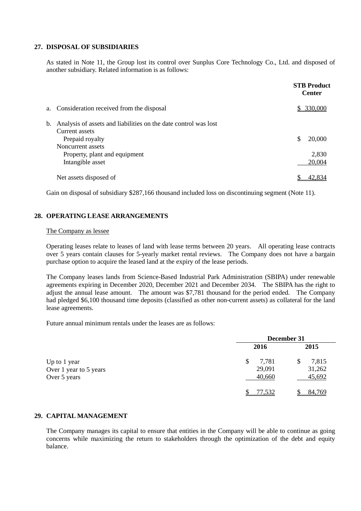#### **27. DISPOSAL OF SUBSIDIARIES**

As stated in Note 11, the Group lost its control over Sunplus Core Technology Co., Ltd. and disposed of another subsidiary. Related information is as follows:

|    |                                                                                                                           | <b>STB Product</b><br><b>Center</b> |  |  |  |
|----|---------------------------------------------------------------------------------------------------------------------------|-------------------------------------|--|--|--|
|    | a. Consideration received from the disposal                                                                               | \$ 330,000                          |  |  |  |
| b. | Analysis of assets and liabilities on the date control was lost<br>Current assets<br>Prepaid royalty<br>Noncurrent assets | \$<br>20,000                        |  |  |  |
|    | Property, plant and equipment<br>Intangible asset                                                                         | 2,830<br>20,004                     |  |  |  |
|    | Net assets disposed of                                                                                                    | 42.834                              |  |  |  |

Gain on disposal of subsidiary \$287,166 thousand included loss on discontinuing segment (Note 11).

### **28. OPERATING LEASE ARRANGEMENTS**

#### The Company as lessee

Operating leases relate to leases of land with lease terms between 20 years. All operating lease contracts over 5 years contain clauses for 5-yearly market rental reviews. The Company does not have a bargain purchase option to acquire the leased land at the expiry of the lease periods.

The Company leases lands from Science-Based Industrial Park Administration (SBIPA) under renewable agreements expiring in December 2020, December 2021 and December 2034. The SBIPA has the right to adjust the annual lease amount. The amount was \$7,781 thousand for the period ended. The Company had pledged \$6,100 thousand time deposits (classified as other non-current assets) as collateral for the land lease agreements.

Future annual minimum rentals under the leases are as follows:

|                                        | December 31          |                       |  |  |  |  |
|----------------------------------------|----------------------|-----------------------|--|--|--|--|
| Up to 1 year<br>Over 1 year to 5 years | 2016                 | 2015                  |  |  |  |  |
|                                        | 7,781<br>S<br>29,091 | 7,815<br>\$<br>31,262 |  |  |  |  |
| Over 5 years                           | 40,660               | 45,692                |  |  |  |  |
|                                        | 77,532               | 84,769                |  |  |  |  |

#### **29. CAPITAL MANAGEMENT**

The Company manages its capital to ensure that entities in the Company will be able to continue as going concerns while maximizing the return to stakeholders through the optimization of the debt and equity balance.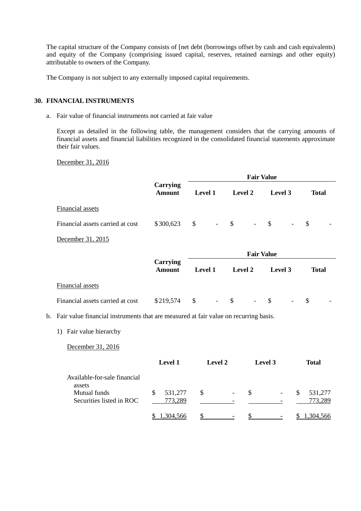The capital structure of the Company consists of [net debt (borrowings offset by cash and cash equivalents) and equity of the Company (comprising issued capital, reserves, retained earnings and other equity) attributable to owners of the Company.

The Company is not subject to any externally imposed capital requirements.

#### **30. FINANCIAL INSTRUMENTS**

a. Fair value of financial instruments not carried at fair value

Except as detailed in the following table, the management considers that the carrying amounts of financial assets and financial liabilities recognized in the consolidated financial statements approximate their fair values.

December 31, 2016

|                                  |                    | <b>Fair Value</b> |                |         |            |         |                          |              |              |
|----------------------------------|--------------------|-------------------|----------------|---------|------------|---------|--------------------------|--------------|--------------|
|                                  | Carrying<br>Amount | <b>Level 1</b>    |                | Level 2 |            | Level 3 |                          |              | <b>Total</b> |
| Financial assets                 |                    |                   |                |         |            |         |                          |              |              |
| Financial assets carried at cost | \$300,623          | $\mathcal{S}$     | $\blacksquare$ | \$      | $\sim 100$ | -S      | $\overline{\phantom{a}}$ | <sup>S</sup> |              |

December 31, 2015

|                                  |                    | <b>Fair Value</b> |                                           |                          |         |                          |              |                          |  |
|----------------------------------|--------------------|-------------------|-------------------------------------------|--------------------------|---------|--------------------------|--------------|--------------------------|--|
|                                  | Carrying<br>Amount | <b>Level 1</b>    | Level 2                                   |                          | Level 3 |                          | <b>Total</b> |                          |  |
| Financial assets                 |                    |                   |                                           |                          |         |                          |              |                          |  |
| Financial assets carried at cost | \$219,574          | \$                | <sup>\$</sup><br>$\overline{\phantom{a}}$ | $\overline{\phantom{a}}$ |         | $\overline{\phantom{a}}$ |              | $\overline{\phantom{0}}$ |  |

- b. Fair value financial instruments that are measured at fair value on recurring basis.
	- 1) Fair value hierarchy

December 31, 2016

|                                          | <b>Level 1</b>           | <b>Level 2</b> |   | Level 3 |                          |   | <b>Total</b>       |
|------------------------------------------|--------------------------|----------------|---|---------|--------------------------|---|--------------------|
| Available-for-sale financial<br>assets   |                          |                |   |         |                          |   |                    |
| Mutual funds<br>Securities listed in ROC | \$<br>531,277<br>773,289 | \$.            | - | S       | $\overline{\phantom{a}}$ | S | 531,277<br>773,289 |
|                                          | 1.304.566                |                |   |         |                          |   | 1.304.566          |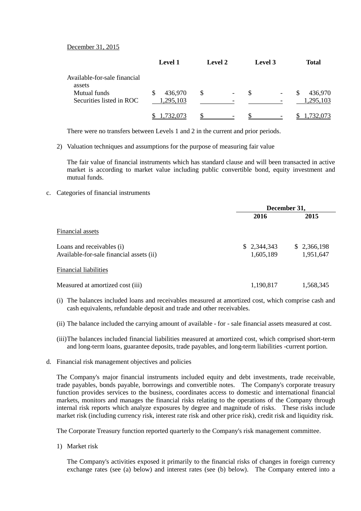## December 31, 2015

|                                        | <b>Level 1</b> | Level 2                       | Level 3                       | <b>Total</b> |  |
|----------------------------------------|----------------|-------------------------------|-------------------------------|--------------|--|
| Available-for-sale financial<br>assets |                |                               |                               |              |  |
| Mutual funds                           | 436,970<br>S   | S<br>$\overline{\phantom{a}}$ | S<br>$\overline{\phantom{a}}$ | 436,970<br>S |  |
| Securities listed in ROC               | 1,295,103      |                               |                               | 1,295,103    |  |
|                                        | 1,732,073      | $\overline{\phantom{0}}$      |                               | 1,732,073    |  |

There were no transfers between Levels 1 and 2 in the current and prior periods.

2) Valuation techniques and assumptions for the purpose of measuring fair value

The fair value of financial instruments which has standard clause and will been transacted in active market is according to market value including public convertible bond, equity investment and mutual funds.

c. Categories of financial instruments

|                                                                       | December 31,             |                          |  |  |
|-----------------------------------------------------------------------|--------------------------|--------------------------|--|--|
|                                                                       | 2016                     | 2015                     |  |  |
| Financial assets                                                      |                          |                          |  |  |
| Loans and receivables (i)<br>Available-for-sale financial assets (ii) | \$2,344,343<br>1,605,189 | \$2,366,198<br>1,951,647 |  |  |
| <b>Financial liabilities</b>                                          |                          |                          |  |  |
| Measured at amortized cost (iii)                                      | 1,190,817                | 1,568,345                |  |  |

- (i) The balances included loans and receivables measured at amortized cost, which comprise cash and cash equivalents, refundable deposit and trade and other receivables.
- (ii) The balance included the carrying amount of available for sale financial assets measured at cost.
- (iii)The balances included financial liabilities measured at amortized cost, which comprised short-term and long-term loans, guarantee deposits, trade payables, and long-term liabilities -current portion.
- d. Financial risk management objectives and policies

The Company's major financial instruments included equity and debt investments, trade receivable, trade payables, bonds payable, borrowings and convertible notes. The Company's corporate treasury function provides services to the business, coordinates access to domestic and international financial markets, monitors and manages the financial risks relating to the operations of the Company through internal risk reports which analyze exposures by degree and magnitude of risks. These risks include market risk (including currency risk, interest rate risk and other price risk), credit risk and liquidity risk.

The Corporate Treasury function reported quarterly to the Company's risk management committee.

1) Market risk

The Company's activities exposed it primarily to the financial risks of changes in foreign currency exchange rates (see (a) below) and interest rates (see (b) below). The Company entered into a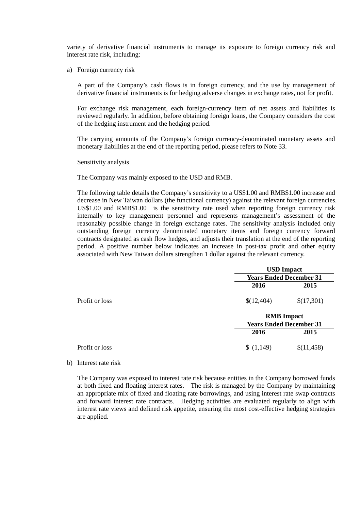variety of derivative financial instruments to manage its exposure to foreign currency risk and interest rate risk, including:

a) Foreign currency risk

A part of the Company's cash flows is in foreign currency, and the use by management of derivative financial instruments is for hedging adverse changes in exchange rates, not for profit.

For exchange risk management, each foreign-currency item of net assets and liabilities is reviewed regularly. In addition, before obtaining foreign loans, the Company considers the cost of the hedging instrument and the hedging period.

The carrying amounts of the Company's foreign currency-denominated monetary assets and monetary liabilities at the end of the reporting period, please refers to Note 33.

Sensitivity analysis

The Company was mainly exposed to the USD and RMB.

The following table details the Company's sensitivity to a US\$1.00 and RMB\$1.00 increase and decrease in New Taiwan dollars (the functional currency) against the relevant foreign currencies. US\$1.00 and RMB\$1.00 is the sensitivity rate used when reporting foreign currency risk internally to key management personnel and represents management's assessment of the reasonably possible change in foreign exchange rates. The sensitivity analysis included only outstanding foreign currency denominated monetary items and foreign currency forward contracts designated as cash flow hedges, and adjusts their translation at the end of the reporting period. A positive number below indicates an increase in post-tax profit and other equity associated with New Taiwan dollars strengthen 1 dollar against the relevant currency.

|                | <b>USD</b> Impact              |            |  |  |
|----------------|--------------------------------|------------|--|--|
|                | <b>Years Ended December 31</b> |            |  |  |
|                | 2016                           | 2015       |  |  |
| Profit or loss | \$(12,404)                     | \$(17,301) |  |  |
|                | <b>RMB</b> Impact              |            |  |  |
|                | <b>Years Ended December 31</b> |            |  |  |
|                | 2016                           | 2015       |  |  |
| Profit or loss | \$(1,149)                      | \$(11,458) |  |  |

b) Interest rate risk

The Company was exposed to interest rate risk because entities in the Company borrowed funds at both fixed and floating interest rates. The risk is managed by the Company by maintaining an appropriate mix of fixed and floating rate borrowings, and using interest rate swap contracts and forward interest rate contracts. Hedging activities are evaluated regularly to align with interest rate views and defined risk appetite, ensuring the most cost-effective hedging strategies are applied.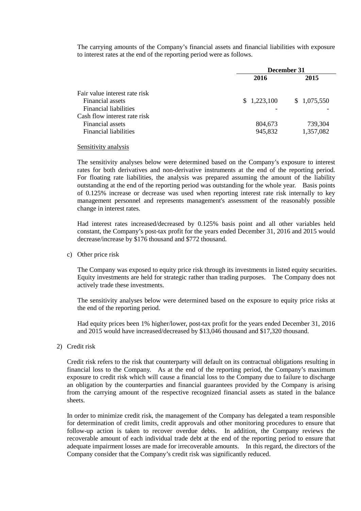The carrying amounts of the Company's financial assets and financial liabilities with exposure to interest rates at the end of the reporting period were as follows.

| December 31 |             |  |  |
|-------------|-------------|--|--|
| 2016        |             |  |  |
|             |             |  |  |
|             | \$1,075,550 |  |  |
|             |             |  |  |
|             |             |  |  |
| 804,673     | 739,304     |  |  |
| 945,832     | 1,357,082   |  |  |
|             | \$1,223,100 |  |  |

#### Sensitivity analysis

The sensitivity analyses below were determined based on the Company's exposure to interest rates for both derivatives and non-derivative instruments at the end of the reporting period. For floating rate liabilities, the analysis was prepared assuming the amount of the liability outstanding at the end of the reporting period was outstanding for the whole year. Basis points of 0.125% increase or decrease was used when reporting interest rate risk internally to key management personnel and represents management's assessment of the reasonably possible change in interest rates.

Had interest rates increased/decreased by 0.125% basis point and all other variables held constant, the Company's post-tax profit for the years ended December 31, 2016 and 2015 would decrease/increase by \$176 thousand and \$772 thousand.

#### c) Other price risk

The Company was exposed to equity price risk through its investments in listed equity securities. Equity investments are held for strategic rather than trading purposes. The Company does not actively trade these investments.

The sensitivity analyses below were determined based on the exposure to equity price risks at the end of the reporting period.

Had equity prices been 1% higher/lower, post-tax profit for the years ended December 31, 2016 and 2015 would have increased/decreased by \$13,046 thousand and \$17,320 thousand.

#### 2) Credit risk

Credit risk refers to the risk that counterparty will default on its contractual obligations resulting in financial loss to the Company. As at the end of the reporting period, the Company's maximum exposure to credit risk which will cause a financial loss to the Company due to failure to discharge an obligation by the counterparties and financial guarantees provided by the Company is arising from the carrying amount of the respective recognized financial assets as stated in the balance sheets.

In order to minimize credit risk, the management of the Company has delegated a team responsible for determination of credit limits, credit approvals and other monitoring procedures to ensure that follow-up action is taken to recover overdue debts. In addition, the Company reviews the recoverable amount of each individual trade debt at the end of the reporting period to ensure that adequate impairment losses are made for irrecoverable amounts. In this regard, the directors of the Company consider that the Company's credit risk was significantly reduced.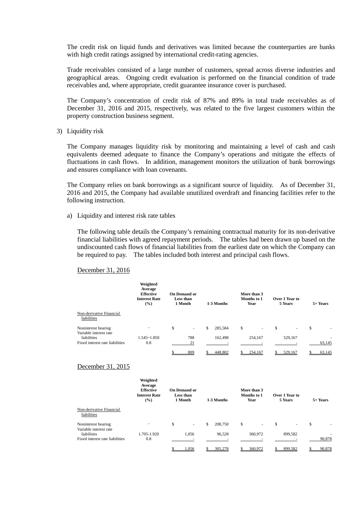The credit risk on liquid funds and derivatives was limited because the counterparties are banks with high credit ratings assigned by international credit-rating agencies.

Trade receivables consisted of a large number of customers, spread across diverse industries and geographical areas. Ongoing credit evaluation is performed on the financial condition of trade receivables and, where appropriate, credit guarantee insurance cover is purchased.

The Company's concentration of credit risk of 87% and 89% in total trade receivables as of December 31, 2016 and 2015, respectively, was related to the five largest customers within the property construction business segment.

3) Liquidity risk

The Company manages liquidity risk by monitoring and maintaining a level of cash and cash equivalents deemed adequate to finance the Company's operations and mitigate the effects of fluctuations in cash flows. In addition, management monitors the utilization of bank borrowings and ensures compliance with loan covenants.

The Company relies on bank borrowings as a significant source of liquidity. As of December 31, 2016 and 2015, the Company had available unutilized overdraft and financing facilities refer to the following instruction.

a) Liquidity and interest risk rate tables

The following table details the Company's remaining contractual maturity for its non-derivative financial liabilities with agreed repayment periods. The tables had been drawn up based on the undiscounted cash flows of financial liabilities from the earliest date on which the Company can be required to pay. The tables included both interest and principal cash flows.

#### December 31, 2016

|                                                                                                 | Weighted<br>Average<br><b>Effective</b><br><b>Interest Rate</b><br>(%) | <b>On Demand or</b><br>Less than<br>1 Month | 1-3 Months               | More than 3<br>Months to 1<br>Year | Over 1 Year to<br>5 Years | 5+ Years     |
|-------------------------------------------------------------------------------------------------|------------------------------------------------------------------------|---------------------------------------------|--------------------------|------------------------------------|---------------------------|--------------|
| Non-derivative Financial<br>liabilities                                                         |                                                                        |                                             |                          |                                    |                           |              |
| Noninterest bearing<br>Variable interest rate<br>liabilities<br>Fixed interest rate liabilities | $1.545 - 1.850$<br>0.8                                                 | \$<br>$\sim$<br>788<br>21                   | \$<br>285,584<br>162,498 | \$<br>254,167                      | \$<br>529,167             | \$<br>63,145 |
|                                                                                                 |                                                                        | 809                                         | 448.802                  | 254,167                            | 529.167                   | 63.145       |
| December 31, 2015                                                                               |                                                                        |                                             |                          |                                    |                           |              |
|                                                                                                 | Weighted                                                               |                                             |                          |                                    |                           |              |

|                                                              | Average<br><b>Effective</b><br><b>Interest Rate</b><br>$($ %) | <b>On Demand or</b><br><b>Less than</b><br>1 Month | 1-3 Months    | More than 3<br>Months to 1<br>Year | Over 1 Year to<br>5 Years      | 5+ Years                           |
|--------------------------------------------------------------|---------------------------------------------------------------|----------------------------------------------------|---------------|------------------------------------|--------------------------------|------------------------------------|
| Non-derivative Financial<br>liabilities                      |                                                               |                                                    |               |                                    |                                |                                    |
| Noninterest bearing<br>Variable interest rate<br>liabilities | 1.705-1.920                                                   | \$<br>٠<br>1.056                                   | \$<br>208,750 | \$                                 | \$<br>$\overline{\phantom{a}}$ | \$                                 |
| Fixed interest rate liabilities                              | 0.8                                                           |                                                    | 96,528        | 360,972                            | 899,582                        | $\overline{\phantom{a}}$<br>90,878 |
|                                                              |                                                               | 1.056                                              | 305,278       | 360,972                            | 899,582                        | 90,878                             |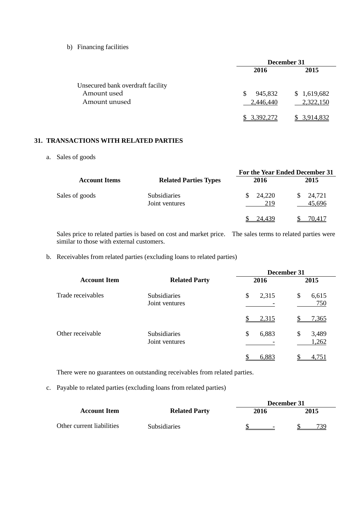## b) Financing facilities

|                                   | December 31  |             |  |  |
|-----------------------------------|--------------|-------------|--|--|
|                                   | 2016         | 2015        |  |  |
| Unsecured bank overdraft facility |              |             |  |  |
| Amount used                       | 945,832<br>S | \$1,619,682 |  |  |
| Amount unused                     | 2,446,440    | 2,322,150   |  |  |
|                                   | 3,392,272    | 3.914.832   |  |  |

# **31. TRANSACTIONS WITH RELATED PARTIES**

a. Sales of goods

|                      |                                       | For the Year Ended December 31 |               |      |                  |  |  |  |
|----------------------|---------------------------------------|--------------------------------|---------------|------|------------------|--|--|--|
| <b>Account Items</b> | <b>Related Parties Types</b>          |                                | 2016          | 2015 |                  |  |  |  |
| Sales of goods       | <b>Subsidiaries</b><br>Joint ventures |                                | 24,220<br>219 |      | 24,721<br>45,696 |  |  |  |
|                      |                                       |                                | 24.439        |      | 70.417           |  |  |  |

Sales price to related parties is based on cost and market price. The sales terms to related parties were similar to those with external customers.

b. Receivables from related parties (excluding loans to related parties)

|                     |                                       | December 31 |                      |  |  |  |  |
|---------------------|---------------------------------------|-------------|----------------------|--|--|--|--|
| <b>Account Item</b> | <b>Related Party</b>                  | 2016        | 2015                 |  |  |  |  |
| Trade receivables   | <b>Subsidiaries</b><br>Joint ventures | \$<br>2,315 | \$<br>6,615<br>750   |  |  |  |  |
|                     |                                       | 2,315       | 7,365                |  |  |  |  |
| Other receivable    | Subsidiaries<br>Joint ventures        | 6,883<br>\$ | 3,489<br>\$<br>1,262 |  |  |  |  |
|                     |                                       | 6,883       | 4,751                |  |  |  |  |

There were no guarantees on outstanding receivables from related parties.

c. Payable to related parties (excluding loans from related parties)

|                           |                      | December 31              |      |  |  |
|---------------------------|----------------------|--------------------------|------|--|--|
| <b>Account Item</b>       | <b>Related Party</b> | 2016                     | 2015 |  |  |
| Other current liabilities | <b>Subsidiaries</b>  | $\overline{\phantom{0}}$ |      |  |  |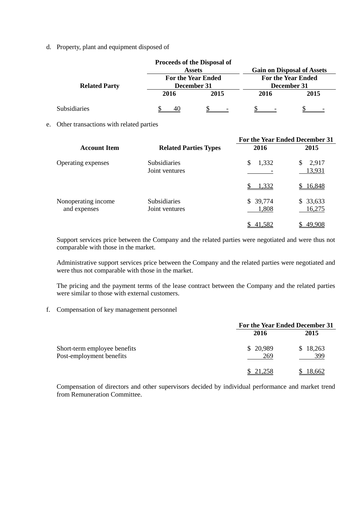d. Property, plant and equipment disposed of

|                      |      | <b>Proceeds of the Disposal of</b><br><b>Assets</b> | <b>Gain on Disposal of Assets</b>        |      |  |  |  |
|----------------------|------|-----------------------------------------------------|------------------------------------------|------|--|--|--|
| <b>Related Party</b> |      | <b>For the Year Ended</b><br>December 31            | <b>For the Year Ended</b><br>December 31 |      |  |  |  |
|                      | 2016 | 2015                                                | 2016                                     | 2015 |  |  |  |
| <b>Subsidiaries</b>  |      |                                                     |                                          |      |  |  |  |

e. Other transactions with related parties

|                                     |                                       |                   | For the Year Ended December 31 |  |  |
|-------------------------------------|---------------------------------------|-------------------|--------------------------------|--|--|
| <b>Account Item</b>                 | <b>Related Parties Types</b>          | 2016              | 2015                           |  |  |
| Operating expenses                  | <b>Subsidiaries</b><br>Joint ventures | 1,332<br>\$       | 2,917<br>\$<br>13,931          |  |  |
|                                     |                                       | 1,332             | \$16,848                       |  |  |
| Nonoperating income<br>and expenses | <b>Subsidiaries</b><br>Joint ventures | \$39,774<br>1,808 | \$33,633<br>16,275             |  |  |
|                                     |                                       | 41.582            | 49,908                         |  |  |

Support services price between the Company and the related parties were negotiated and were thus not comparable with those in the market.

Administrative support services price between the Company and the related parties were negotiated and were thus not comparable with those in the market.

The pricing and the payment terms of the lease contract between the Company and the related parties were similar to those with external customers.

f. Compensation of key management personnel

|                                                          | For the Year Ended December 31 |                 |  |  |  |  |
|----------------------------------------------------------|--------------------------------|-----------------|--|--|--|--|
|                                                          | 2016                           | 2015            |  |  |  |  |
| Short-term employee benefits<br>Post-employment benefits | \$20,989<br>269                | \$18,263<br>399 |  |  |  |  |
|                                                          | \$21,258                       | \$18,662        |  |  |  |  |

Compensation of directors and other supervisors decided by individual performance and market trend from Remuneration Committee.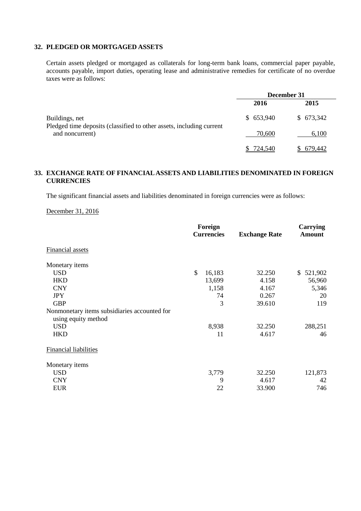# **32. PLEDGED OR MORTGAGED ASSETS**

Certain assets pledged or mortgaged as collaterals for long-term bank loans, commercial paper payable, accounts payable, import duties, operating lease and administrative remedies for certificate of no overdue taxes were as follows:

|                                                                                         | December 31 |           |  |  |
|-----------------------------------------------------------------------------------------|-------------|-----------|--|--|
|                                                                                         | 2016        | 2015      |  |  |
| Buildings, net                                                                          | \$653,940   | \$673,342 |  |  |
| Pledged time deposits (classified to other assets, including current<br>and noncurrent) | 70,600      | 6,100     |  |  |
|                                                                                         | 724.540     | 679,442   |  |  |

## **33. EXCHANGE RATE OF FINANCIAL ASSETS AND LIABILITIES DENOMINATED IN FOREIGN CURRENCIES**

The significant financial assets and liabilities denominated in foreign currencies were as follows:

# December 31, 2016

|                                                                     | Foreign<br><b>Currencies</b> |        | <b>Exchange Rate</b> | Carrying<br><b>Amount</b> |  |
|---------------------------------------------------------------------|------------------------------|--------|----------------------|---------------------------|--|
| <b>Financial assets</b>                                             |                              |        |                      |                           |  |
| Monetary items                                                      |                              |        |                      |                           |  |
| <b>USD</b>                                                          | \$                           | 16,183 | 32.250               | 521,902<br>\$             |  |
| <b>HKD</b>                                                          |                              | 13,699 | 4.158                | 56,960                    |  |
| <b>CNY</b>                                                          |                              | 1,158  | 4.167                | 5,346                     |  |
| <b>JPY</b>                                                          |                              | 74     | 0.267                | 20                        |  |
| <b>GBP</b>                                                          |                              | 3      | 39.610               | 119                       |  |
| Nonmonetary items subsidiaries accounted for<br>using equity method |                              |        |                      |                           |  |
| <b>USD</b>                                                          |                              | 8,938  | 32.250               | 288,251                   |  |
| <b>HKD</b>                                                          |                              | 11     | 4.617                | 46                        |  |
| <b>Financial liabilities</b>                                        |                              |        |                      |                           |  |
| Monetary items                                                      |                              |        |                      |                           |  |
| <b>USD</b>                                                          |                              | 3,779  | 32.250               | 121,873                   |  |
| <b>CNY</b>                                                          |                              | 9      | 4.617                | 42                        |  |
| <b>EUR</b>                                                          |                              | 22     | 33.900               | 746                       |  |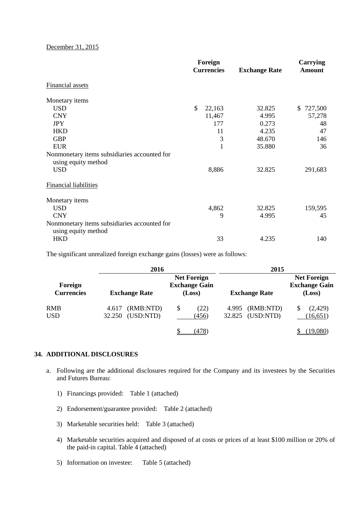#### December 31, 2015

|                                                                     | Foreign<br><b>Currencies</b> | <b>Exchange Rate</b> | <b>Carrying</b><br><b>Amount</b> |  |
|---------------------------------------------------------------------|------------------------------|----------------------|----------------------------------|--|
| <b>Financial assets</b>                                             |                              |                      |                                  |  |
| Monetary items                                                      |                              |                      |                                  |  |
| <b>USD</b>                                                          | \$<br>22,163                 | 32.825               | 727,500<br>$\mathbb{S}^-$        |  |
| <b>CNY</b>                                                          | 11,467                       | 4.995                | 57,278                           |  |
| <b>JPY</b>                                                          | 177                          | 0.273                | 48                               |  |
| <b>HKD</b>                                                          | 11                           | 4.235                | 47                               |  |
| <b>GBP</b>                                                          | 3                            | 48.670               | 146                              |  |
| <b>EUR</b>                                                          | $\mathbf{1}$                 | 35.880               | 36                               |  |
| Nonmonetary items subsidiaries accounted for<br>using equity method |                              |                      |                                  |  |
| <b>USD</b>                                                          | 8,886                        | 32.825               | 291,683                          |  |
| <b>Financial liabilities</b>                                        |                              |                      |                                  |  |
| Monetary items                                                      |                              |                      |                                  |  |
| <b>USD</b>                                                          | 4,862                        | 32.825               | 159,595                          |  |
| <b>CNY</b>                                                          | 9                            | 4.995                | 45                               |  |
| Nonmonetary items subsidiaries accounted for<br>using equity method |                              |                      |                                  |  |
| <b>HKD</b>                                                          | 33                           | 4.235                | 140                              |  |

The significant unrealized foreign exchange gains (losses) were as follows:

|                              | 2016                                      |                                                      | 2015                                      |                                                      |  |  |  |  |
|------------------------------|-------------------------------------------|------------------------------------------------------|-------------------------------------------|------------------------------------------------------|--|--|--|--|
| Foreign<br><b>Currencies</b> | <b>Exchange Rate</b>                      | <b>Net Foreign</b><br><b>Exchange Gain</b><br>(Loss) | <b>Exchange Rate</b>                      | <b>Net Foreign</b><br><b>Exchange Gain</b><br>(Loss) |  |  |  |  |
| RMB<br><b>USD</b>            | (RMB:NTD)<br>4.617<br>(USD:NTD)<br>32.250 | \$<br>(22)<br>(456)                                  | (RMB:NTD)<br>4.995<br>(USD:NTD)<br>32.825 | (2,429)<br>(16, 651)                                 |  |  |  |  |
|                              |                                           | (478)                                                |                                           | (19,080)                                             |  |  |  |  |

### **34. ADDITIONAL DISCLOSURES**

- a. Following are the additional disclosures required for the Company and its investees by the Securities and Futures Bureau:
	- 1) Financings provided: Table 1 (attached)
	- 2) Endorsement/guarantee provided: Table 2 (attached)
	- 3) Marketable securities held: Table 3 (attached)
	- 4) Marketable securities acquired and disposed of at costs or prices of at least \$100 million or 20% of the paid-in capital. Table 4 (attached)
	- 5) Information on investee: Table 5 (attached)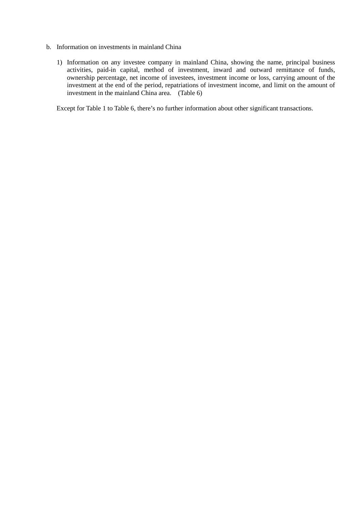- b. Information on investments in mainland China
	- 1) Information on any investee company in mainland China, showing the name, principal business activities, paid-in capital, method of investment, inward and outward remittance of funds, ownership percentage, net income of investees, investment income or loss, carrying amount of the investment at the end of the period, repatriations of investment income, and limit on the amount of investment in the mainland China area. (Table 6)

Except for Table 1 to Table 6, there's no further information about other significant transactions.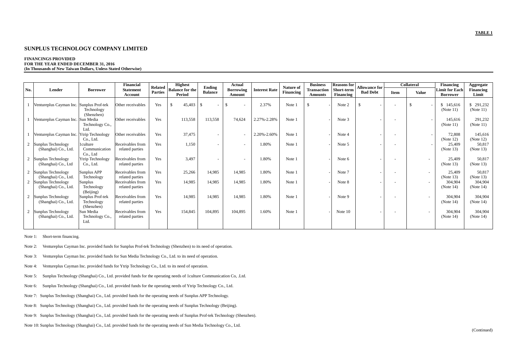# **SUNPLUS TECHNOLOGY COMPANY LIMITED**

#### **FINANCINGS PROVIDED FOR THE YEAR ENDED DECEMBER 31, 2016 (In Thousands of New Taiwan Dollars, Unless Stated Otherwise)**

|     |                                            |                                              | Financial                           | <b>Related</b> | <b>Highest</b>                          | Ending                 | <b>Actual</b>              |                      | <b>Nature of</b> | <b>Business</b>               | <b>Reasons for</b>             | <b>Allowance for</b> |             | <b>Collateral</b> | <b>Financing</b>                         | Aggregate                 |
|-----|--------------------------------------------|----------------------------------------------|-------------------------------------|----------------|-----------------------------------------|------------------------|----------------------------|----------------------|------------------|-------------------------------|--------------------------------|----------------------|-------------|-------------------|------------------------------------------|---------------------------|
| No. | Lender                                     | <b>Borrower</b>                              | <b>Statement</b><br>Account         | <b>Parties</b> | <b>Balance for the</b><br><b>Period</b> | <b>Balance</b>         | <b>Borrowing</b><br>Amount | <b>Interest Rate</b> | Financing        | Transaction<br><b>Amounts</b> | Short-term<br><b>Financing</b> | <b>Bad Debt</b>      | <b>Item</b> | <b>Value</b>      | <b>Limit for Each</b><br><b>Borrower</b> | Financing<br>Limit        |
|     | Ventureplus Cayman Inc. Sunplus Prof-tek   | Technology                                   | Other receivables                   | Yes            | <sup>\$</sup><br>45,403                 | <sup>S</sup><br>$\sim$ | $\sim$                     | 2.37%                | Note 1           | -\$                           | Note 2                         | $\mathbb{S}$         |             | - \$              | \$145,616<br>(Note $11$ )                | \$291,232<br>(Note $11$ ) |
|     | Ventureplus Cayman Inc. Sun Media          | (Shenzhen)<br>Technology Co.,<br>Ltd.        | Other receivables                   | Yes            | 113,558                                 | 113,558                | 74,624                     | 2.27%-2.28%          | Note 1           |                               | Note 3                         |                      |             |                   | 145,616<br>(Note $11$ )                  | 291,232<br>(Note $11$ )   |
|     | Ventureplus Cayman Inc. Ytrip Technology   | Co., Ltd.                                    | Other receivables                   | Yes            | 37,475                                  |                        | $\sim$                     | 2.20%-2.60%          | Note 1           |                               | Note 4                         |                      |             |                   | 72,808<br>(Note $12$ )                   | 145,616<br>(Note $12$ )   |
|     | Sunplus Technology<br>(Shanghai) Co., Ltd. | 1 culture<br>Communication<br>Co., Ltd       | Receivables from<br>related parties | Yes            | 1,150                                   |                        | $\sim$                     | 1.80%                | Note 1           |                               | Note 5                         |                      |             |                   | 25,409<br>(Note 13)                      | 50,817<br>(Note $13$ )    |
|     | Sunplus Technology<br>(Shanghai) Co., Ltd  | Ytrip Technology<br>Co., Ltd.                | Receivables from<br>related parties | Yes            | 3,497                                   |                        | $\sim$                     | 1.80%                | Note 1           |                               | Note 6                         |                      |             |                   | 25,409<br>(Note $13$ )                   | 50,817<br>(Note $13$ )    |
|     | Sunplus Technology<br>(Shanghai) Co., Ltd. | Sunplus APP<br>Technology                    | Receivables from<br>related parties | Yes            | 25,266                                  | 14,985                 | 14,985                     | 1.80%                | Note 1           |                               | Note 7                         |                      |             | $\sim$            | 25,409<br>(Note $13$ )                   | 50,817<br>(Note $13$ )    |
|     | Sunplus Technology<br>(Shanghai) Co., Ltd. | Sunplus<br>Technology<br>(Beijing)           | Receivables from<br>related parties | Yes            | 14,985                                  | 14,985                 | 14,985                     | 1.80%                | Note 1           |                               | Note 8                         |                      |             | $\sim$            | 304,904<br>(Note $14$ )                  | 304,904<br>(Note $14$ )   |
|     | Sunplus Technology<br>(Shanghai) Co., Ltd. | Sunplus Prof-tek<br>Technology<br>(Shenzhen) | Receivables from<br>related parties | Yes            | 14,985                                  | 14,985                 | 14,985                     | 1.80%                | Note 1           |                               | Note 9                         |                      |             |                   | 304,904<br>(Note $14$ )                  | 304,904<br>(Note $14$ )   |
|     | Sunplus Technology<br>(Shanghai) Co., Ltd. | Sun Media<br>Technology Co.,<br>Ltd.         | Receivables from<br>related parties | Yes            | 154,845                                 | 104,895                | 104,895                    | 1.60%                | Note 1           |                               | Note 10                        |                      |             |                   | 304,904<br>(Note $14$ )                  | 304,904<br>(Note $14$ )   |

Note 1: Short-term financing.

Note 2: Ventureplus Cayman Inc. provided funds for Sunplus Prof-tek Technology (Shenzhen) to its need of operation.

Note 3: Ventureplus Cayman Inc. provided funds for Sun Media Technology Co., Ltd. to its need of operation.

- Note 4: Ventureplus Cayman Inc. provided funds for Ytrip Technology Co., Ltd. to its need of operation.
- Note 5: Sunplus Technology (Shanghai) Co., Ltd. provided funds for the operating needs of 1culture Communication Co, .Ltd.
- Note 6: Sunplus Technology (Shanghai) Co., Ltd. provided funds for the operating needs of Ytrip Technology Co., Ltd.
- Note 7: Sunplus Technology (Shanghai) Co., Ltd. provided funds for the operating needs of Sunplus APP Technology.
- Note 8: Sunplus Technology (Shanghai) Co., Ltd. provided funds for the operating needs of Sunplus Technology (Beijing).
- Note 9: Sunplus Technology (Shanghai) Co., Ltd. provided funds for the operating needs of Sunplus Prof-tek Technology (Shenzhen).
- Note 10: Sunplus Technology (Shanghai) Co., Ltd. provided funds for the operating needs of Sun Media Technology Co., Ltd.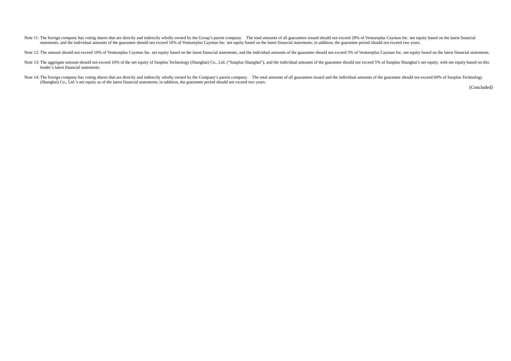- Note 11: The foreign company has voting shares that are directly and indirectly wholly owned by the Group's parent company. The total amounts of all guarantees issued should not exceed 20% of Ventureplus Cayman Inc. net eq statements, and the individual amounts of the guarantee should not exceed 10% of Ventureplus Cayman Inc. net equity based on the latest financial statements; in addition, the guarantee period should not exceed two years.
- Note 12: The amount should not exceed 10% of Ventureplus Cayman Inc. net equity based on the latest financial statements, and the individual amounts of the guarantee should not exceed 5% of Ventureplus Cayman Inc. net equi
- Note 13: The aggregate amount should not exceed 10% of the net equity of Sunplus Technology (Shanghai) Co., Ltd. ("Sunplus Shanghai"), and the individual amounts of the guarantee should not exceed 5% of Sunplus Shanghai's lender's latest financial statements.
- Note 14: The foreign company has voting shares that are directly and indirectly wholly owned by the Company's parent company. The total amounts of all guarantees issued and the individual amounts of the guarantee should no (Shanghai) Co., Ltd.'s net equity as of the latest financial statements; in addition, the guarantee period should not exceed two years.

(Concluded)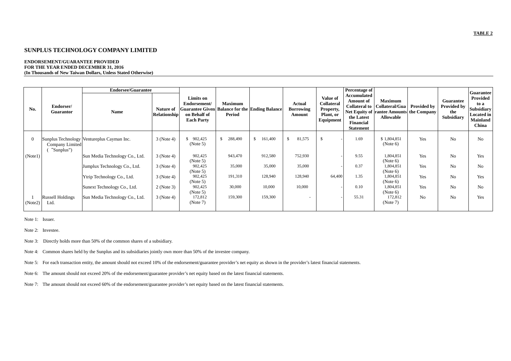# **TABLE 2**

# **SUNPLUS TECHNOLOGY COMPANY LIMITED**

## **ENDORSEMENT/GUARANTEE PROVIDED FOR THE YEAR ENDED DECEMBER 31, 2016 (In Thousands of New Taiwan Dollars, Unless Stated Otherwise)**

|         |                                      | <b>Endorsee/Guarantee</b>                    |                                         |                                                                                                                                |                                 |                         |                                             |                                                                             | <b>Percentage of</b>                                                                                   |                                                                                                  |                    |                                                      | <b>Guarantee</b>                                                                |
|---------|--------------------------------------|----------------------------------------------|-----------------------------------------|--------------------------------------------------------------------------------------------------------------------------------|---------------------------------|-------------------------|---------------------------------------------|-----------------------------------------------------------------------------|--------------------------------------------------------------------------------------------------------|--------------------------------------------------------------------------------------------------|--------------------|------------------------------------------------------|---------------------------------------------------------------------------------|
| No.     | Endorser/<br><b>Guarantor</b>        | <b>Name</b>                                  | <b>Nature of</b><br><b>Relationship</b> | <b>Limits</b> on<br>Endorsement/<br><b>Guarantee Given Balance for the Ending Balance</b><br>on Behalf of<br><b>Each Party</b> | <b>Maximum</b><br><b>Period</b> |                         | <b>Actual</b><br><b>Borrowing</b><br>Amount | <b>Value of</b><br><b>Collateral</b><br>Property,<br>Plant, or<br>Equipment | <b>Accumulated</b><br><b>Amount of</b><br>Collateral to<br>the Latest<br>Financial<br><b>Statement</b> | <b>Maximum</b><br>Collateral/Gua<br>Net Equity of rantee Amounts the Company<br><b>Allowable</b> | <b>Provided by</b> | Guarantee<br><b>Provided by</b><br>the<br>Subsidiary | <b>Provided</b><br>to a<br><b>Subsidiary</b><br>Located in<br>Mainland<br>China |
|         | <b>Company Limited</b><br>"Sunplus") | Sunplus Technology   Ventureplus Cayman Inc. | 3 (Note 4)                              | \$902,425<br>(Note 5)                                                                                                          | $\mathcal{S}$<br>288,490        | 161,400<br>$\mathbb{S}$ | $\mathbb{S}$<br>81,575                      | $\mathcal{S}$                                                               | 1.69                                                                                                   | \$1,804,851<br>(Note 6)                                                                          | Yes                | N <sub>o</sub>                                       | No                                                                              |
| (Note1) |                                      | Sun Media Technology Co., Ltd.               | $3$ (Note 4)                            | 902,425<br>(Note 5)                                                                                                            | 943,470                         | 912,580                 | 752,930                                     |                                                                             | 9.55                                                                                                   | 1,804,851<br>(Note 6)                                                                            | Yes                | N <sub>o</sub>                                       | Yes                                                                             |
|         |                                      | Jumplux Technology Co., Ltd.                 | $3$ (Note 4)                            | 902,425<br>(Note 5)                                                                                                            | 35,000                          | 35,000                  | 35,000                                      |                                                                             | 0.37                                                                                                   | 1,804,851<br>(Note 6)                                                                            | Yes                | N <sub>o</sub>                                       | N <sub>o</sub>                                                                  |
|         |                                      | Ytrip Technology Co., Ltd.                   | $3$ (Note 4)                            | 902,425<br>(Note 5)                                                                                                            | 191,310                         | 128,940                 | 128,940                                     | 64,400                                                                      | 1.35                                                                                                   | 1,804,851<br>(Note 6)                                                                            | Yes                | N <sub>o</sub>                                       | Yes                                                                             |
|         |                                      | Sunext Technology Co., Ltd.                  | $2$ (Note 3)                            | 902,425<br>(Note 5)                                                                                                            | 30,000                          | 10,000                  | 10,000                                      |                                                                             | 0.10                                                                                                   | 1,804,851<br>(Note 6)                                                                            | Yes                | N <sub>o</sub>                                       | N <sub>o</sub>                                                                  |
| (Note2) | <b>Russell Holdings</b><br>Ltd.      | Sun Media Technology Co., Ltd.               | $3$ (Note 4)                            | 172,812<br>(Note 7)                                                                                                            | 159,300                         | 159,300                 | $\sim$                                      |                                                                             | 55.31                                                                                                  | 172,812<br>(Note 7)                                                                              | N <sub>o</sub>     | N <sub>o</sub>                                       | Yes                                                                             |

Note 1: Issuer.

Note 2: Investee.

Note 3: Directly holds more than 50% of the common shares of a subsidiary.

Note 4: Common shares held by the Sunplus and its subsidiaries jointly own more than 50% of the investee company.

Note 5: For each transaction entity, the amount should not exceed 10% of the endorsement/guarantee provider's net equity as shown in the provider's latest financial statements.

Note 6: The amount should not exceed 20% of the endorsement/guarantee provider's net equity based on the latest financial statements.

Note 7: The amount should not exceed 60% of the endorsement/guarantee provider's net equity based on the latest financial statements.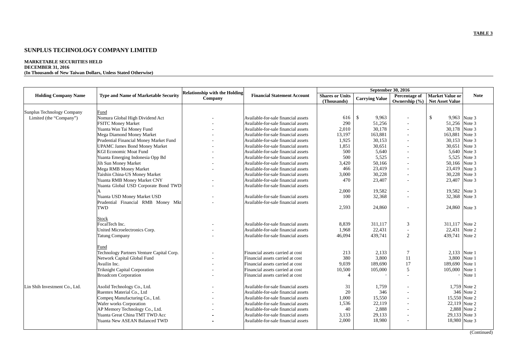# **TABLE 3**

# **SUNPLUS TECHNOLOGY COMPANY LIMITED**

# **MARKETABLE SECURITIES HELD DECEMBER 31, 2016**

**(In Thousands of New Taiwan Dollars, Unless Stated Otherwise)**

|                                   |                                             | <b>Relationship with the Holding</b> |                                     |                                       | <b>September 30, 2016</b> |                                           |                                                  |              |
|-----------------------------------|---------------------------------------------|--------------------------------------|-------------------------------------|---------------------------------------|---------------------------|-------------------------------------------|--------------------------------------------------|--------------|
| <b>Holding Company Name</b>       | <b>Type and Name of Marketable Security</b> | <b>Company</b>                       | <b>Financial Statement Account</b>  | <b>Shares or Units</b><br>(Thousands) | <b>Carrying Value</b>     | <b>Percentage of</b><br>Ownership $(\% )$ | <b>Market Value or</b><br><b>Net Asset Value</b> | <b>Note</b>  |
| <b>Sunplus Technology Company</b> | Fund                                        |                                      |                                     |                                       |                           |                                           |                                                  |              |
| Limited (the "Company")           | Nomura Global High Dividend Act             |                                      | Available-for-sale financial assets | 616                                   | $\mathbb{S}$<br>9,963     | $\blacksquare$                            | 9,963 Note 3<br>$\mathcal{S}$                    |              |
|                                   | <b>FSITC Money Market</b>                   |                                      | Available-for-sale financial assets | 290                                   | 51,256                    | $\blacksquare$                            | 51,256 Note 3                                    |              |
|                                   | Yuanta Wan Tai Money Fund                   |                                      | Available-for-sale financial assets | 2,010                                 | 30,178                    |                                           | 30,178                                           | Note 3       |
|                                   | Mega Diamond Money Market                   |                                      | Available-for-sale financial assets | 13,197                                | 163,881                   | $\blacksquare$                            | 163,881                                          | Note 3       |
|                                   | Prudential Financial Money Market Fund      |                                      | Available-for-sale financial assets | 1,925                                 | 30,153                    |                                           | 30,153                                           | Note 3       |
|                                   | <b>UPAMC James Bond Money Market</b>        |                                      | Available-for-sale financial assets | 1,851                                 | 30,651                    |                                           | 30,651                                           | Note 3       |
|                                   | <b>KGI Economic Moat Fund</b>               |                                      | Available-for-sale financial assets | 500                                   | 5,640                     |                                           | 5,640                                            | Note 3       |
|                                   | Yuanta Emerging Indonesia Opp Bd            |                                      | Available-for-sale financial assets | 500                                   | 5,525                     |                                           | 5,525                                            | Note 3       |
|                                   | Jih Sun Money Market                        | $\overline{\phantom{a}}$             | Available-for-sale financial assets | 3,420                                 | 50,166                    | $\overline{\phantom{a}}$                  | 50,166                                           | Note 3       |
|                                   | Mega RMB Money Market                       |                                      | Available-for-sale financial assets | 466                                   | 23,419                    | $\overline{\phantom{a}}$                  | 23,419                                           | Note 3       |
|                                   | Taishin China-US Money Market               |                                      | Available-for-sale financial assets | 3,000                                 | 30,228                    | $\overline{\phantom{0}}$                  | 30,228                                           | Note 3       |
|                                   | Yuanta RMB Money Market CNY                 |                                      | Available-for-sale financial assets | 470                                   | 23,407                    |                                           | 23,407                                           | Note 3       |
|                                   | Yuanta Global USD Corporate Bond TWD        |                                      | Available-for-sale financial assets |                                       |                           |                                           |                                                  |              |
|                                   |                                             |                                      |                                     | 2,000                                 | 19,582                    | $\overline{a}$                            | 19,582 Note 3                                    |              |
|                                   | Yuanta USD Money Market USD                 |                                      | Available-for-sale financial assets | 100                                   | 32,368                    |                                           | 32,368                                           | Note 3       |
|                                   | Prudential Financial RMB Money Mkt          |                                      | Available-for-sale financial assets |                                       |                           |                                           |                                                  |              |
|                                   | TWD                                         |                                      |                                     | 2,593                                 | 24,860                    |                                           | 24,860 Note 3                                    |              |
|                                   | <b>Stock</b>                                |                                      |                                     |                                       |                           |                                           |                                                  |              |
|                                   | FocalTech Inc.                              |                                      | Available-for-sale financial assets | 8,839                                 | 311,117                   | 3                                         | 311,117 Note 2                                   |              |
|                                   | United Microelectronics Corp.               |                                      | Available-for-sale financial assets | 1,968                                 | 22,431                    |                                           | 22,431                                           | Note 2       |
|                                   | <b>Tatung Company</b>                       |                                      | Available-for-sale financial assets | 46,094                                | 439,741                   | 2                                         | 439,741 Note 2                                   |              |
|                                   | Fund                                        |                                      |                                     |                                       |                           |                                           |                                                  |              |
|                                   | Technology Partners Venture Capital Corp.   |                                      | Financial assets carried at cost    | 213                                   | 2,133                     |                                           | 2,133 Note 1                                     |              |
|                                   | Network Capital Global Fund                 |                                      | Financial assets carried at cost    | 380                                   | 3,800                     | 11                                        | 3,800                                            | Note 1       |
|                                   | Availin Inc.                                |                                      | Financial assets carried at cost    | 9,039                                 | 189,690                   | 17                                        | 189,690                                          | Note 1       |
|                                   | <b>Triknight Capital Corporation</b>        |                                      | Financial assets carried at cost    | 10,500                                | 105,000                   | 5                                         | 105,000                                          | Note 1       |
|                                   | <b>Broadcom Corporation</b>                 |                                      | Financial assets carried at cost    |                                       |                           |                                           | $\sim$                                           | Note 1       |
| Lin Shih Investment Co., Ltd.     | Asolid Technology Co., Ltd.                 |                                      | Available-for-sale financial assets | 31                                    | 1,759                     |                                           |                                                  | 1,759 Note 2 |
|                                   | Ruentex Material Co., Ltd                   |                                      | Available-for-sale financial assets | 20                                    | 346                       |                                           |                                                  | 346 Note 2   |
|                                   | Compeq Manufacturing Co., Ltd.              |                                      | Available-for-sale financial assets | 1,000                                 | 15,550                    |                                           | 15,550 Note 2                                    |              |
|                                   | Wafer works Corporation                     |                                      | Available-for-sale financial assets | 1,536                                 | 22,119                    |                                           | $22,119$ Note 2                                  |              |
|                                   | AP Memory Technology Co., Ltd.              |                                      | Available-for-sale financial assets | 40                                    | 2,888                     |                                           |                                                  | 2,888 Note 2 |
|                                   | Yuanta Great China TMT TWD Acc              |                                      | Available-for-sale financial assets | 3,133                                 | 29,133                    |                                           | 29,133 Note 3                                    |              |
|                                   | Yuanta New ASEAN Balanced TWD               |                                      | Available-for-sale financial assets | 2,000                                 | 18,980                    |                                           | 18,980 Note 3                                    |              |
|                                   |                                             |                                      |                                     |                                       |                           |                                           |                                                  |              |

(Continued)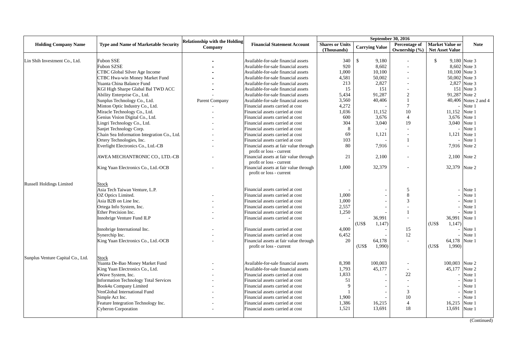|                                   |                                                                   |                                                 |                                                                      | <b>September 30, 2016</b>             |                           |                                           |                                                  |                      |
|-----------------------------------|-------------------------------------------------------------------|-------------------------------------------------|----------------------------------------------------------------------|---------------------------------------|---------------------------|-------------------------------------------|--------------------------------------------------|----------------------|
| <b>Holding Company Name</b>       | <b>Type and Name of Marketable Security</b>                       | <b>Relationship with the Holding</b><br>Company | <b>Financial Statement Account</b>                                   | <b>Shares or Units</b><br>(Thousands) | <b>Carrying Value</b>     | <b>Percentage of</b><br>Ownership $(\% )$ | <b>Market Value or</b><br><b>Net Asset Value</b> | <b>Note</b>          |
| Lin Shih Investment Co., Ltd.     | <b>Fubon SSE</b>                                                  |                                                 | Available-for-sale financial assets                                  | 340                                   | $\mathbb{S}$<br>9,180     |                                           | $\mathcal{S}$                                    | 9,180 Note 3         |
|                                   | <b>Fubon SZSE</b>                                                 |                                                 | Available-for-sale financial assets                                  | 920                                   | 8,602                     |                                           |                                                  | 8,602 Note 3         |
|                                   | <b>CTBC</b> Global Silver Age Income                              |                                                 | Available-for-sale financial assets                                  | 1,000                                 | 10,100                    | $\blacksquare$                            | 10,100 Note 3                                    |                      |
|                                   | <b>CTBC Hwa-win Money Market Fund</b>                             |                                                 | Available-for-sale financial assets                                  | 4,581                                 | 50,002                    | $\sim$                                    | 50,002 Note 3                                    |                      |
|                                   | Yuanta China Balance Fund                                         |                                                 | Available-for-sale financial assets                                  | 213                                   | 2,827                     |                                           |                                                  | 2,827 Note 3         |
|                                   | KGI High Sharpe Glabal Bal TWD ACC                                |                                                 | Available-for-sale financial assets                                  | 15                                    | 151                       |                                           |                                                  | 151 Note 3           |
|                                   | Ability Enterprise Co., Ltd.                                      |                                                 | Available-for-sale financial assets                                  | 5,434                                 | 91,287                    | $\overline{2}$                            | 91,287 Note 2                                    |                      |
|                                   | Sunplus Technology Co., Ltd.                                      | Parent Company                                  | Available-for-sale financial assets                                  | 3,560                                 | 40,406                    |                                           |                                                  | 40,406 Notes 2 and 4 |
|                                   | Minton Optic Industry Co., Ltd.                                   |                                                 | Financial assets carried at cost                                     | 4,272                                 |                           |                                           |                                                  | Note 1               |
|                                   | Miracle Technology Co., Ltd.                                      |                                                 | Financial assets carried at cost                                     | 1,036                                 | 11,152                    | 10                                        | 11,152 Note 1                                    |                      |
|                                   | Genius Vision Digital Co., Ltd.                                   |                                                 | Financial assets carried at cost                                     | 600                                   | 3,676                     | $\overline{4}$                            | 3,676 Note 1                                     |                      |
|                                   | Lingri Technology Co., Ltd.                                       |                                                 | Financial assets carried at cost                                     | 304                                   | 3,040                     | 19                                        | 3,040 Note 1                                     |                      |
|                                   | Sanjet Technology Corp.                                           |                                                 | Financial assets carried at cost                                     | 8                                     |                           |                                           |                                                  | Note 1               |
|                                   | Chain Sea Information Integration Co., Ltd.                       |                                                 | Financial assets carried at cost                                     | 69                                    | 1,121                     |                                           | 1,121                                            | Note 1               |
|                                   | Ortery Technologies, Inc.                                         |                                                 | Financial assets carried at cost                                     | 103                                   |                           |                                           |                                                  | Note 1               |
|                                   | Everlight Electronics Co., Ltd.-CB                                |                                                 | Financial assets at fair value through<br>profit or loss - current   | 80                                    | 7,916                     |                                           |                                                  | 7,916 Note 2         |
|                                   | AWEA MECHANTRONIC CO., LTD.-CB                                    |                                                 | Financial assets at fair value through<br>profit or loss - current   | 21                                    | 2,100                     |                                           |                                                  | $2,100$ Note 2       |
|                                   | King Yuan Electronics Co., Ltd.-OCB                               |                                                 | Financial assets at fair value through<br>profit or loss - current   | 1,000                                 | 32,379                    |                                           | 32,379 Note 2                                    |                      |
| <b>Russell Holdings Limited</b>   | <b>Stock</b>                                                      |                                                 |                                                                      |                                       |                           |                                           |                                                  |                      |
|                                   | Asia Tech Taiwan Venture, L.P.                                    |                                                 | Financial assets carried at cost                                     |                                       |                           |                                           |                                                  | Note 1               |
|                                   | OZ Optics Limited.                                                |                                                 | Financial assets carried at cost                                     | 1,000                                 |                           |                                           |                                                  | $-$ Note 1           |
|                                   | Asia B2B on Line Inc.                                             |                                                 | Financial assets carried at cost                                     | 1,000                                 |                           |                                           |                                                  | $-$ Note 1           |
|                                   | Ortega Info System, Inc.                                          |                                                 | Financial assets carried at cost                                     | 2,557                                 |                           |                                           |                                                  | $-$ Note 1           |
|                                   | Ether Precision Inc.                                              |                                                 | Financial assets carried at cost                                     | 1,250                                 |                           |                                           |                                                  | Note 1               |
|                                   | Innobrige Venture Fund ILP                                        |                                                 | Financial assets carried at cost                                     |                                       | 36,991<br>(US\$<br>1,147) |                                           | 36,991 Note 1<br>(US\$<br>1,147                  |                      |
|                                   | Innobrige International Inc.                                      |                                                 | Financial assets carried at cost                                     | 4,000                                 |                           | 15                                        |                                                  | $-$ Note 1           |
|                                   | Synerchip Inc.                                                    |                                                 | Financial assets carried at cost                                     | 6,452                                 |                           | 12                                        |                                                  | $-$ Note 1           |
|                                   | King Yuan Electronics Co., Ltd.-OCB                               |                                                 | Financial assets at fair value through                               | 20                                    | 64,178                    |                                           | 64,178 Note 1                                    |                      |
|                                   |                                                                   |                                                 | profit or loss - current                                             |                                       | 1,990)<br>(US\$           |                                           | 1,990<br>(US\$                                   |                      |
| Sunplus Venture Capital Co., Ltd. | <b>Stock</b>                                                      |                                                 |                                                                      |                                       |                           |                                           |                                                  |                      |
|                                   | Yuanta De-Bao Money Market Fund                                   |                                                 | Available-for-sale financial assets                                  | 8,398                                 | 100,003                   |                                           | 100,003 Note 2                                   |                      |
|                                   | King Yuan Electronics Co., Ltd.                                   |                                                 | Available-for-sale financial assets                                  | 1,793                                 | 45,177                    |                                           | 45,177 Note 2                                    |                      |
|                                   | eWave System, Inc.                                                |                                                 | Financial assets carried at cost                                     | 1,833                                 |                           | 22                                        |                                                  | Note 1               |
|                                   | <b>Information Technology Total Services</b>                      |                                                 | Financial assets carried at cost                                     | 51                                    |                           |                                           |                                                  | $-$ Note 1           |
|                                   | Book4u Company Limited                                            |                                                 | Financial assets carried at cost                                     |                                       |                           |                                           |                                                  | $-$ Note 1           |
|                                   | VenGlobal International Fund                                      |                                                 | Financial assets carried at cost                                     |                                       |                           | 3                                         |                                                  | $-$ Note 1           |
|                                   | Simple Act Inc.                                                   |                                                 | Financial assets carried at cost                                     | 1,900                                 |                           | 10                                        |                                                  | Note 1               |
|                                   | Feature Integration Technology Inc.<br><b>Cyberon Corporation</b> |                                                 | Financial assets carried at cost<br>Financial assets carried at cost | 1,386<br>1,521                        | 16,215<br>13,691          | 18                                        | 16,215 Note 1<br>13,691 Note 1                   |                      |
|                                   |                                                                   |                                                 |                                                                      |                                       |                           |                                           |                                                  |                      |

(Continued)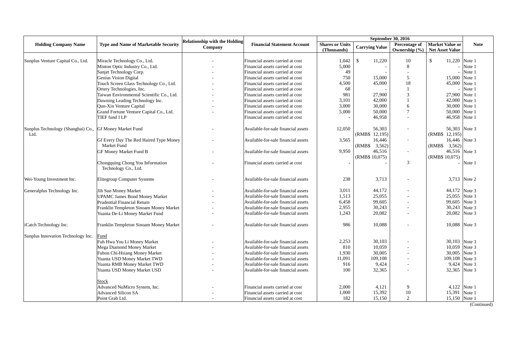| <b>Holding Company Name</b>                             | <b>Type and Name of Marketable Security</b>              | <b>Relationship with the Holding</b><br>Company | <b>Financial Statement Account</b>  | <b>Shares or Units</b><br>(Thousands) | <b>Carrying Value</b>  | <b>Percentage of</b><br>Ownership $(\% )$ | <b>Market Value or</b><br><b>Net Asset Value</b> | <b>Note</b> |
|---------------------------------------------------------|----------------------------------------------------------|-------------------------------------------------|-------------------------------------|---------------------------------------|------------------------|-------------------------------------------|--------------------------------------------------|-------------|
|                                                         |                                                          |                                                 |                                     |                                       |                        |                                           |                                                  |             |
| Sunplus Venture Capital Co., Ltd.                       | Miracle Technology Co., Ltd.                             |                                                 | Financial assets carried at cost    | 1,042                                 | $\mathbb{S}$<br>11,220 | 10                                        | 11,220 Note 1<br>$\mathcal{S}$                   |             |
|                                                         | Minton Optic Industry Co., Ltd.                          |                                                 | Financial assets carried at cost    | 5,000                                 |                        | 8                                         |                                                  | Note 1      |
|                                                         | Sanjet Technology Corp.                                  |                                                 | Financial assets carried at cost    | 49                                    |                        |                                           |                                                  | Note 1      |
|                                                         | Genius Vision Digital                                    |                                                 | Financial assets carried at cost    | 750                                   | 15,000                 | 5                                         | 15,000                                           | Note 1      |
|                                                         | Touch Screen Glass Technology Co., Ltd.                  |                                                 | Financial assets carried at cost    | 4,500                                 | 45,000                 | 18                                        | 45,000 Note 1                                    |             |
|                                                         | Ortery Technologies, Inc.                                |                                                 | Financial assets carried at cost    | 68                                    |                        |                                           |                                                  | Note 1      |
|                                                         | Taiwan Environmental Scientific Co., Ltd.                |                                                 | Financial assets carried at cost    | 981                                   | 27,900                 |                                           | 27,900                                           | Note 1      |
|                                                         | Dawning Leading Technology Inc.                          |                                                 | Financial assets carried at cost    | 3,101                                 | 42,000                 |                                           | 42,000                                           | Note 1      |
|                                                         | Qun-Xin Venture Capital                                  |                                                 | Financial assets carried at cost    | 3,000                                 | 30,000                 | 6                                         | 30,000                                           | Note 1      |
|                                                         | Grand Fortune Venture Capital Co., Ltd.                  |                                                 | Financial assets carried at cost    | 5,000                                 | 50,000                 | $\overline{7}$                            | 50,000                                           | Note 1      |
|                                                         | TIEF fund I LP                                           |                                                 | Financial assets carried at cost    |                                       | 46,958                 |                                           | 46,958                                           | Note 1      |
| Sunplus Technology (Shanghai) Co., Gf Money Market Fund |                                                          |                                                 | Available-for-sale financial assets | 12,050                                | 56,303                 |                                           | 56,303 Note 3                                    |             |
| Ltd.                                                    |                                                          |                                                 |                                     |                                       | (RMB\$ 12,195)         |                                           | (RMB\$ 12,195)                                   |             |
|                                                         | Gf Every Day The Red Haired Type Money                   |                                                 | Available-for-sale financial assets | 3,565                                 | 16,446                 | $\overline{\phantom{a}}$                  | 16,446 Note 3                                    |             |
|                                                         | Market Fund                                              |                                                 |                                     |                                       | (RMB\$<br>3,562)       |                                           | 3,562)<br>(RMB\$                                 |             |
|                                                         | <b>GF Money Market Fund B</b>                            |                                                 | Available-for-sale financial assets | 9,950                                 | 46,516                 | $\overline{\phantom{a}}$                  | 46,516 Note 3                                    |             |
|                                                         |                                                          |                                                 |                                     |                                       | (RMB\$ 10,075)         |                                           | (RMB\$ 10,075)                                   |             |
|                                                         | Chongquing Chong You Information<br>Technology Co., Ltd. |                                                 | Financial assets carried at cost    |                                       |                        | 3                                         |                                                  | Note 1      |
| Wei-Young Investment Inc.                               | <b>Elitegroup Computer Systems</b>                       |                                                 | Available-for-sale financial assets | 238                                   | 3,713                  |                                           | 3,713 Note 2                                     |             |
| Generalplus Technology Inc.                             | Jih Sun Money Market                                     |                                                 | Available-for-sale financial assets | 3,011                                 | 44,172                 | $\overline{\phantom{a}}$                  | 44,172 Note 3                                    |             |
|                                                         | <b>UPAMC James Bond Money Market</b>                     |                                                 | Available-for-sale financial assets | 1,513                                 | 25,055                 | $\blacksquare$                            | 25,055 Note 3                                    |             |
|                                                         | <b>Prudential Financial Return</b>                       |                                                 | Available-for-sale financial assets | 6,458                                 | 99,605                 |                                           | 99,605                                           | Note 3      |
|                                                         | Franklin Templeton Sinoam Money Market                   |                                                 | Available-for-sale financial assets | 2,955                                 | 30,243                 |                                           | 30,243                                           | Note 3      |
|                                                         | Yuanta De-Li Money Market Fund                           |                                                 | Available-for-sale financial assets | 1,243                                 | 20,082                 |                                           | 20,082                                           | Note 3      |
|                                                         |                                                          |                                                 |                                     |                                       |                        |                                           |                                                  |             |
| iCatch Technology Inc.                                  | Franklin Templeton Sinoam Money Market                   |                                                 | Available-for-sale financial assets | 986                                   | 10,088                 |                                           | 10,088 Note 3                                    |             |
| Sunplus Innovation Technology Inc.                      | Fund                                                     |                                                 |                                     |                                       |                        |                                           |                                                  |             |
|                                                         | Fuh Hwa You Li Money Market                              |                                                 | Available-for-sale financial assets | 2,253                                 | 30,103                 |                                           | 30,103 Note 3                                    |             |
|                                                         | Mega Diamond Money Market                                |                                                 | Available-for-sale financial assets | 810                                   | 10,059                 | $\overline{\phantom{a}}$                  | 10,059 Note 3                                    |             |
|                                                         | Fubon Chi-Hsiang Money Market                            |                                                 | Available-for-sale financial assets | 1,930                                 | 30,005                 |                                           | 30,005                                           | Note 3      |
|                                                         | Yuanta USD Money Market TWD                              |                                                 | Available-for-sale financial assets | 11,091                                | 109,108                | $\overline{\phantom{a}}$                  | 109,108                                          | Note 3      |
|                                                         | Yuanta RMB Money Market TWD                              |                                                 | Available-for-sale financial assets | 916                                   | 9,424                  | $\blacksquare$                            | 9,424                                            | Note 3      |
|                                                         | Yuanta USD Money Market USD                              |                                                 | Available-for-sale financial assets | 100                                   | 32,365                 |                                           | 32,365                                           | Note 3      |
|                                                         |                                                          |                                                 |                                     |                                       |                        |                                           |                                                  |             |
|                                                         | <b>Stock</b>                                             |                                                 |                                     |                                       |                        |                                           |                                                  |             |
|                                                         | Advanced NuMicro System, Inc.                            |                                                 | Financial assets carried at cost    | 2,000                                 | 4,121                  | 9                                         | 4,122 Note 1                                     |             |
|                                                         | <b>Advanced Silicon SA</b>                               |                                                 | Financial assets carried at cost    | 1,000                                 | 15,392                 | 10                                        | 15,391                                           | Note 1      |
|                                                         | Point Grab Ltd.                                          |                                                 | Financial assets carried at cost    | 182                                   | 15,150                 | 2                                         | 15,150 Note 1                                    |             |
|                                                         |                                                          |                                                 |                                     |                                       |                        |                                           |                                                  | (Continued) |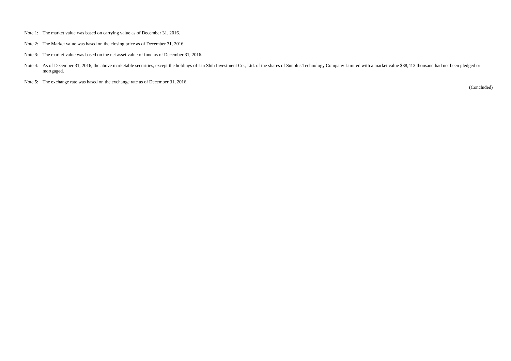- Note 1: The market value was based on carrying value as of December 31, 2016.
- Note 2: The Market value was based on the closing price as of December 31, 2016.
- Note 3: The market value was based on the net asset value of fund as of December 31, 2016.
- Note 4: As of December 31, 2016, the above marketable securities, except the holdings of Lin Shih Investment Co., Ltd. of the shares of Sunplus Technology Company Limited with a market value \$38,413 thousand had not been p mortgaged.
- Note 5: The exchange rate was based on the exchange rate as of December 31, 2016.

(Concluded)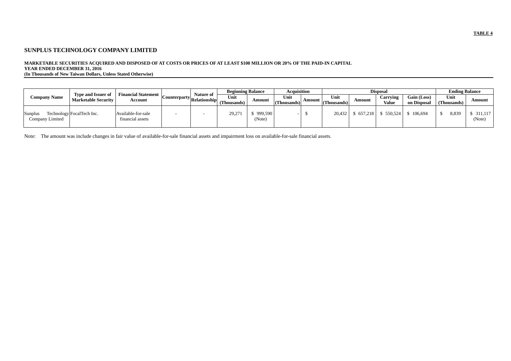# **TABLE 4**

# **SUNPLUS TECHNOLOGY COMPANY LIMITED**

# **MARKETABLE SECURITIES ACQUIRED AND DISPOSED OF AT COSTS OR PRICES OF AT LEAST \$100 MILLION OR 20% OF THE PAID-IN CAPITAL YEAR ENDED DECEMBER 31, 2016**

**(In Thousands of New Taiwan Dollars, Unless Stated Otherwise)**

|                            | <b>Financial Statement</b>                              |                                        | <b>Acquisition</b><br><b>Beginning Balance</b>       |                     |                   |                                      | <b>Disposal</b>           | <b>Ending Balance</b> |                          |                            |                            |                   |
|----------------------------|---------------------------------------------------------|----------------------------------------|------------------------------------------------------|---------------------|-------------------|--------------------------------------|---------------------------|-----------------------|--------------------------|----------------------------|----------------------------|-------------------|
| <b>Company Name</b>        | <b>Type and Issuer of</b><br><b>Marketable Security</b> | <b>Account</b>                         | <b>Nature of</b><br> Counterparty Relationship  ____ | Unit<br>(Thousands) | Amount            | Unit<br><b>Amount</b><br>(Thousands) | Unit<br>$(T$ housands $)$ | Amount                | Carrying<br><b>Value</b> | Gain (Loss)<br>on Disposal | Unit<br><b>Thousands</b> ) | Amount            |
| Sunplus<br>Company Limited | Technology FocalTech Inc.                               | Available-for-sale<br>financial assets |                                                      | 29,271              | 999,590<br>(Note) |                                      | 20,432                    | 657,218               | 550,524                  | 106,694                    | 8,839                      | 311,117<br>(Note) |

Note: The amount was include changes in fair value of available-for-sale financial assets and impairment loss on available-for-sale financial assets.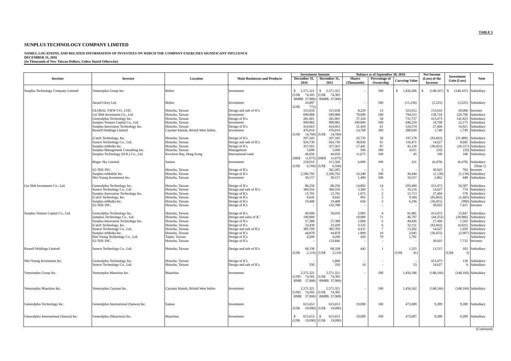## **SUNPLUS TECHNOLOGY COMPANY LIMITED**

#### **NAMES, LOCATIONS, AND RELATED INFORMATION OF INVESTEES ON WHICH THE COMPANY EXERCISES SIGNIFICANT INFLUENCE DECEMBER 31, 2016 (In Thousands of New Taiwan Dollars, Unless Stated Otherwise)**

|                                        |                                        |                                      |                                     | <b>Investment Amount</b>                  |                                                         |                              | <b>Balance as of September 30, 2016</b> |                       | <b>Net Income</b>                |                                  |                                  |
|----------------------------------------|----------------------------------------|--------------------------------------|-------------------------------------|-------------------------------------------|---------------------------------------------------------|------------------------------|-----------------------------------------|-----------------------|----------------------------------|----------------------------------|----------------------------------|
| <b>Investor</b>                        | <b>Investee</b>                        | Location                             | <b>Main Businesses and Products</b> | December 31.<br>2016                      | December 31,<br>2015                                    | <b>Shares</b><br>(Thousands) | Percentage of<br>Ownership              | <b>Carrying Value</b> | (Loss) of the<br><b>Investee</b> | <b>Investment</b><br>Gain (Loss) | <b>Note</b>                      |
| Sunplus Technology Company Limited     | Ventureplus Group Inc.                 | Belize                               | Investment                          | 2,571,321<br>S.                           | 2,571,321<br>S.                                         |                              | 100                                     | $\frac{1,456,206}{$   | $(148,167)$ \$<br>-S             | $(148, 167)$ Subsidiary          |                                  |
|                                        |                                        |                                      |                                     | (US\$<br>74,305<br>RMB\$ 37,900)          | (USS)<br>74.305<br>RMB\$ 37,900)                        |                              |                                         |                       |                                  |                                  |                                  |
|                                        | Award Glory Ltd.                       | Belize                               | Investment                          | 24,897<br>772)<br>(US\$                   |                                                         |                              | 100                                     | (11,236)              | (3,225)                          |                                  | $(3,225)$ Subsidiary             |
|                                        | <b>GLOBAL VIEW CO., LTD.</b>           | Hsinchu, Taiwan                      | Design and sale of ICs              | 315,658                                   | 315,658                                                 | 8,229                        | 13                                      | 323,912               | 153,633                          | 20,068                           | Investee                         |
|                                        | Lin Shih Investment Co., Ltd.          | Hsinchu, Taiwan                      | Investment                          | 699,988                                   | 699,988                                                 | 70,000                       | 100                                     | 794,315               | 158,724                          | 126,706                          | Subsidiary                       |
|                                        | Generalplus Technology Inc.            | Hsinchu, Taiwan                      | Design of ICs                       | 281,001                                   | 281,001                                                 | 37,324                       | 34                                      | 731,737               | 413,473                          | 141,823                          | Subsidiary                       |
|                                        | Sunplus Venture Capital Co., Ltd.      | Hsinchu, Taiwan                      | Investment                          | 999,982                                   | 999,982                                                 | 100,000                      | 100                                     | 846,259               | 14,708                           | 22,173                           | Subsidiary                       |
|                                        | Sunplus Innovation Technology Inc.     | Hsinchu, Taiwan                      | Design of ICs                       | 414,663                                   | 414,663                                                 | 31,450                       | 61                                      | 524,574               | 27,404                           | 16,921                           | Subsidiary                       |
|                                        | <b>Russell Holdings Limited</b>        | Cayman Islands, British West Indies. | Investment                          | 476,010<br>14,760) (US\$<br>(USS)         | 476,010<br>14,760)                                      | 14,760                       | 100                                     | 288,020               | 1,749                            |                                  | 1,749 Subsidiary                 |
|                                        | iCatch Technology, Inc.                | Hsinchu, Taiwan                      | Design of ICs                       | 207,345                                   | 207,345                                                 | 20,735                       | 38                                      | 197,578               | (83,602)                         |                                  | (31,489) Subsidiary              |
|                                        | Sunext Technology Co., Ltd.            | Hsinchu, Taiwan                      | Design and sale of ICs              | 924,730                                   | 924,730                                                 | 38,836                       | 61                                      | 116,471               | 14,627                           | 8.945                            | Subsidiary                       |
|                                        | Sunplus mMedia Inc.                    | Hsinchu, Taiwan                      | Design of ICs                       | 357,565                                   | 357,565                                                 | 17,441                       | 87                                      | 45,130                | (30, 455)                        |                                  | $(26,557)$ Subsidiary            |
|                                        | Sunplus Management Consulting Inc.     | Hsinchu, Taiwan                      | Management                          | 5,000                                     | 5,000                                                   | 500                          | 100                                     | 4,011                 | (50)                             |                                  | (50) Subsidiary                  |
|                                        | Sunplus Technology (H.K.) Co., Ltd.    | Kowloon Bay, Hong Kong               | International trade                 | 46,050                                    | 46,050                                                  | 11,075                       | 100                                     | 45                    | 168                              | 168                              | Subsidiary                       |
|                                        |                                        |                                      |                                     | $11,075$ (HK\$)<br>(HK\$                  | 11,075                                                  |                              |                                         |                       |                                  |                                  |                                  |
|                                        | Magic Sky Limited                      | Samoa                                | Investment                          | 218,010<br>(US\$<br>$6,760$ (US\$)        | 211,560<br>6,560                                        | 6,000                        | 100                                     | 221                   | (6, 478)                         |                                  | $(6,478)$ Subsidiary<br>(Note 1) |
|                                        | <b>S2-TEK INC.</b>                     | Hsinchu, Taiwan                      | Design of ICs                       |                                           | 362,285                                                 |                              | $\overline{2}$                          |                       | 30,925                           | 702                              | Investee                         |
|                                        | Sunplus mMobile Inc.                   | Hsinchu, Taiwan                      | Design of ICs                       | 2,596,792                                 | 2,596,792                                               | 16,240                       | 100                                     | 30,440                | (1,139)                          |                                  | $(1,139)$ Subsidiary             |
|                                        | Wei-Young Investment Inc.              | Hsinchu, Taiwan                      | Investment                          | 30,157                                    | 30,157                                                  | 1,400                        | 100                                     | 16,517                | 2,862                            | 448                              | Subsidiary                       |
| Lin Shih Investment Co., Ltd.          | Generalplus Technology Inc.            | Hsinchu, Taiwan                      | Design of ICs                       | 86,256                                    | 86,256                                                  | 14,892                       | 14                                      | 293,490               | 413,473                          |                                  | 56,587 Subsidiary                |
|                                        | Sunext Technology Co., Ltd.            | Hsinchu, Taiwan                      | Design and sale of ICs              | 369,316                                   | 369,316                                                 | 3,360                        | 5                                       | 10,116                | 14,627                           | 774                              | Subsidiary                       |
|                                        | Sunplus Innovation Technology Inc.     | Hsinchu, Taiwan                      | Design of ICs                       | 15,701                                    | 15,701                                                  | 1,075                        | 2                                       | 15,713                | 27,404                           | 578                              | Subsidiary                       |
|                                        | iCatch Technology, Inc.                | Hsinchu, Taiwan                      | Design of ICs                       | 9,645                                     | 9,645                                                   | 965                          | 2                                       | 9,304                 | (83,602)                         |                                  | $(1,465)$ Subsidiary             |
|                                        | Sunplus mMedia Inc.<br>S2-TEK INC.     | Hsinchu, Taiwan<br>Hsinchu, Taiwan   | Design of ICs<br>Design of ICs      | 19,408                                    | 19,408<br>132,788                                       | 650                          | $\overline{3}$                          | 6,196                 | (30, 455)<br>30,925              | (990)<br>7,415                   | Subsidiary<br>Investee           |
| Sunplus Venture Capital Co., Ltd.      | Generalplus Technology Inc.            | Hsinchu, Taiwan                      | Design of ICs                       | 49,099                                    | 56,050                                                  | 3.983                        | $\overline{4}$                          | 91,481                | 413,473                          | 15,847                           | Subsidiary                       |
|                                        | Jumplux Technology Co., Ltd.           | Hsinchu, Taiwan                      | Design and sales of IC              | 100,000                                   |                                                         | 10,000                       | 71                                      | 46,797                | (44, 252)                        | (20,986)                         | Subsidiary                       |
|                                        | Sunplus Innovation Technology Inc.     | Hsinchu, Taiwan                      | Design of ICs                       | 57,388                                    | 57,388                                                  | 2,904                        | -6                                      | 49,436                | 27,404                           | 1,562                            | Subsidiary                       |
|                                        | iCatch Technology, Inc.                | Hsinchu, Taiwan                      | Design of ICs                       | 33,439                                    | 33,439                                                  | 3,332                        | -6                                      | 32,151                | (83,602)                         | (4,921)                          | Subsidiary                       |
|                                        | Sunext Technology Co., Ltd.            | Hsinchu, Taiwan                      | Design and sale of ICs              | 385,709                                   | 385,709                                                 | 4,431                        | $\mathcal{I}$                           | 13,282                | 14,627                           | 1,020                            | Subsidiary                       |
|                                        | Sunplus mMedia Inc.                    | Hsinchu, Taiwan                      | Design of ICs                       | 44,878                                    | 44,878                                                  | 1,909                        | 10                                      | 2,945                 | (30, 455)                        | (2,907)                          | Subsidiary                       |
|                                        | Han Young Technology Co., Ltd.         | Taipei, Taiwan                       | Design of ICs                       | 4,200                                     | 4,200                                                   | 420                          | 70                                      | 1,781                 |                                  |                                  | Subsidiary                       |
|                                        | S2-TEK INC.                            | Hsinchu, Taiwan                      | Design of ICs                       |                                           | 133,846                                                 |                              | $\sim$                                  |                       | 30,925                           | 7,732                            | Investee                         |
| <b>Russell Holdings Limited</b>        | Sunext Technology Co., Ltd.            | Hsinchu, Taiwan                      | Design and sale of ICs              | 68,338<br>$2,119$ (US\$)<br>(USS)         | 68,338<br>2,119                                         | 442                          |                                         | 1,325<br>(US\$<br>41) | 12,515                           | (USS)<br>(3)                     | 102 Subsidiary                   |
| Wei-Young Investment Inc.              | Generalplus Technology Inc.            | Hsinchu, Taiwan                      | Design of ICs                       |                                           | 1.800                                                   | $\sim$                       | $\sim$                                  |                       | 413,473                          |                                  | 130 Subsidiary                   |
|                                        | Sunext Technology Co., Ltd.            | Hsinchu, Taiwan                      | Design and sale of ICs              | 350                                       | 350                                                     | 18                           |                                         | 53                    | 14,627                           |                                  | 4 Subsidiary                     |
| Ventureplus Group Inc.                 | Ventureplus Mauritius Inc.             | Mauritius                            | Investment                          | 2,571,321<br>74,305<br>(USD)              | 2,571,321<br>(US\$ 74,305)<br>RMB 37,900) RMB\$ 37,900) |                              | 100                                     | 1,456,186             | (148, 166)                       |                                  | $(148, 166)$ Subsidiary          |
| Ventureplus Mauritius Inc.             | Ventureplus Cayman Inc.                | Cayman Islands, British West Indies  | Investment                          | 2,571,321<br>74,305<br>(USD)              | 2,571,321<br>(US\$ 74,305)<br>RMB 37,900) RMB\$ 37,900) |                              | 100                                     | 1,456,162             | (148, 166)                       |                                  | $(148, 166)$ Subsidiary          |
| Generalplus Technology Inc.            | Generalplus International (Samoa) Inc. | Samoa                                | Investment                          | 615,653<br>$19,090$ (US\$)<br>$(US\$      | 615,653<br>19,090)                                      | 19,090                       | 100                                     | 472,689               | 9,289                            |                                  | 9,289 Subsidiary                 |
| Generalplus International (Samoa) Inc. | Generalplus (Mauritius) Inc.           | Mauritius                            | Investment                          | \$<br>615,653<br>$19,090$ (US\$)<br>(US\$ | 615,653<br>IS.<br>19,090)                               | 19,090                       | 100                                     | 472,687               | 9,289                            |                                  | 9,289 Subsidiary                 |
|                                        |                                        |                                      |                                     |                                           |                                                         |                              |                                         |                       |                                  |                                  |                                  |

(Continued)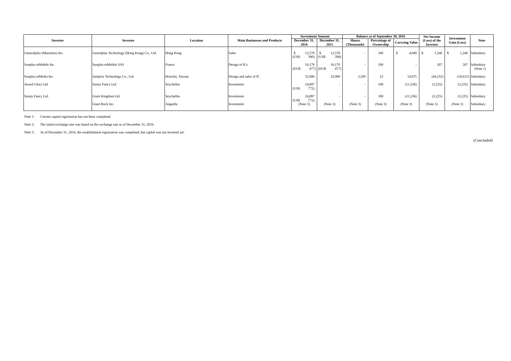|                              |                                             |                 |                                     | <b>Investment Amount</b> |                              |                              | <b>Balance as of September 30, 2016</b> |                       | <b>Net Income</b>                | Investment  |                            |
|------------------------------|---------------------------------------------|-----------------|-------------------------------------|--------------------------|------------------------------|------------------------------|-----------------------------------------|-----------------------|----------------------------------|-------------|----------------------------|
| <b>Investor</b>              | Investee                                    | Location        | <b>Main Businesses and Products</b> | December 31,<br>2016     | December 31,<br>2015         | <b>Shares</b><br>(Thousands) | <b>Percentage of</b> 1<br>Ownership     | <b>Carrying Value</b> | (Loss) of the<br><b>Investee</b> | Gain (Loss) | <b>Note</b>                |
| Generalplus (Mauritius) Inc. | Genralplus Technology (Hong Kong) Co., Ltd. | Hong Kong       | <b>Sales</b>                        | 12,578<br>(USS)<br>390)  | 12,578<br>ూ<br>390)<br>(USS) |                              | 100                                     | 4,949                 | 1,246                            |             | 1,246 Subsidiary           |
| Sunplus mMobile Inc.         | Sunplus mMobile SAS                         | France          | Design of ICs                       | 16,170<br>(EUR           | 16,170<br>477)<br>477) (EUR  |                              | 100                                     |                       | 267                              |             | 267 Subsidiary<br>(Note 1) |
| Sunplus mMedia Inc.          | Jumplux Technology Co., Ltd.                | Hsinchu, Taiwan | Design and sales of IC              | 32,000                   | 32,000                       | 3,200                        | $\sim$                                  | 14,975                | (44,252)                         |             | $(18,612)$ Subsidiary      |
| Award Glory Ltd.             | Sunny Fancy Ltd.                            | Seychelles      | Investment                          | 24,897<br>772)<br>(USS)  |                              |                              | 100                                     | (11,236)              | (3,225)                          |             | $(3,225)$ Subsidiary       |
| Sunny Fancy Ltd.             | Giant Kingdom Ltd.                          | Seychelles      | Investment                          | 24,897<br>772)<br>(USS)  |                              |                              | 100                                     | (11,236)              | (3,225)                          |             | $(3,225)$ Subsidiary       |
|                              | Giant Rock Inc.                             | Anguilla        | Investment                          | (Note 3)                 | (Note 3)                     | (Note 3)                     | (Note 3)                                | (Note 3)              | (Note 3)                         | (Note 3)    | Subsidiary                 |

Note 1: Current capital registration has not been completed.

Note 2: The initial exchange rate was based on the exchange rate as of December 31, 2016.

Note 3: As of December 31, 2016, the establishment registration was completed, but capital was not invested yet.

## (Concluded)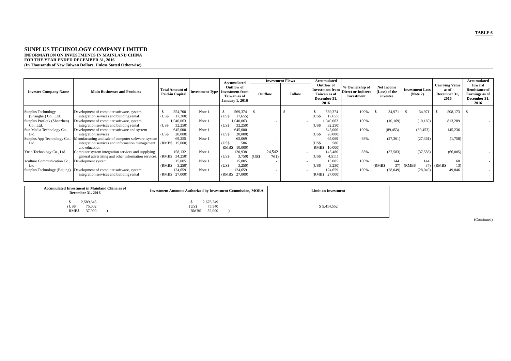## **TABLE 6**

## **SUNPLUS TECHNOLOGY COMPANY LIMITED INFORMATION ON INVESTMENTS IN MAINLAND CHINA FOR THE YEAR ENDED DECEMBER 31, 2016 (In Thousands of New Taiwan Dollars, Unless Stated Otherwise)**

|                                                 |                                                                                                           |                                                  |                        |       | Accumulated                                                                    |       | <b>Investment Flows</b> |        |        | <b>Accumulated</b>                                                                  |                                                           |                                                |                                    |                                                        | Accumulated                                                                     |
|-------------------------------------------------|-----------------------------------------------------------------------------------------------------------|--------------------------------------------------|------------------------|-------|--------------------------------------------------------------------------------|-------|-------------------------|--------|--------|-------------------------------------------------------------------------------------|-----------------------------------------------------------|------------------------------------------------|------------------------------------|--------------------------------------------------------|---------------------------------------------------------------------------------|
| <b>Investee Company Name</b>                    | <b>Main Businesses and Products</b>                                                                       | <b>Total Amount of</b><br><b>Paid-in Capital</b> | <b>Investment Type</b> |       | Outflow of<br><b>Investment from</b><br>Taiwan as of<br><b>January 1, 2016</b> |       | <b>Outflow</b>          | Inflow |        | <b>Outflow of</b><br><b>Investment from</b><br>Taiwan as of<br>December 31.<br>2016 | % Ownership of<br><b>Direct or Indirect</b><br>Investment | <b>Net Income</b><br>(Loss) of the<br>investee | <b>Investment Loss</b><br>(Note 2) | <b>Carrying Value</b><br>as of<br>December 31,<br>2016 | <b>Inward</b><br><b>Remittance of</b><br>Earnings as of<br>December 31,<br>2016 |
|                                                 |                                                                                                           | 554,700                                          | Note 1                 |       |                                                                                |       |                         |        |        |                                                                                     | 100%                                                      | 34,97                                          | 34,971                             | 508,173                                                |                                                                                 |
| Sunplus Technology<br>(Shanghai) Co., Ltd.      | Development of computer software, system<br>integration services and building rental                      | (USS)<br>17,200)                                 |                        | (USS) | 569,374<br>17,655                                                              |       |                         |        | (US\$  | 569,374<br>17,655                                                                   |                                                           |                                                |                                    |                                                        |                                                                                 |
| Sunplus Prof-tek (Shenzhen)                     | Development of computer software, system                                                                  | 1,040,063                                        | Note 1                 |       | 1,040,063                                                                      |       |                         |        |        | .040,063                                                                            | 100%                                                      | (10, 169)                                      | (10, 169)                          | 813,289                                                |                                                                                 |
| Co., Ltd.                                       | integration services and building rental                                                                  | 32,250)<br>(US\$                                 |                        | (USS) | 32,250)                                                                        |       |                         |        | (US\$  | 32,250                                                                              |                                                           |                                                |                                    |                                                        |                                                                                 |
| Sun Media Technology Co.,                       | Development of computer software and system                                                               | 645,000                                          | Note 1                 |       | 645,000                                                                        |       |                         |        |        | 645,000                                                                             | 100%                                                      | (89, 453)                                      | (89, 453)                          | 145,236                                                |                                                                                 |
| Ltd.                                            | integration services                                                                                      | (US\$<br>20,000)                                 |                        | (US\$ | 20,000                                                                         |       |                         |        | (US\$  | 20,000)                                                                             |                                                           |                                                |                                    |                                                        |                                                                                 |
| Sunplus App Technology Co.,                     | Ianufacturing and sale of computer software; system                                                       | 69,255                                           | Note 1                 |       | 65,069                                                                         |       |                         |        |        | 65,069                                                                              | 93%                                                       | (27, 361)                                      | (27,361)                           | (1,758)                                                |                                                                                 |
| Ltd.                                            | integration services and information management                                                           | (RMB\$<br>15,000)                                |                        | (USS) | 586                                                                            |       |                         |        | (USS)  | 586                                                                                 |                                                           |                                                |                                    |                                                        |                                                                                 |
|                                                 | and education                                                                                             | 158,132                                          | Note 1                 | RMB\$ | 10,000                                                                         |       |                         |        | RMB\$  | 10,000<br>145,480                                                                   | 83%                                                       | (37,583)                                       | (37, 583)                          | (66,005)                                               |                                                                                 |
| Ytrip Technology Co., Ltd.                      | Computer system integration services and supplying<br>general advertising and other information services. | (RMB\$<br>34,250                                 |                        | (USS) | 120,938<br>3,750                                                               | (US\$ | 24,542<br>761)          |        | (US\$  | 4,511)                                                                              |                                                           |                                                |                                    |                                                        |                                                                                 |
| 1 culture Communication Co., Development system |                                                                                                           | 15,005                                           | Note 1                 |       | 15,005                                                                         |       |                         |        |        | 15,005                                                                              | 100%                                                      | 144                                            | 144                                | 60                                                     |                                                                                 |
| Ltd                                             |                                                                                                           | 3,250<br>(RMB\$                                  |                        | (US\$ | 3,250                                                                          |       |                         |        | (USS)  | 3,250                                                                               |                                                           | 37)<br>(RMB\$                                  | (RMB\$                             | $37)$ (RMB\$<br>13)                                    |                                                                                 |
|                                                 | Sunplus Technology (Beijing) Development of computer software, system                                     | 124,659                                          | Note 1                 |       | 124,659                                                                        |       |                         |        |        | 124,659                                                                             | 100%                                                      | (28,049)                                       | (28,049)                           | 49,846                                                 |                                                                                 |
|                                                 | integration services and building rental                                                                  | (RMB\$ 27,000)                                   |                        |       | (RMB\$ 27,000)                                                                 |       |                         |        | (RMB\$ | 27,000)                                                                             |                                                           |                                                |                                    |                                                        |                                                                                 |
|                                                 |                                                                                                           |                                                  |                        |       |                                                                                |       |                         |        |        |                                                                                     |                                                           |                                                |                                    |                                                        |                                                                                 |

| Accumulated Investment in Mainland China as of<br><b>December 31, 2016</b> | <b>Investment Amounts Authorized by Investment Commission, MOEA</b> | <b>Limit on Investment</b> |  |  |  |
|----------------------------------------------------------------------------|---------------------------------------------------------------------|----------------------------|--|--|--|
| 2,589,645<br>(US\$<br>75,002<br>37,000<br>RMB\$                            | 2,676,249<br>75,540<br>(USS)<br>52,000<br>RMB\$                     | \$5,414,552                |  |  |  |

(Continued)